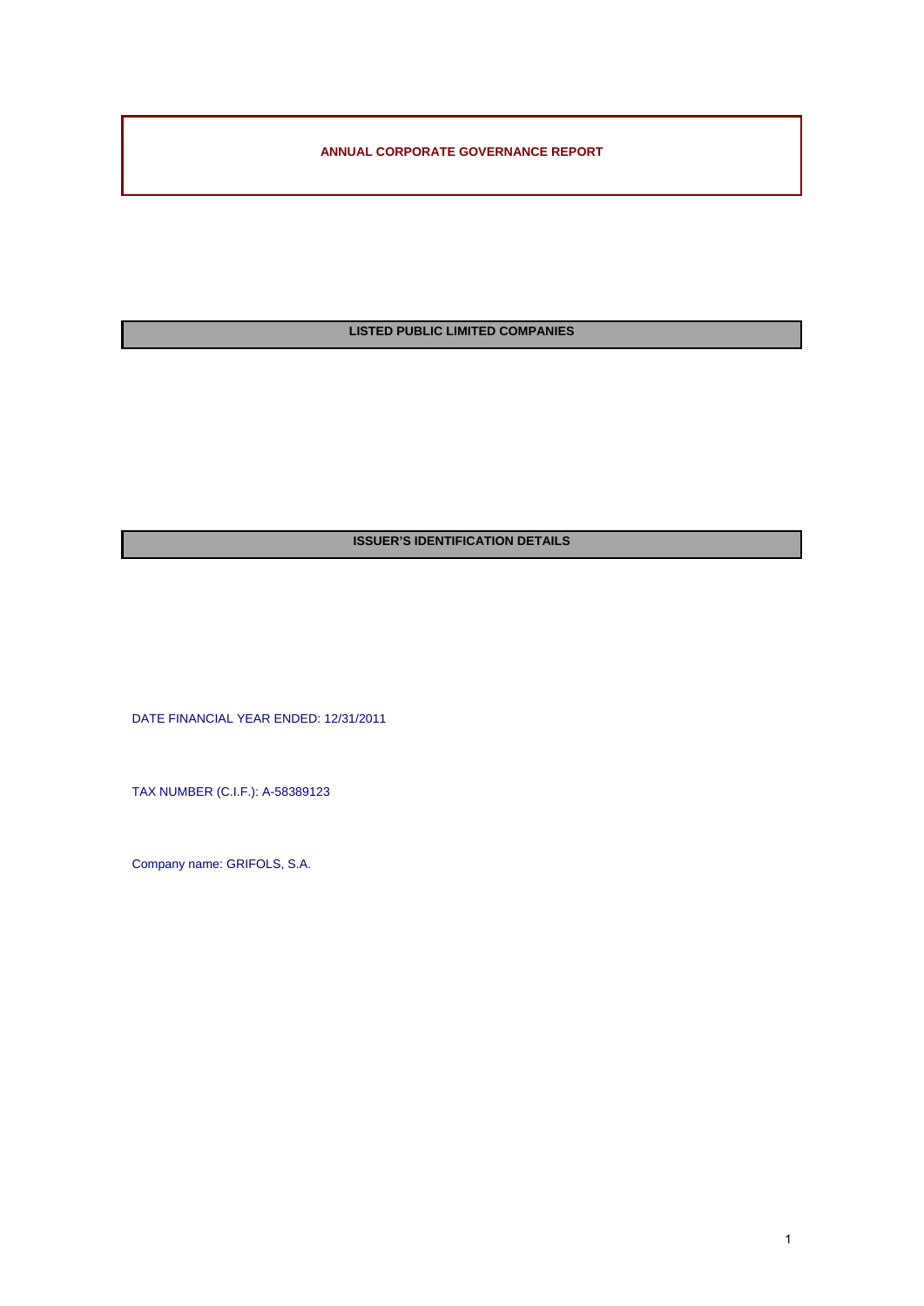**ANNUAL CORPORATE GOVERNANCE REPORT** 

**LISTED PUBLIC LIMITED COMPANIES** 

# **ISSUER'S IDENTIFICATION DETAILS**

DATE FINANCIAL YEAR ENDED: 12/31/2011

TAX NUMBER (C.I.F.): A-58389123

Company name: GRIFOLS, S.A.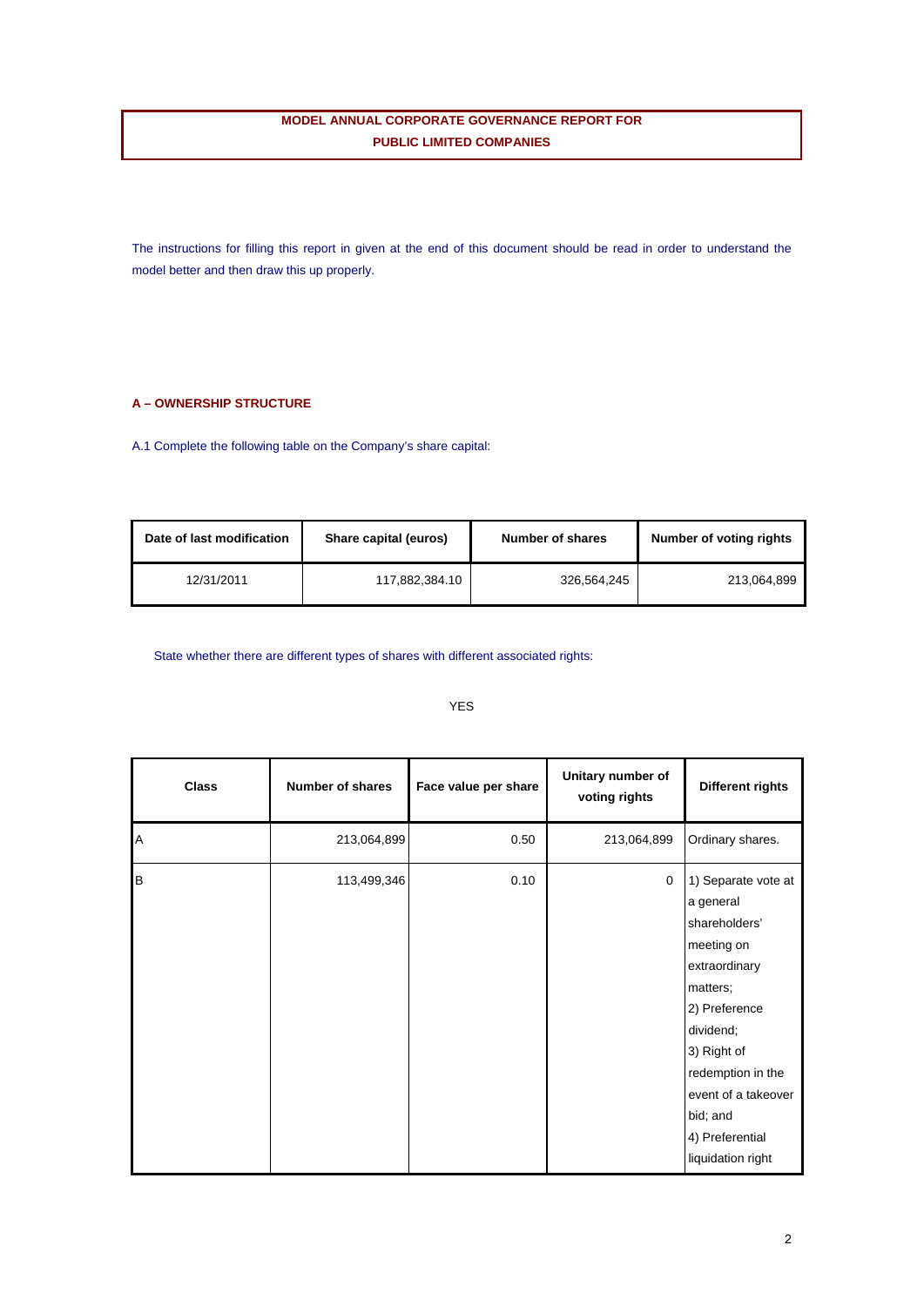## **MODEL ANNUAL CORPORATE GOVERNANCE REPORT FOR PUBLIC LIMITED COMPANIES**

The instructions for filling this report in given at the end of this document should be read in order to understand the model better and then draw this up properly.

## **A – OWNERSHIP STRUCTURE**

A.1 Complete the following table on the Company's share capital:

| Date of last modification | Share capital (euros) | Number of shares | Number of voting rights |
|---------------------------|-----------------------|------------------|-------------------------|
| 12/31/2011                | 117,882,384.10        | 326.564.245      | 213.064.899             |

State whether there are different types of shares with different associated rights:

| <b>Class</b> | <b>Number of shares</b> | Face value per share | Unitary number of<br>voting rights | <b>Different rights</b>                                                                                                                                                                                                                   |
|--------------|-------------------------|----------------------|------------------------------------|-------------------------------------------------------------------------------------------------------------------------------------------------------------------------------------------------------------------------------------------|
| Α            | 213,064,899             | 0.50                 | 213,064,899                        | Ordinary shares.                                                                                                                                                                                                                          |
| B            | 113,499,346             | 0.10                 | $\mathbf 0$                        | 1) Separate vote at<br>a general<br>shareholders'<br>meeting on<br>extraordinary<br>matters;<br>2) Preference<br>dividend;<br>3) Right of<br>redemption in the<br>event of a takeover<br>bid; and<br>4) Preferential<br>liquidation right |

YES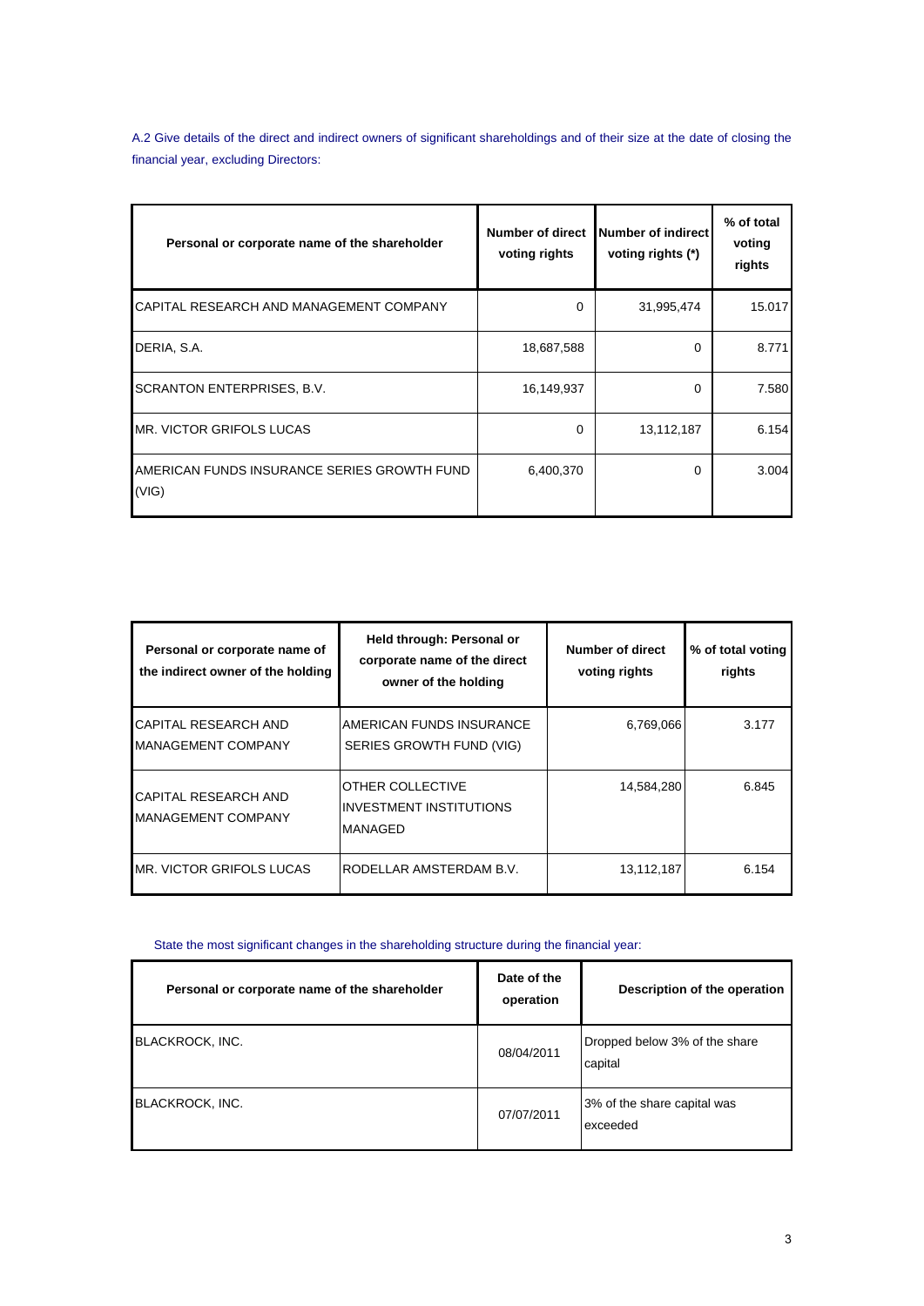A.2 Give details of the direct and indirect owners of significant shareholdings and of their size at the date of closing the financial year, excluding Directors:

| Personal or corporate name of the shareholder        | Number of direct<br>voting rights | Number of indirect<br>voting rights (*) | % of total<br>voting<br>rights |
|------------------------------------------------------|-----------------------------------|-----------------------------------------|--------------------------------|
| CAPITAL RESEARCH AND MANAGEMENT COMPANY              | $\Omega$                          | 31,995,474                              | 15.017                         |
| DERIA, S.A.                                          | 18,687,588                        | 0                                       | 8.771                          |
| <b>SCRANTON ENTERPRISES, B.V.</b>                    | 16,149,937                        | 0                                       | 7.580                          |
| MR. VICTOR GRIFOLS LUCAS                             | $\Omega$                          | 13,112,187                              | 6.154                          |
| AMERICAN FUNDS INSURANCE SERIES GROWTH FUND<br>(VIG) | 6,400,370                         | 0                                       | 3.004                          |

| Personal or corporate name of<br>the indirect owner of the holding | Held through: Personal or<br>corporate name of the direct<br>owner of the holding | Number of direct<br>voting rights | % of total voting<br>rights |
|--------------------------------------------------------------------|-----------------------------------------------------------------------------------|-----------------------------------|-----------------------------|
| <b>CAPITAL RESEARCH AND</b><br><b>MANAGEMENT COMPANY</b>           | AMERICAN FUNDS INSURANCE<br>SERIES GROWTH FUND (VIG)                              | 6,769,066                         | 3.177                       |
| CAPITAL RESEARCH AND<br>MANAGEMENT COMPANY                         | OTHER COLLECTIVE<br><b>INVESTMENT INSTITUTIONS</b><br><b>MANAGED</b>              | 14,584,280                        | 6.845                       |
| IMR. VICTOR GRIFOLS LUCAS                                          | RODELLAR AMSTERDAM B.V.                                                           | 13,112,187                        | 6.154                       |

State the most significant changes in the shareholding structure during the financial year:

| Personal or corporate name of the shareholder | Date of the<br>operation | Description of the operation             |
|-----------------------------------------------|--------------------------|------------------------------------------|
| BLACKROCK, INC.                               | 08/04/2011               | Dropped below 3% of the share<br>capital |
| BLACKROCK, INC.                               | 07/07/2011               | 3% of the share capital was<br>exceeded  |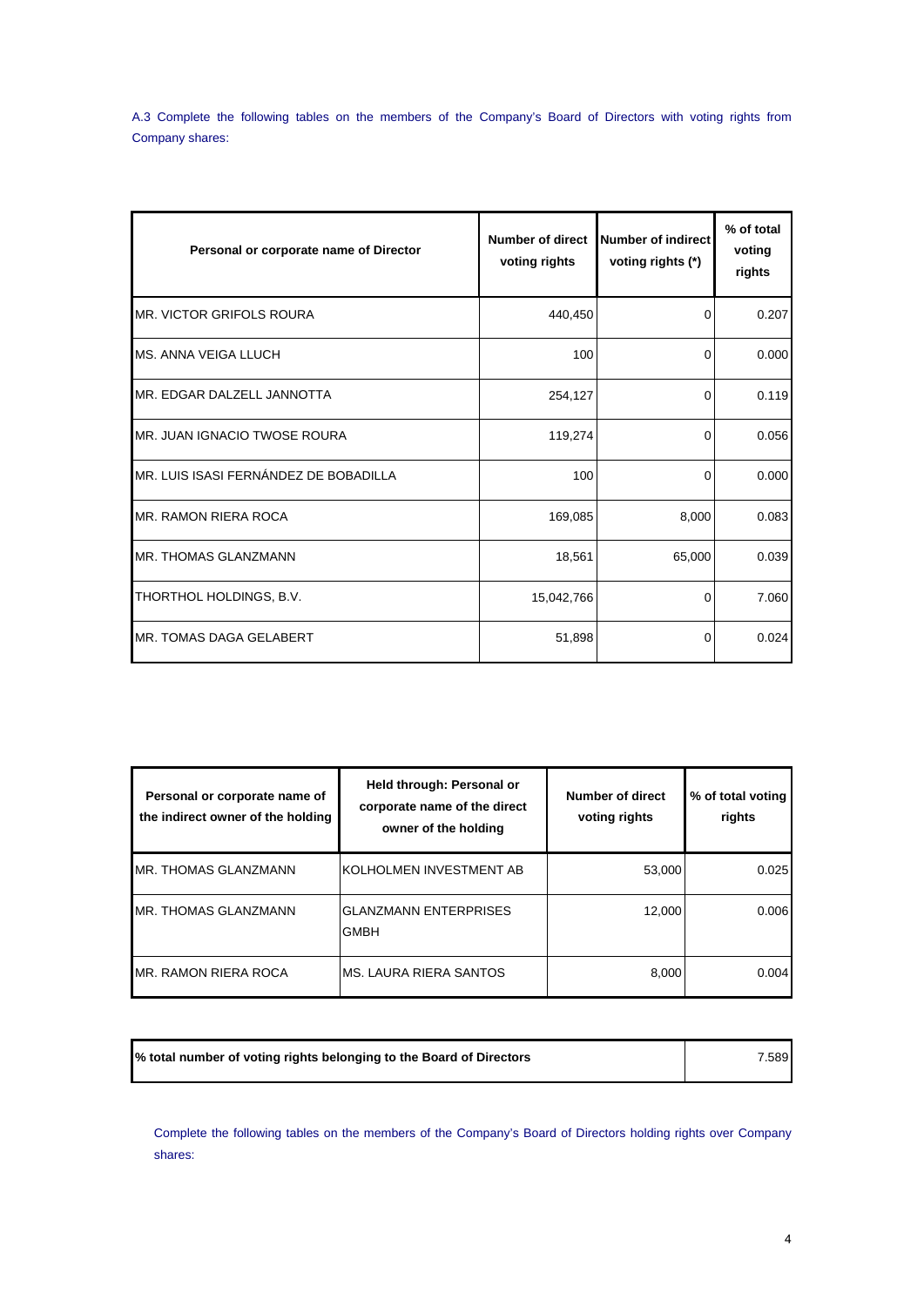A.3 Complete the following tables on the members of the Company's Board of Directors with voting rights from Company shares:

| Personal or corporate name of Director | <b>Number of direct</b><br>voting rights | Number of indirect<br>voting rights (*) | % of total<br>voting<br>rights |
|----------------------------------------|------------------------------------------|-----------------------------------------|--------------------------------|
| MR. VICTOR GRIFOLS ROURA               | 440,450                                  | 0                                       | 0.207                          |
| <b>MS. ANNA VEIGA LLUCH</b>            | 100                                      | $\Omega$                                | 0.000                          |
| MR. EDGAR DALZELL JANNOTTA             | 254,127                                  | 0                                       | 0.119                          |
| MR. JUAN IGNACIO TWOSE ROURA           | 119,274                                  | 0                                       | 0.056                          |
| MR. LUIS ISASI FERNÁNDEZ DE BOBADILLA  | 100                                      | 0                                       | 0.000                          |
| <b>MR. RAMON RIERA ROCA</b>            | 169,085                                  | 8,000                                   | 0.083                          |
| MR. THOMAS GLANZMANN                   | 18,561                                   | 65,000                                  | 0.039                          |
| THORTHOL HOLDINGS, B.V.                | 15,042,766                               | 0                                       | 7.060                          |
| MR. TOMAS DAGA GELABERT                | 51,898                                   | 0                                       | 0.024                          |

| Personal or corporate name of<br>the indirect owner of the holding | Held through: Personal or<br>corporate name of the direct<br>owner of the holding | Number of direct<br>voting rights | % of total voting<br>rights |
|--------------------------------------------------------------------|-----------------------------------------------------------------------------------|-----------------------------------|-----------------------------|
| MR. THOMAS GLANZMANN                                               | KOLHOLMEN INVESTMENT AB                                                           | 53,000                            | 0.025                       |
| MR. THOMAS GLANZMANN                                               | <b>GLANZMANN ENTERPRISES</b><br><b>GMBH</b>                                       | 12.000                            | 0.006                       |
| <b>MR. RAMON RIERA ROCA</b>                                        | MS. LAURA RIERA SANTOS                                                            | 8,000                             | 0.004                       |

| % total number of voting rights belonging to the Board of Directors<br>.589 |
|-----------------------------------------------------------------------------|
|-----------------------------------------------------------------------------|

Complete the following tables on the members of the Company's Board of Directors holding rights over Company shares: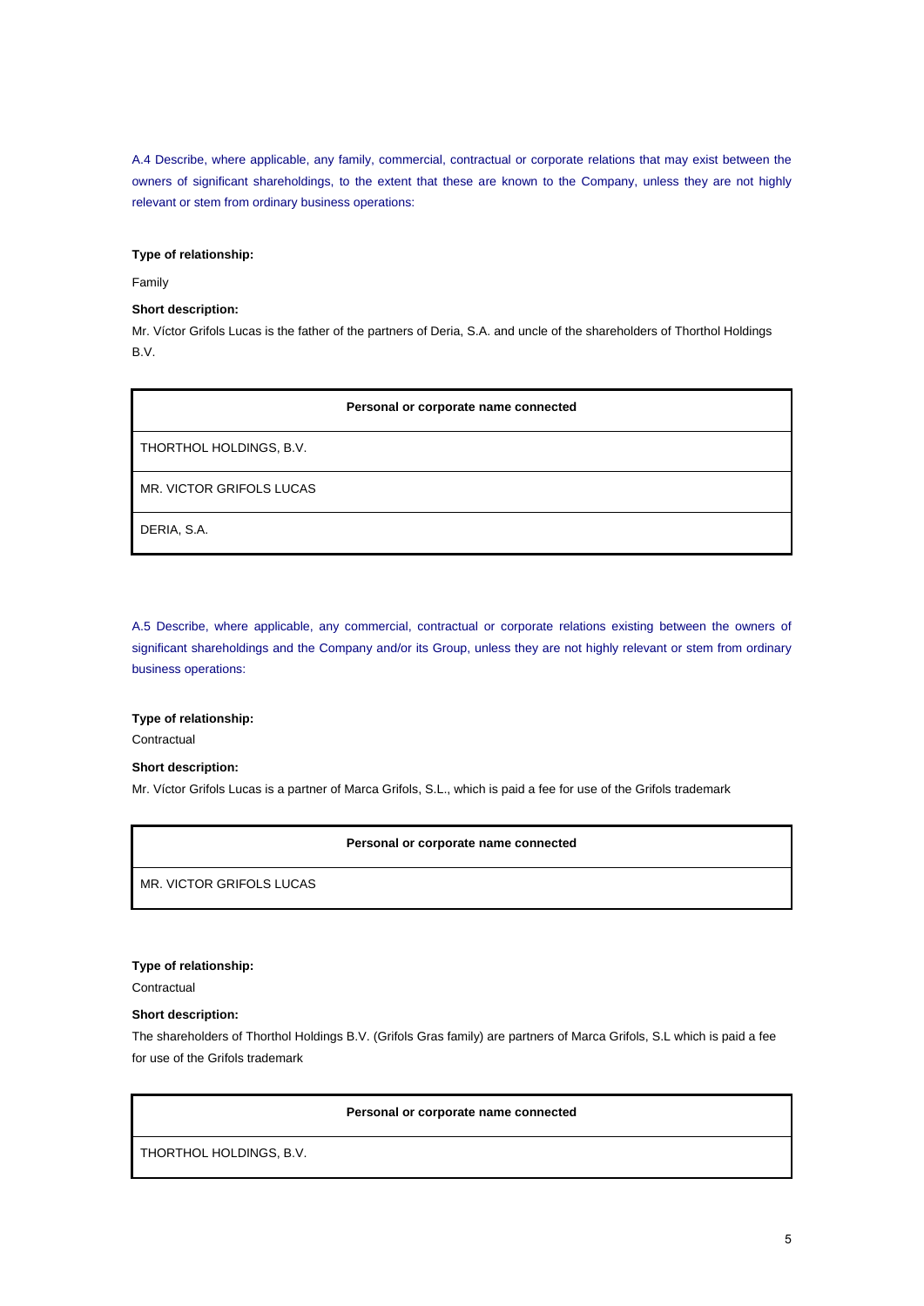A.4 Describe, where applicable, any family, commercial, contractual or corporate relations that may exist between the owners of significant shareholdings, to the extent that these are known to the Company, unless they are not highly relevant or stem from ordinary business operations:

## **Type of relationship:**

Family

### **Short description:**

Mr. Víctor Grifols Lucas is the father of the partners of Deria, S.A. and uncle of the shareholders of Thorthol Holdings B.V.

#### **Personal or corporate name connected**

THORTHOL HOLDINGS, B.V.

MR. VICTOR GRIFOLS LUCAS

DERIA, S.A.

A.5 Describe, where applicable, any commercial, contractual or corporate relations existing between the owners of significant shareholdings and the Company and/or its Group, unless they are not highly relevant or stem from ordinary business operations:

#### **Type of relationship:**

**Contractual** 

### **Short description:**

Mr. Víctor Grifols Lucas is a partner of Marca Grifols, S.L., which is paid a fee for use of the Grifols trademark

#### **Personal or corporate name connected**

MR. VICTOR GRIFOLS LUCAS

#### **Type of relationship:**

**Contractual** 

#### **Short description:**

The shareholders of Thorthol Holdings B.V. (Grifols Gras family) are partners of Marca Grifols, S.L which is paid a fee for use of the Grifols trademark

## **Personal or corporate name connected**

THORTHOL HOLDINGS, B.V.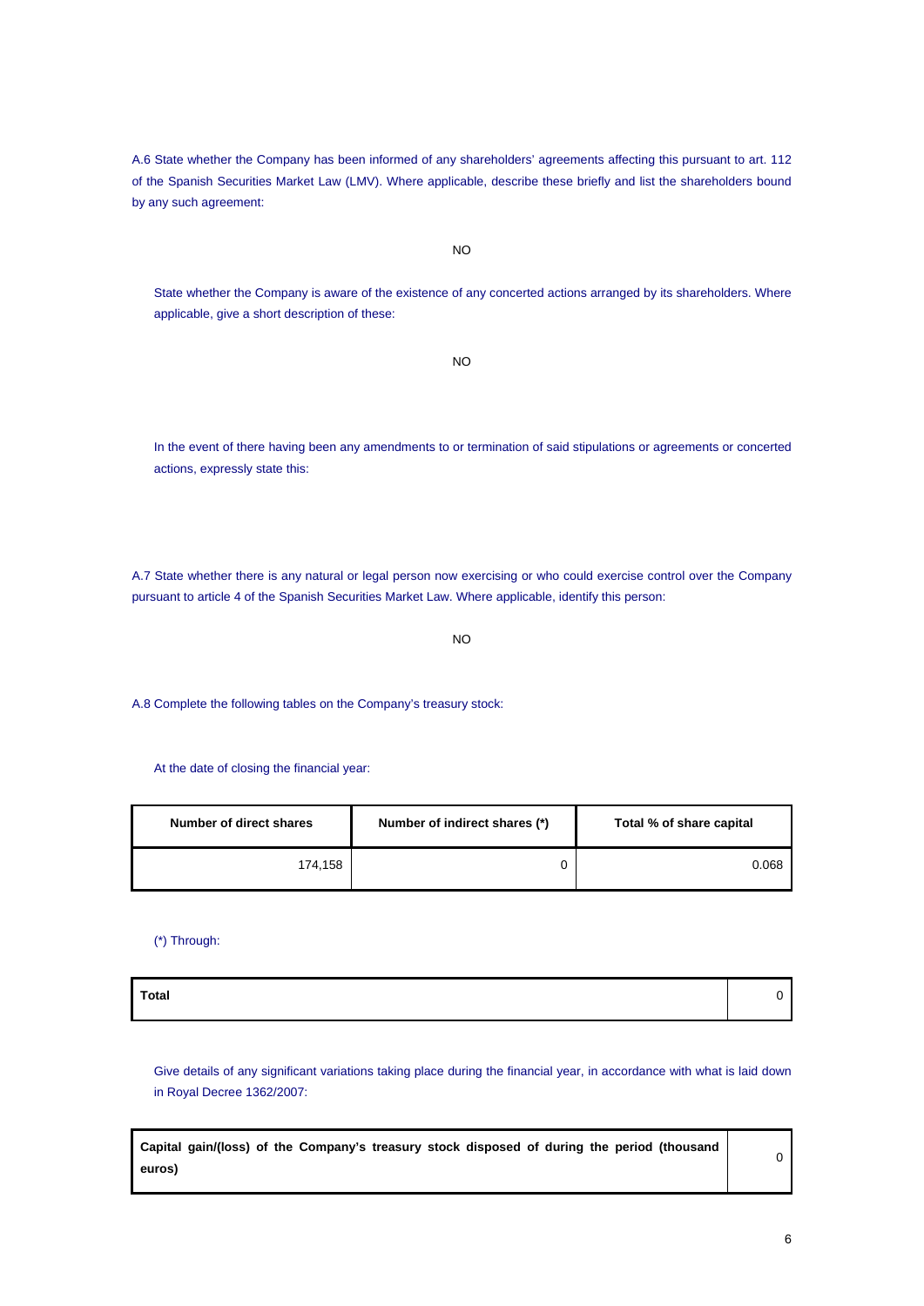A.6 State whether the Company has been informed of any shareholders' agreements affecting this pursuant to art. 112 of the Spanish Securities Market Law (LMV). Where applicable, describe these briefly and list the shareholders bound by any such agreement:

NO

State whether the Company is aware of the existence of any concerted actions arranged by its shareholders. Where applicable, give a short description of these:

NO

In the event of there having been any amendments to or termination of said stipulations or agreements or concerted actions, expressly state this:

A.7 State whether there is any natural or legal person now exercising or who could exercise control over the Company pursuant to article 4 of the Spanish Securities Market Law. Where applicable, identify this person:

NO

A.8 Complete the following tables on the Company's treasury stock:

At the date of closing the financial year:

| Number of direct shares | Number of indirect shares (*) |       |
|-------------------------|-------------------------------|-------|
| 174,158                 |                               | 0.068 |

(\*) Through:

| Total |  |
|-------|--|
|       |  |

Give details of any significant variations taking place during the financial year, in accordance with what is laid down in Royal Decree 1362/2007:

| Capital gain/(loss) of the Company's treasury stock disposed of during the period (thousand |  |
|---------------------------------------------------------------------------------------------|--|
| euros)                                                                                      |  |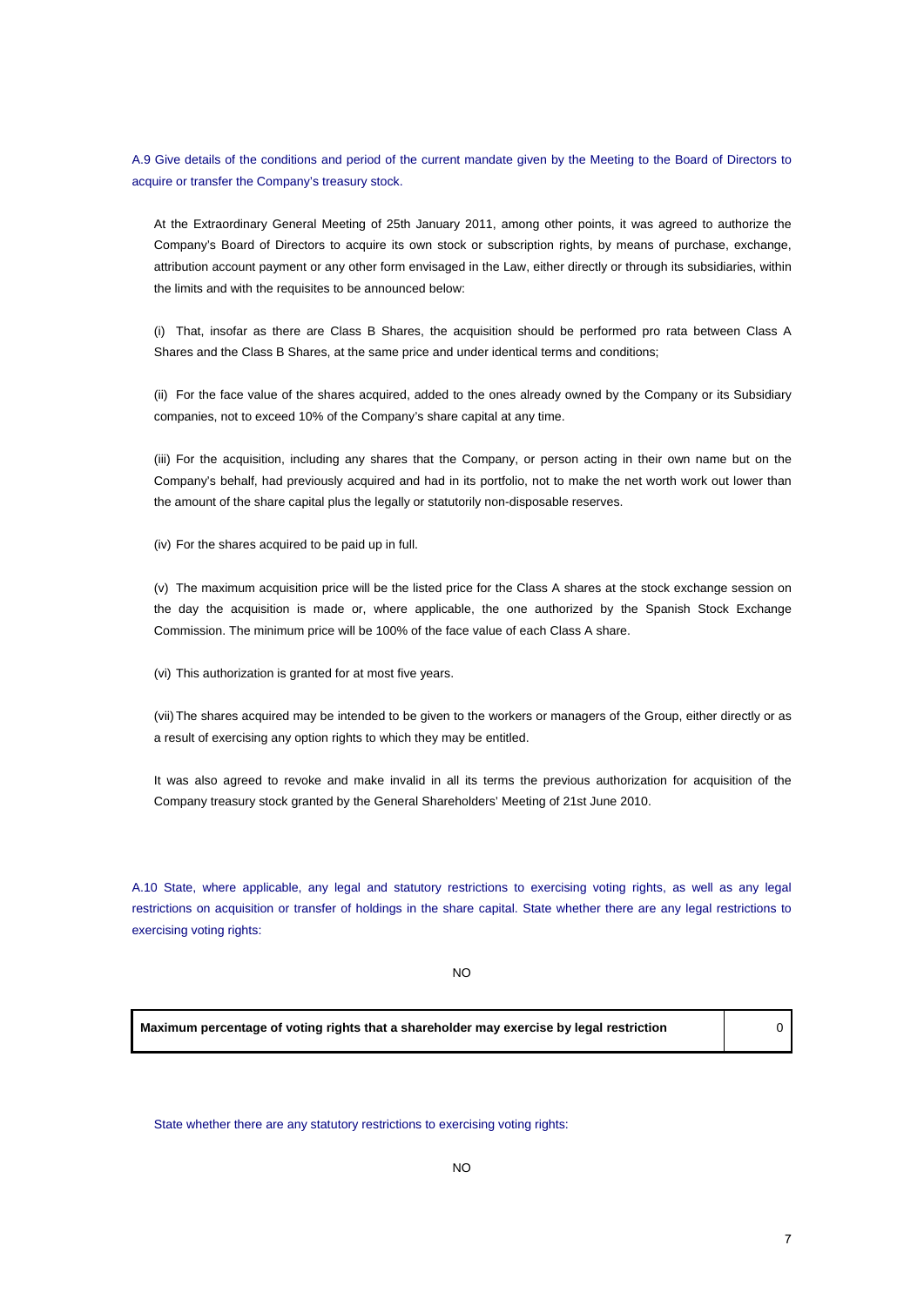A.9 Give details of the conditions and period of the current mandate given by the Meeting to the Board of Directors to acquire or transfer the Company's treasury stock.

At the Extraordinary General Meeting of 25th January 2011, among other points, it was agreed to authorize the Company's Board of Directors to acquire its own stock or subscription rights, by means of purchase, exchange, attribution account payment or any other form envisaged in the Law, either directly or through its subsidiaries, within the limits and with the requisites to be announced below:

(i) That, insofar as there are Class B Shares, the acquisition should be performed pro rata between Class A Shares and the Class B Shares, at the same price and under identical terms and conditions;

(ii) For the face value of the shares acquired, added to the ones already owned by the Company or its Subsidiary companies, not to exceed 10% of the Company's share capital at any time.

(iii) For the acquisition, including any shares that the Company, or person acting in their own name but on the Company's behalf, had previously acquired and had in its portfolio, not to make the net worth work out lower than the amount of the share capital plus the legally or statutorily non-disposable reserves.

(iv) For the shares acquired to be paid up in full.

(v) The maximum acquisition price will be the listed price for the Class A shares at the stock exchange session on the day the acquisition is made or, where applicable, the one authorized by the Spanish Stock Exchange Commission. The minimum price will be 100% of the face value of each Class A share.

(vi) This authorization is granted for at most five years.

(vii) The shares acquired may be intended to be given to the workers or managers of the Group, either directly or as a result of exercising any option rights to which they may be entitled.

It was also agreed to revoke and make invalid in all its terms the previous authorization for acquisition of the Company treasury stock granted by the General Shareholders' Meeting of 21st June 2010.

A.10 State, where applicable, any legal and statutory restrictions to exercising voting rights, as well as any legal restrictions on acquisition or transfer of holdings in the share capital. State whether there are any legal restrictions to exercising voting rights:

NO

**Maximum percentage of voting rights that a shareholder may exercise by legal restriction** 0

State whether there are any statutory restrictions to exercising voting rights: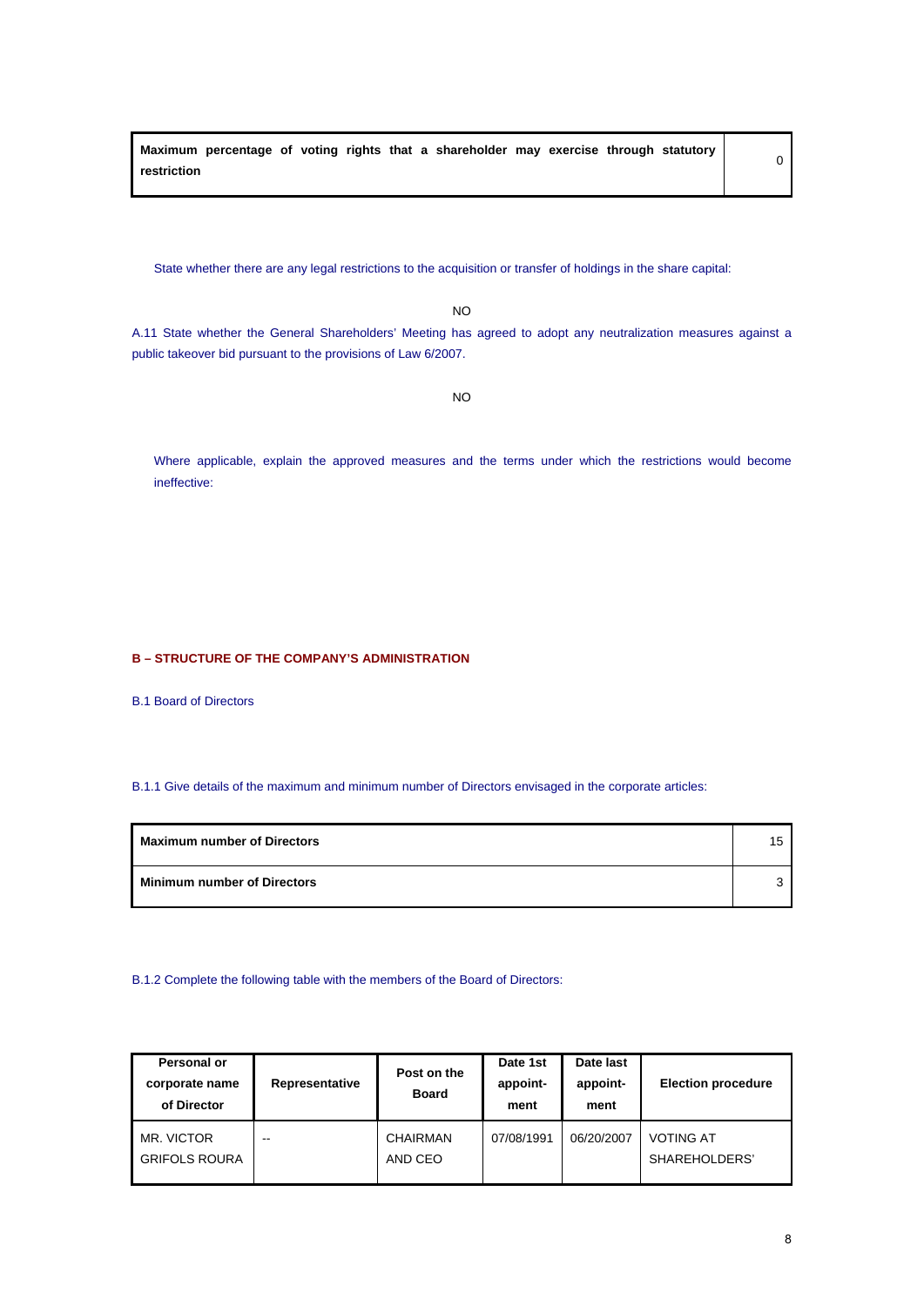**Maximum percentage of voting rights that a shareholder may exercise through statutory restriction**

State whether there are any legal restrictions to the acquisition or transfer of holdings in the share capital:

NO

A.11 State whether the General Shareholders' Meeting has agreed to adopt any neutralization measures against a public takeover bid pursuant to the provisions of Law 6/2007.

NO

Where applicable, explain the approved measures and the terms under which the restrictions would become ineffective:

## **B – STRUCTURE OF THE COMPANY'S ADMINISTRATION**

B.1 Board of Directors

## B.1.1 Give details of the maximum and minimum number of Directors envisaged in the corporate articles:

| <b>Maximum number of Directors</b> |  |
|------------------------------------|--|
| <b>Minimum number of Directors</b> |  |

#### B.1.2 Complete the following table with the members of the Board of Directors:

| Personal or<br>corporate name<br>of Director | Representative | Post on the<br><b>Board</b> | Date 1st<br>appoint-<br>ment | Date last<br>appoint-<br>ment | <b>Election procedure</b>         |
|----------------------------------------------|----------------|-----------------------------|------------------------------|-------------------------------|-----------------------------------|
| MR. VICTOR<br><b>GRIFOLS ROURA</b>           | --             | CHAIRMAN<br>AND CEO         | 07/08/1991                   | 06/20/2007                    | <b>VOTING AT</b><br>SHAREHOLDERS' |

0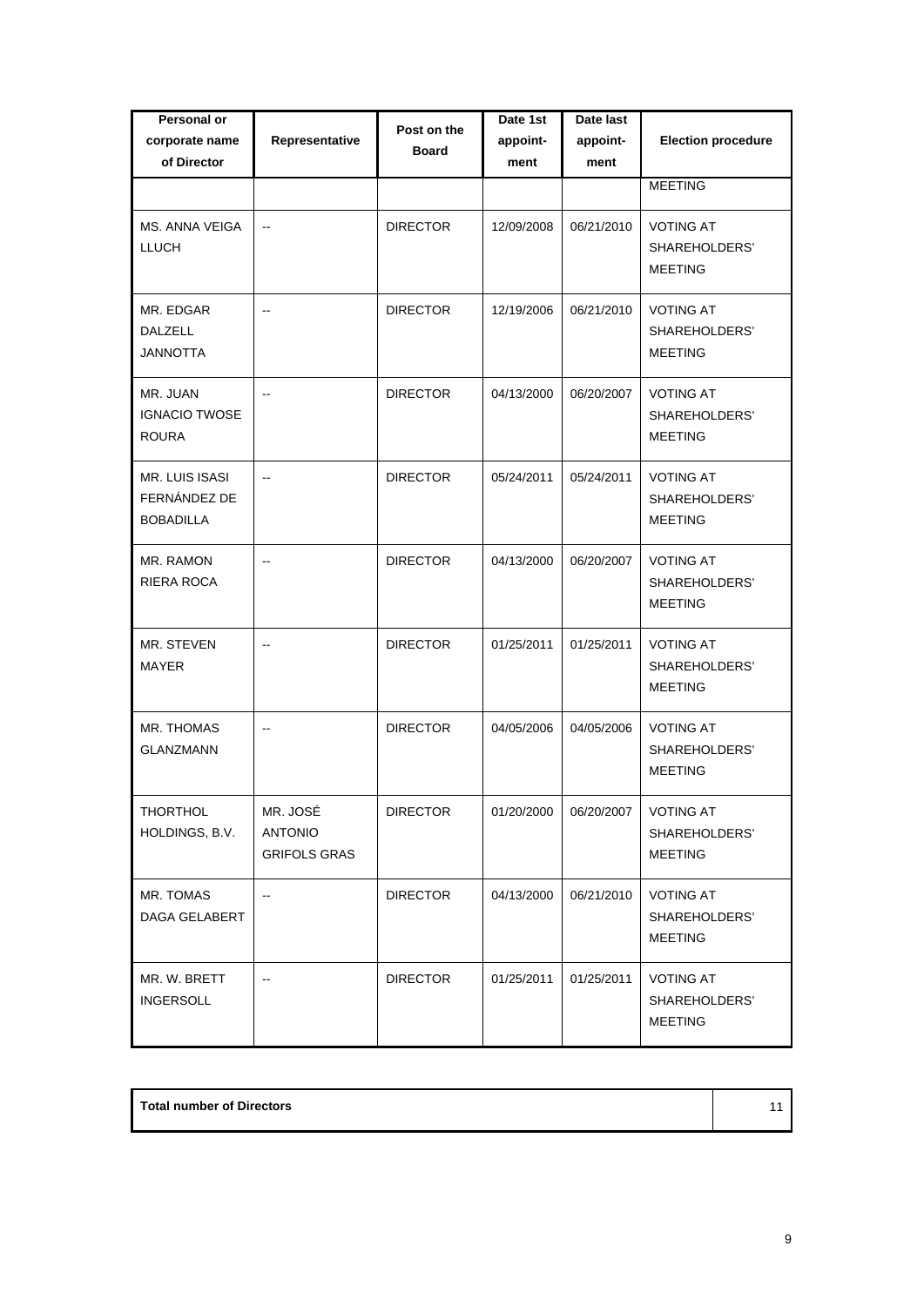| Personal or<br>corporate name<br>of Director              | Representative                                    | Post on the<br><b>Board</b> | Date 1st<br>appoint-<br>ment | Date last<br>appoint-<br>ment | <b>Election procedure</b>                           |
|-----------------------------------------------------------|---------------------------------------------------|-----------------------------|------------------------------|-------------------------------|-----------------------------------------------------|
|                                                           |                                                   |                             |                              |                               | <b>MEETING</b>                                      |
| MS. ANNA VEIGA<br>LLUCH                                   | $\overline{\phantom{a}}$                          | <b>DIRECTOR</b>             | 12/09/2008                   | 06/21/2010                    | <b>VOTING AT</b><br>SHAREHOLDERS'<br><b>MEETING</b> |
| MR. EDGAR<br><b>DALZELL</b><br><b>JANNOTTA</b>            | $\overline{a}$                                    | <b>DIRECTOR</b>             | 12/19/2006                   | 06/21/2010                    | <b>VOTING AT</b><br>SHAREHOLDERS'<br><b>MEETING</b> |
| MR. JUAN<br><b>IGNACIO TWOSE</b><br><b>ROURA</b>          | $\overline{\phantom{a}}$                          | <b>DIRECTOR</b>             | 04/13/2000                   | 06/20/2007                    | <b>VOTING AT</b><br>SHAREHOLDERS'<br><b>MEETING</b> |
| <b>MR. LUIS ISASI</b><br>FERNÁNDEZ DE<br><b>BOBADILLA</b> | $\overline{\phantom{a}}$                          | <b>DIRECTOR</b>             | 05/24/2011                   | 05/24/2011                    | <b>VOTING AT</b><br>SHAREHOLDERS'<br><b>MEETING</b> |
| MR. RAMON<br>RIERA ROCA                                   | $\overline{\phantom{a}}$                          | <b>DIRECTOR</b>             | 04/13/2000                   | 06/20/2007                    | <b>VOTING AT</b><br>SHAREHOLDERS'<br><b>MEETING</b> |
| MR. STEVEN<br>MAYER                                       | $\overline{\phantom{a}}$                          | <b>DIRECTOR</b>             | 01/25/2011                   | 01/25/2011                    | <b>VOTING AT</b><br>SHAREHOLDERS'<br><b>MEETING</b> |
| MR. THOMAS<br><b>GLANZMANN</b>                            | $\overline{\phantom{a}}$                          | <b>DIRECTOR</b>             | 04/05/2006                   | 04/05/2006                    | <b>VOTING AT</b><br>SHAREHOLDERS'<br><b>MEETING</b> |
| THORTHOL<br>HOLDINGS, B.V.                                | MR. JOSÉ<br><b>ANTONIO</b><br><b>GRIFOLS GRAS</b> | <b>DIRECTOR</b>             | 01/20/2000                   | 06/20/2007                    | VOTING AT<br>SHAREHOLDERS'<br><b>MEETING</b>        |
| MR. TOMAS<br>DAGA GELABERT                                |                                                   | <b>DIRECTOR</b>             | 04/13/2000                   | 06/21/2010                    | <b>VOTING AT</b><br>SHAREHOLDERS'<br><b>MEETING</b> |
| MR. W. BRETT<br><b>INGERSOLL</b>                          | --                                                | <b>DIRECTOR</b>             | 01/25/2011                   | 01/25/2011                    | <b>VOTING AT</b><br>SHAREHOLDERS'<br><b>MEETING</b> |

| <b>Total number of Directors</b> |  |
|----------------------------------|--|
|                                  |  |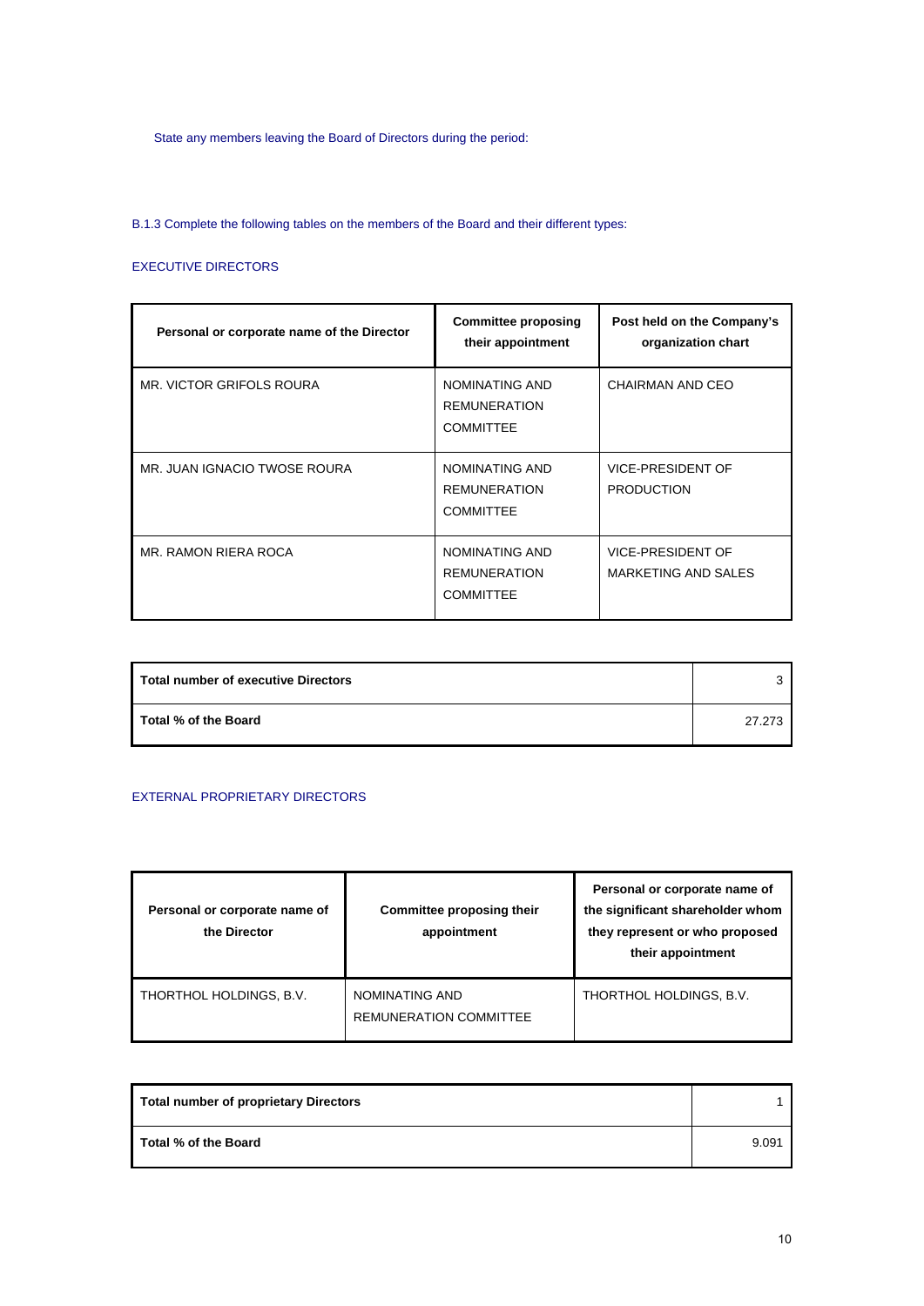State any members leaving the Board of Directors during the period:

B.1.3 Complete the following tables on the members of the Board and their different types:

## EXECUTIVE DIRECTORS

| Personal or corporate name of the Director | <b>Committee proposing</b><br>their appointment           | Post held on the Company's<br>organization chart |
|--------------------------------------------|-----------------------------------------------------------|--------------------------------------------------|
| MR. VICTOR GRIFOLS ROURA                   | NOMINATING AND<br><b>REMUNERATION</b><br><b>COMMITTEE</b> | CHAIRMAN AND CEO                                 |
| MR. JUAN IGNACIO TWOSE ROURA               | NOMINATING AND<br><b>REMUNERATION</b><br><b>COMMITTEE</b> | <b>VICE-PRESIDENT OF</b><br><b>PRODUCTION</b>    |
| MR. RAMON RIERA ROCA                       | NOMINATING AND<br><b>REMUNERATION</b><br><b>COMMITTEE</b> | VICE-PRESIDENT OF<br>MARKETING AND SALES         |

| Total number of executive Directors | ີ      |
|-------------------------------------|--------|
| Total % of the Board                | 27.273 |

## EXTERNAL PROPRIETARY DIRECTORS

| Personal or corporate name of<br>the Director | Committee proposing their<br>appointment        | Personal or corporate name of<br>the significant shareholder whom<br>they represent or who proposed<br>their appointment |
|-----------------------------------------------|-------------------------------------------------|--------------------------------------------------------------------------------------------------------------------------|
| THORTHOL HOLDINGS, B.V.                       | NOMINATING AND<br><b>REMUNERATION COMMITTEE</b> | THORTHOL HOLDINGS, B.V.                                                                                                  |

| <b>Total number of proprietary Directors</b> |       |
|----------------------------------------------|-------|
| Total % of the Board                         | 9.091 |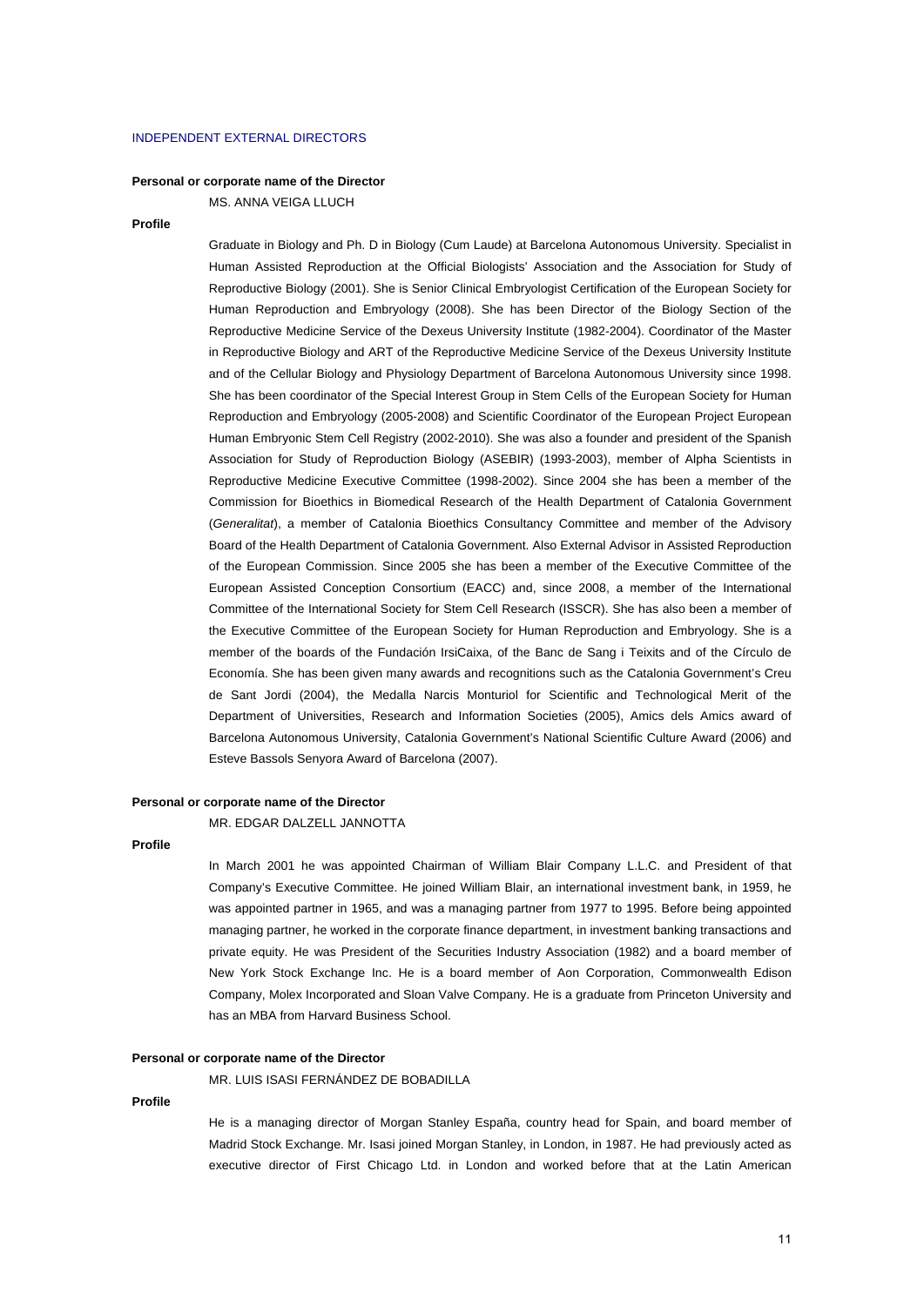#### INDEPENDENT EXTERNAL DIRECTORS

#### **Personal or corporate name of the Director**

MS. ANNA VEIGA LLUCH

#### **Profile**

Graduate in Biology and Ph. D in Biology (Cum Laude) at Barcelona Autonomous University. Specialist in Human Assisted Reproduction at the Official Biologists' Association and the Association for Study of Reproductive Biology (2001). She is Senior Clinical Embryologist Certification of the European Society for Human Reproduction and Embryology (2008). She has been Director of the Biology Section of the Reproductive Medicine Service of the Dexeus University Institute (1982-2004). Coordinator of the Master in Reproductive Biology and ART of the Reproductive Medicine Service of the Dexeus University Institute and of the Cellular Biology and Physiology Department of Barcelona Autonomous University since 1998. She has been coordinator of the Special Interest Group in Stem Cells of the European Society for Human Reproduction and Embryology (2005-2008) and Scientific Coordinator of the European Project European Human Embryonic Stem Cell Registry (2002-2010). She was also a founder and president of the Spanish Association for Study of Reproduction Biology (ASEBIR) (1993-2003), member of Alpha Scientists in Reproductive Medicine Executive Committee (1998-2002). Since 2004 she has been a member of the Commission for Bioethics in Biomedical Research of the Health Department of Catalonia Government (*Generalitat*), a member of Catalonia Bioethics Consultancy Committee and member of the Advisory Board of the Health Department of Catalonia Government. Also External Advisor in Assisted Reproduction of the European Commission. Since 2005 she has been a member of the Executive Committee of the European Assisted Conception Consortium (EACC) and, since 2008, a member of the International Committee of the International Society for Stem Cell Research (ISSCR). She has also been a member of the Executive Committee of the European Society for Human Reproduction and Embryology. She is a member of the boards of the Fundación IrsiCaixa, of the Banc de Sang i Teixits and of the Círculo de Economía. She has been given many awards and recognitions such as the Catalonia Government's Creu de Sant Jordi (2004), the Medalla Narcis Monturiol for Scientific and Technological Merit of the Department of Universities, Research and Information Societies (2005), Amics dels Amics award of Barcelona Autonomous University, Catalonia Government's National Scientific Culture Award (2006) and Esteve Bassols Senyora Award of Barcelona (2007).

#### **Personal or corporate name of the Director**

MR. EDGAR DALZELL JANNOTTA

#### **Profile**

In March 2001 he was appointed Chairman of William Blair Company L.L.C. and President of that Company's Executive Committee. He joined William Blair, an international investment bank, in 1959, he was appointed partner in 1965, and was a managing partner from 1977 to 1995. Before being appointed managing partner, he worked in the corporate finance department, in investment banking transactions and private equity. He was President of the Securities Industry Association (1982) and a board member of New York Stock Exchange Inc. He is a board member of Aon Corporation, Commonwealth Edison Company, Molex Incorporated and Sloan Valve Company. He is a graduate from Princeton University and has an MBA from Harvard Business School.

### **Personal or corporate name of the Director**

MR. LUIS ISASI FERNÁNDEZ DE BOBADILLA

#### **Profile**

He is a managing director of Morgan Stanley España, country head for Spain, and board member of Madrid Stock Exchange. Mr. Isasi joined Morgan Stanley, in London, in 1987. He had previously acted as executive director of First Chicago Ltd. in London and worked before that at the Latin American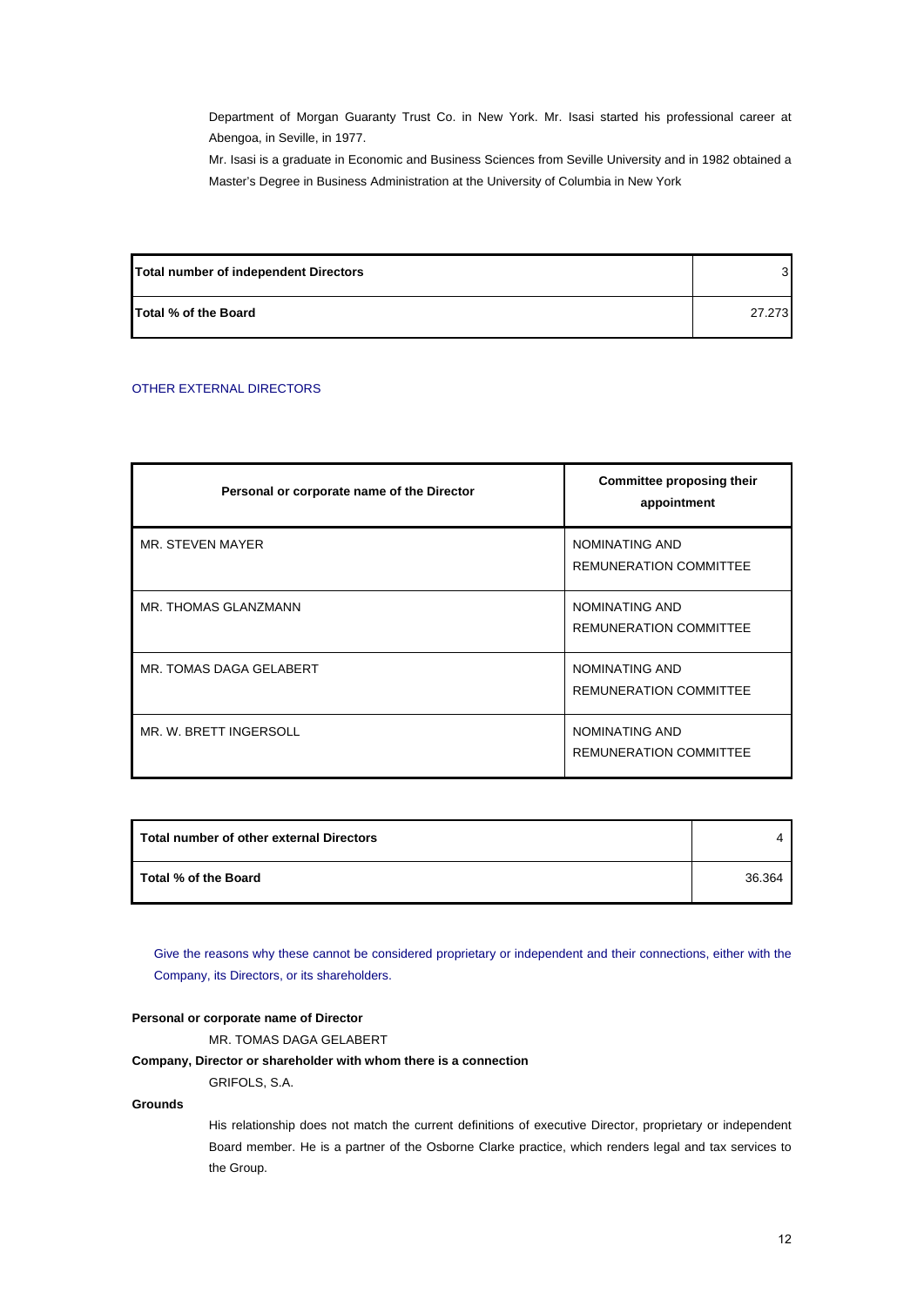Department of Morgan Guaranty Trust Co. in New York. Mr. Isasi started his professional career at Abengoa, in Seville, in 1977.

Mr. Isasi is a graduate in Economic and Business Sciences from Seville University and in 1982 obtained a Master's Degree in Business Administration at the University of Columbia in New York

| Total number of independent Directors |        |
|---------------------------------------|--------|
| <b>Total % of the Board</b>           | 27.273 |

## OTHER EXTERNAL DIRECTORS

| Personal or corporate name of the Director | Committee proposing their<br>appointment        |
|--------------------------------------------|-------------------------------------------------|
| MR. STEVEN MAYER                           | NOMINATING AND<br><b>REMUNERATION COMMITTEE</b> |
| MR. THOMAS GLANZMANN                       | NOMINATING AND<br><b>REMUNERATION COMMITTEE</b> |
| MR. TOMAS DAGA GELABERT                    | NOMINATING AND<br><b>REMUNERATION COMMITTEE</b> |
| MR. W. BRETT INGERSOLL                     | NOMINATING AND<br><b>REMUNERATION COMMITTEE</b> |

| Total number of other external Directors |        |
|------------------------------------------|--------|
| Total % of the Board                     | 36.364 |

Give the reasons why these cannot be considered proprietary or independent and their connections, either with the Company, its Directors, or its shareholders.

#### **Personal or corporate name of Director**

GRIFOLS, S.A.

MR. TOMAS DAGA GELABERT

## **Company, Director or shareholder with whom there is a connection**

**Grounds** 

His relationship does not match the current definitions of executive Director, proprietary or independent Board member. He is a partner of the Osborne Clarke practice, which renders legal and tax services to the Group.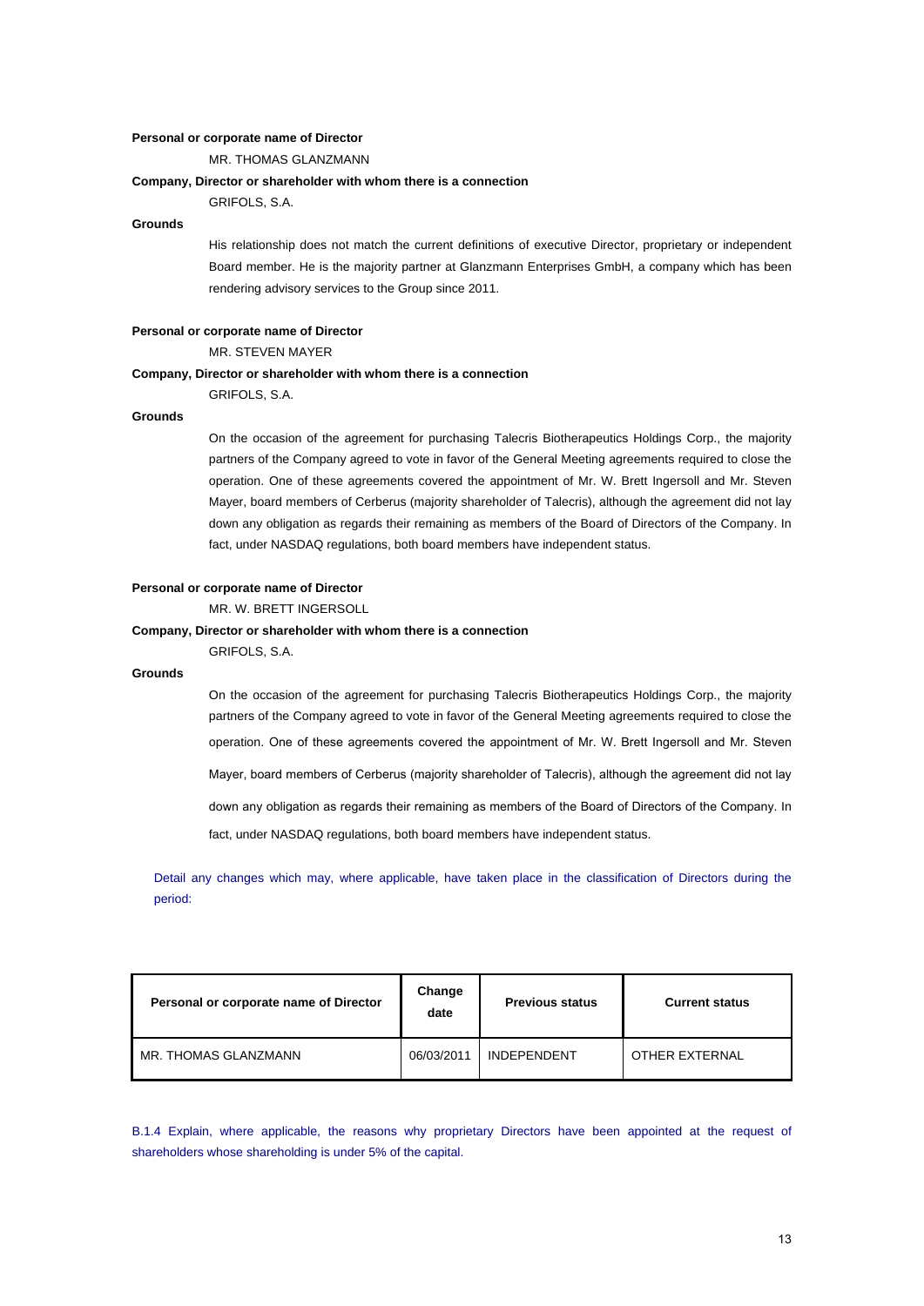#### **Personal or corporate name of Director**

MR. THOMAS GLANZMANN

#### **Company, Director or shareholder with whom there is a connection**

GRIFOLS, S.A.

#### **Grounds**

His relationship does not match the current definitions of executive Director, proprietary or independent Board member. He is the majority partner at Glanzmann Enterprises GmbH, a company which has been rendering advisory services to the Group since 2011.

#### **Personal or corporate name of Director**

MR. STEVEN MAYER

#### **Company, Director or shareholder with whom there is a connection**

GRIFOLS, S.A.

### **Grounds**

On the occasion of the agreement for purchasing Talecris Biotherapeutics Holdings Corp., the majority partners of the Company agreed to vote in favor of the General Meeting agreements required to close the operation. One of these agreements covered the appointment of Mr. W. Brett Ingersoll and Mr. Steven Mayer, board members of Cerberus (majority shareholder of Talecris), although the agreement did not lay down any obligation as regards their remaining as members of the Board of Directors of the Company. In fact, under NASDAQ regulations, both board members have independent status.

#### **Personal or corporate name of Director**

MR. W. BRETT INGERSOLL

#### **Company, Director or shareholder with whom there is a connection**

GRIFOLS, S.A.

## **Grounds**

On the occasion of the agreement for purchasing Talecris Biotherapeutics Holdings Corp., the majority partners of the Company agreed to vote in favor of the General Meeting agreements required to close the operation. One of these agreements covered the appointment of Mr. W. Brett Ingersoll and Mr. Steven Mayer, board members of Cerberus (majority shareholder of Talecris), although the agreement did not lay down any obligation as regards their remaining as members of the Board of Directors of the Company. In fact, under NASDAQ regulations, both board members have independent status.

Detail any changes which may, where applicable, have taken place in the classification of Directors during the period:

| Personal or corporate name of Director | Change<br>date | <b>Previous status</b> | <b>Current status</b> |
|----------------------------------------|----------------|------------------------|-----------------------|
| MR. THOMAS GLANZMANN                   | 06/03/2011     | <b>INDEPENDENT</b>     | OTHER EXTERNAL        |

B.1.4 Explain, where applicable, the reasons why proprietary Directors have been appointed at the request of shareholders whose shareholding is under 5% of the capital.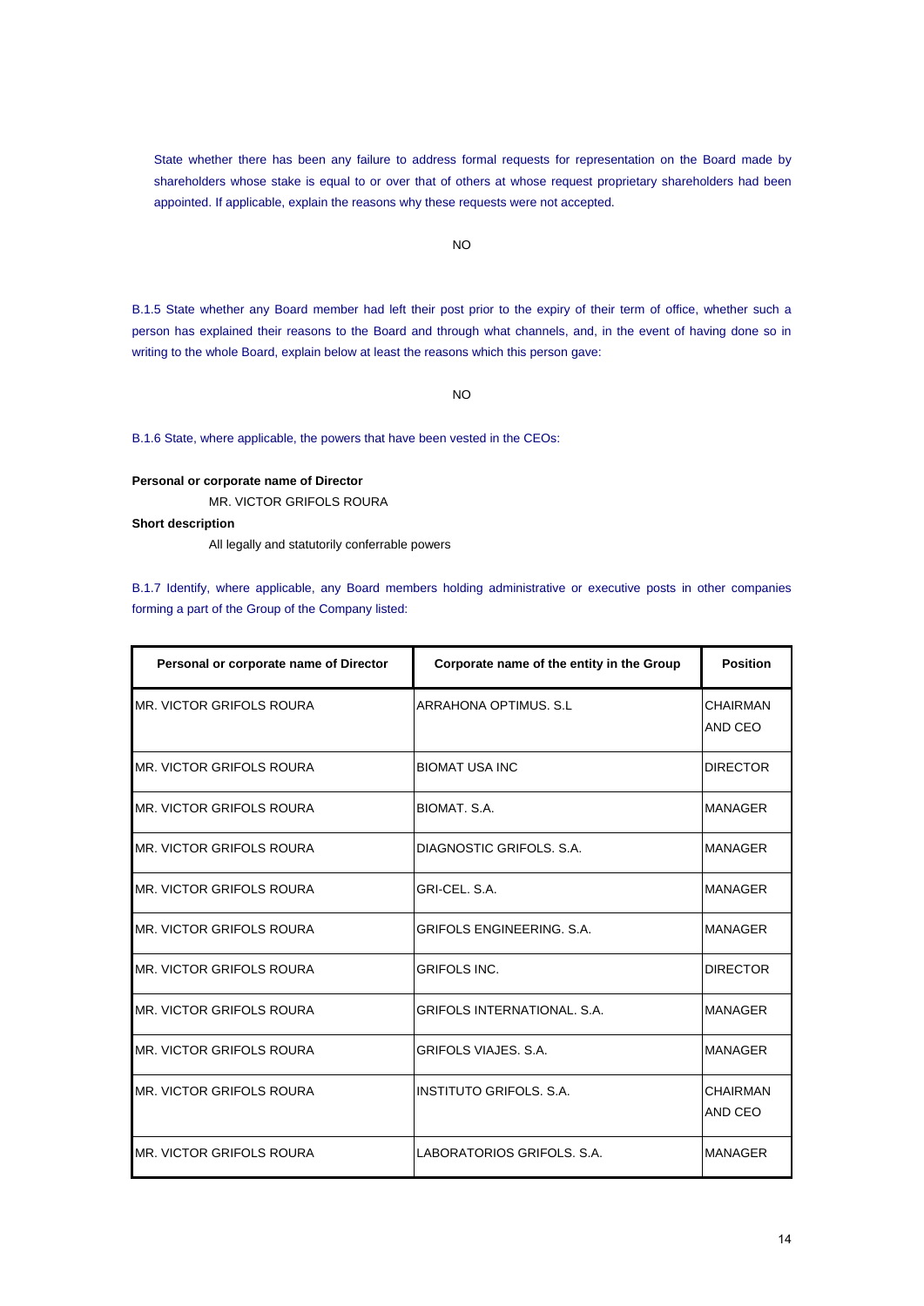State whether there has been any failure to address formal requests for representation on the Board made by shareholders whose stake is equal to or over that of others at whose request proprietary shareholders had been appointed. If applicable, explain the reasons why these requests were not accepted.

## NO

B.1.5 State whether any Board member had left their post prior to the expiry of their term of office, whether such a person has explained their reasons to the Board and through what channels, and, in the event of having done so in writing to the whole Board, explain below at least the reasons which this person gave:

NO

B.1.6 State, where applicable, the powers that have been vested in the CEOs:

#### **Personal or corporate name of Director**

MR. VICTOR GRIFOLS ROURA

## **Short description**

All legally and statutorily conferrable powers

B.1.7 Identify, where applicable, any Board members holding administrative or executive posts in other companies forming a part of the Group of the Company listed:

| Personal or corporate name of Director | Corporate name of the entity in the Group | <b>Position</b>     |
|----------------------------------------|-------------------------------------------|---------------------|
| MR. VICTOR GRIFOLS ROURA               | ARRAHONA OPTIMUS, S.I.                    | CHAIRMAN<br>AND CEO |
| IMR. VICTOR GRIFOLS ROURA              | <b>BIOMAT USA INC</b>                     | <b>DIRECTOR</b>     |
| IMR. VICTOR GRIFOLS ROURA              | BIOMAT, S.A.                              | <b>MANAGER</b>      |
| MR. VICTOR GRIFOLS ROURA               | DIAGNOSTIC GRIFOLS, S.A.                  | <b>MANAGER</b>      |
| MR. VICTOR GRIFOLS ROURA               | GRI-CEL, S.A.                             | MANAGER             |
| MR. VICTOR GRIFOLS ROURA               | <b>GRIFOLS ENGINEERING, S.A.</b>          | <b>MANAGER</b>      |
| MR. VICTOR GRIFOLS ROURA               | <b>GRIFOLS INC.</b>                       | <b>DIRECTOR</b>     |
| MR. VICTOR GRIFOLS ROURA               | <b>GRIFOLS INTERNATIONAL, S.A.</b>        | <b>MANAGER</b>      |
| IMR. VICTOR GRIFOLS ROURA              | <b>GRIFOLS VIAJES, S.A.</b>               | <b>MANAGER</b>      |
| MR. VICTOR GRIFOLS ROURA               | <b>INSTITUTO GRIFOLS, S.A.</b>            | CHAIRMAN<br>AND CEO |
| <b>MR. VICTOR GRIFOLS ROURA</b>        | LABORATORIOS GRIFOLS, S.A.                | MANAGER             |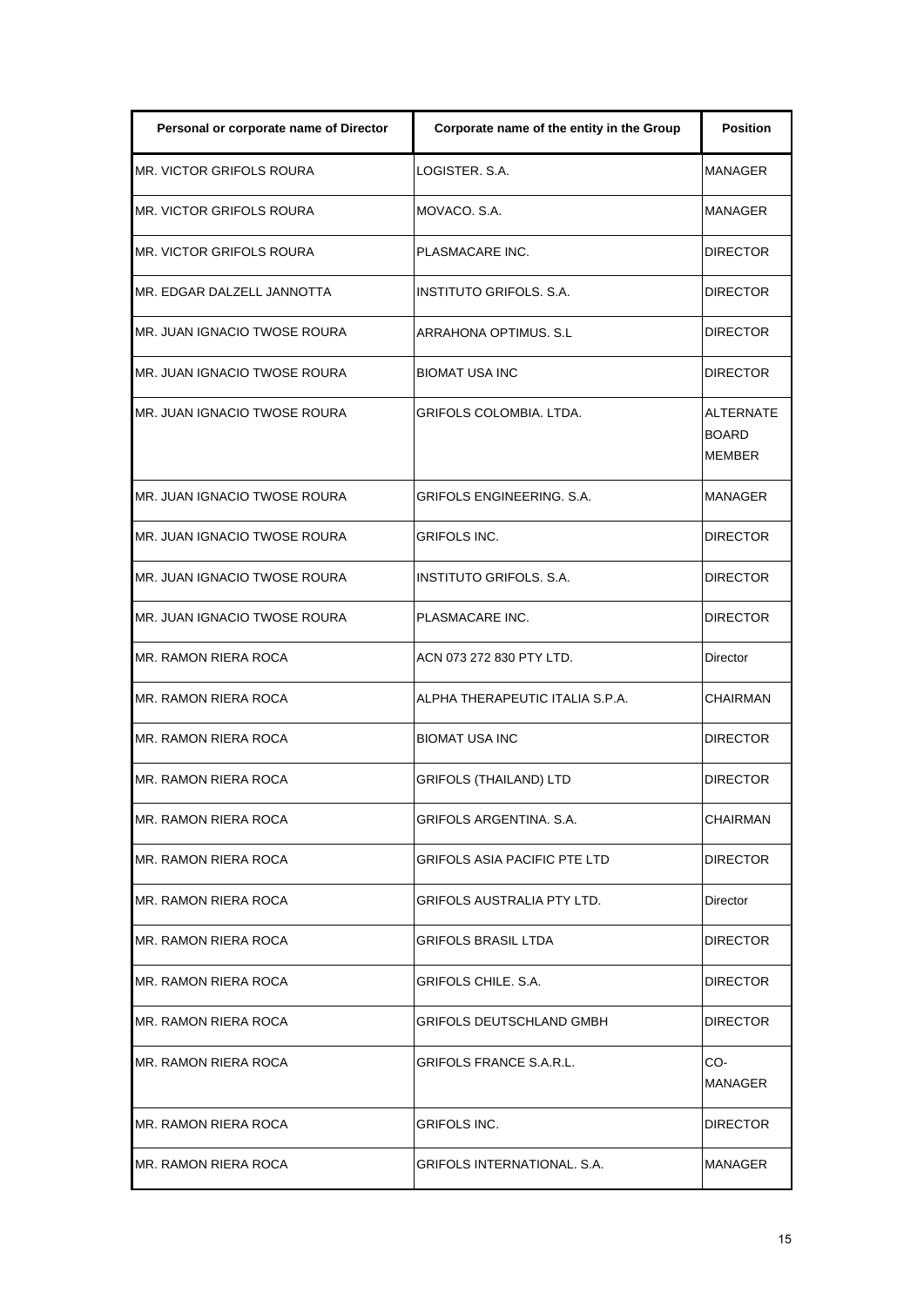| Personal or corporate name of Director | Corporate name of the entity in the Group | <b>Position</b>                                   |
|----------------------------------------|-------------------------------------------|---------------------------------------------------|
| MR. VICTOR GRIFOLS ROURA               | LOGISTER, S.A.                            | <b>MANAGER</b>                                    |
| MR. VICTOR GRIFOLS ROURA               | MOVACO, S.A.                              | MANAGER                                           |
| <b>MR. VICTOR GRIFOLS ROURA</b>        | PLASMACARE INC.                           | <b>DIRECTOR</b>                                   |
| MR. EDGAR DALZELL JANNOTTA             | INSTITUTO GRIFOLS. S.A.                   | <b>DIRECTOR</b>                                   |
| MR. JUAN IGNACIO TWOSE ROURA           | ARRAHONA OPTIMUS. S.L                     | <b>DIRECTOR</b>                                   |
| MR. JUAN IGNACIO TWOSE ROURA           | <b>BIOMAT USA INC</b>                     | <b>DIRECTOR</b>                                   |
| MR. JUAN IGNACIO TWOSE ROURA           | GRIFOLS COLOMBIA. LTDA.                   | <b>ALTERNATE</b><br><b>BOARD</b><br><b>MEMBER</b> |
| MR. JUAN IGNACIO TWOSE ROURA           | GRIFOLS ENGINEERING. S.A.                 | MANAGER                                           |
| MR. JUAN IGNACIO TWOSE ROURA           | GRIFOLS INC.                              | <b>DIRECTOR</b>                                   |
| MR. JUAN IGNACIO TWOSE ROURA           | INSTITUTO GRIFOLS, S.A.                   | <b>DIRECTOR</b>                                   |
| MR. JUAN IGNACIO TWOSE ROURA           | PLASMACARE INC.                           | <b>DIRECTOR</b>                                   |
| MR. RAMON RIERA ROCA                   | ACN 073 272 830 PTY LTD.                  | Director                                          |
| MR. RAMON RIERA ROCA                   | ALPHA THERAPEUTIC ITALIA S.P.A.           | <b>CHAIRMAN</b>                                   |
| MR. RAMON RIERA ROCA                   | BIOMAT USA INC                            | <b>DIRECTOR</b>                                   |
| MR. RAMON RIERA ROCA                   | <b>GRIFOLS (THAILAND) LTD</b>             | <b>DIRECTOR</b>                                   |
| MR. RAMON RIERA ROCA                   | GRIFOLS ARGENTINA. S.A.                   | CHAIRMAN                                          |
| MR. RAMON RIERA ROCA                   | GRIFOLS ASIA PACIFIC PTE LTD              | <b>DIRECTOR</b>                                   |
| <b>MR. RAMON RIERA ROCA</b>            | GRIFOLS AUSTRALIA PTY LTD.                | Director                                          |
| MR. RAMON RIERA ROCA                   | GRIFOLS BRASIL LTDA                       | <b>DIRECTOR</b>                                   |
| MR. RAMON RIERA ROCA                   | GRIFOLS CHILE. S.A.                       | <b>DIRECTOR</b>                                   |
| <b>MR. RAMON RIERA ROCA</b>            | GRIFOLS DEUTSCHLAND GMBH                  | <b>DIRECTOR</b>                                   |
| <b>MR. RAMON RIERA ROCA</b>            | GRIFOLS FRANCE S.A.R.L.                   | CO-<br>MANAGER                                    |
| MR. RAMON RIERA ROCA                   | GRIFOLS INC.                              | <b>DIRECTOR</b>                                   |
| MR. RAMON RIERA ROCA                   | GRIFOLS INTERNATIONAL. S.A.               | MANAGER                                           |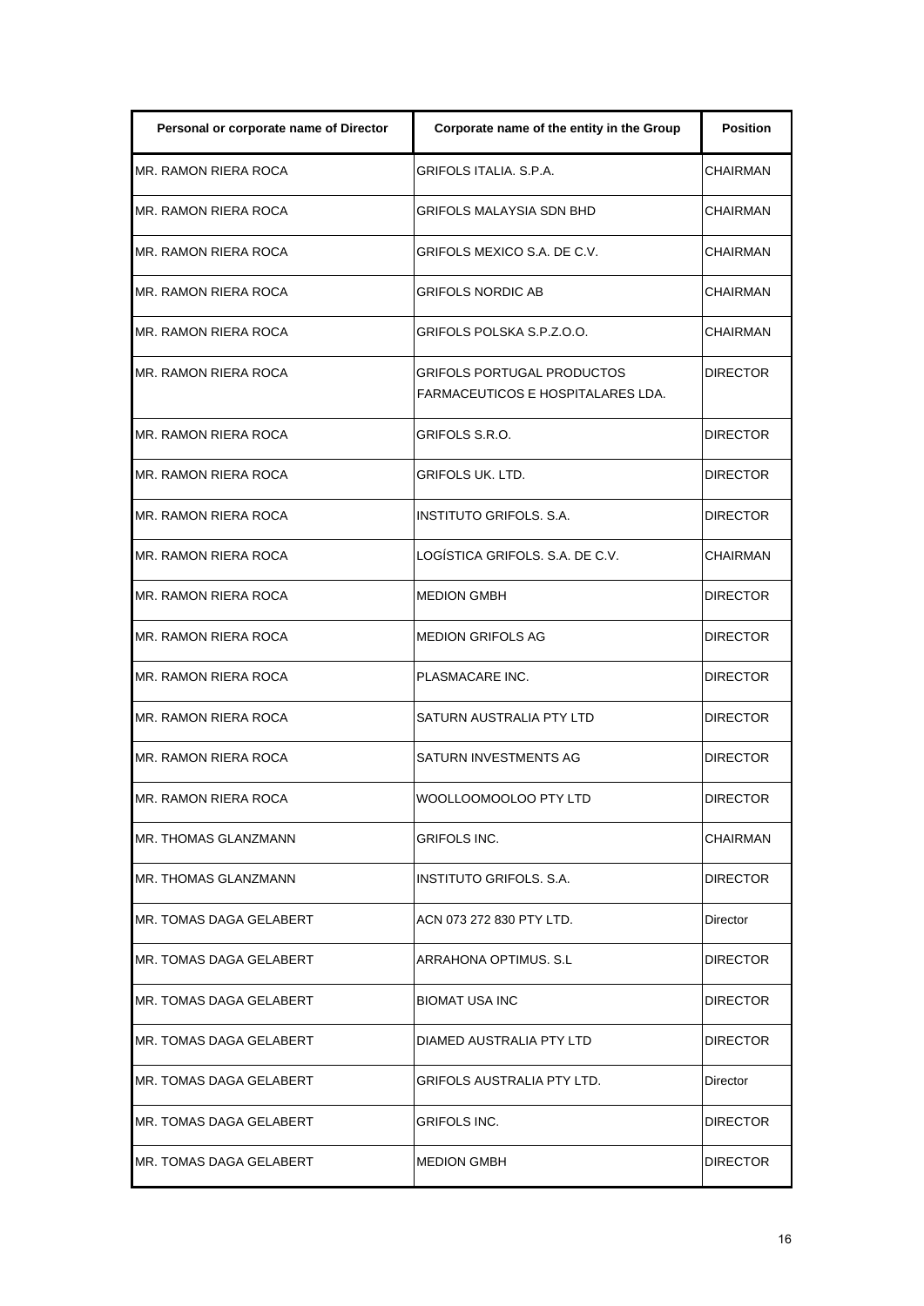| Personal or corporate name of Director | Corporate name of the entity in the Group                       | <b>Position</b> |
|----------------------------------------|-----------------------------------------------------------------|-----------------|
| MR. RAMON RIERA ROCA                   | <b>GRIFOLS ITALIA, S.P.A.</b>                                   | <b>CHAIRMAN</b> |
| MR. RAMON RIERA ROCA                   | <b>GRIFOLS MALAYSIA SDN BHD</b>                                 | CHAIRMAN        |
| MR. RAMON RIERA ROCA                   | GRIFOLS MEXICO S.A. DE C.V.                                     | <b>CHAIRMAN</b> |
| MR. RAMON RIERA ROCA                   | <b>GRIFOLS NORDIC AB</b>                                        | <b>CHAIRMAN</b> |
| MR. RAMON RIERA ROCA                   | GRIFOLS POLSKA S.P.Z.O.O.                                       | CHAIRMAN        |
| MR. RAMON RIERA ROCA                   | GRIFOLS PORTUGAL PRODUCTOS<br>FARMACEUTICOS E HOSPITALARES LDA. | <b>DIRECTOR</b> |
| <b>MR. RAMON RIERA ROCA</b>            | GRIFOLS S.R.O.                                                  | <b>DIRECTOR</b> |
| MR. RAMON RIERA ROCA                   | GRIFOLS UK. LTD.                                                | <b>DIRECTOR</b> |
| MR. RAMON RIERA ROCA                   | INSTITUTO GRIFOLS, S.A.                                         | <b>DIRECTOR</b> |
| MR. RAMON RIERA ROCA                   | LOGÍSTICA GRIFOLS, S.A. DE C.V.                                 | CHAIRMAN        |
| MR. RAMON RIERA ROCA                   | <b>MEDION GMBH</b>                                              | <b>DIRECTOR</b> |
| MR. RAMON RIERA ROCA                   | <b>MEDION GRIFOLS AG</b>                                        | <b>DIRECTOR</b> |
| MR. RAMON RIERA ROCA                   | PLASMACARE INC.                                                 | <b>DIRECTOR</b> |
| MR. RAMON RIERA ROCA                   | SATURN AUSTRALIA PTY LTD                                        | <b>DIRECTOR</b> |
| MR. RAMON RIERA ROCA                   | SATURN INVESTMENTS AG                                           | <b>DIRECTOR</b> |
| MR. RAMON RIERA ROCA                   | WOOLLOOMOOLOO PTY LTD                                           | <b>DIRECTOR</b> |
| MR. THOMAS GLANZMANN                   | GRIFOLS INC.                                                    | CHAIRMAN        |
| MR. THOMAS GLANZMANN                   | INSTITUTO GRIFOLS. S.A.                                         | <b>DIRECTOR</b> |
| MR. TOMAS DAGA GELABERT                | ACN 073 272 830 PTY LTD.                                        | Director        |
| MR. TOMAS DAGA GELABERT                | ARRAHONA OPTIMUS. S.L                                           | <b>DIRECTOR</b> |
| MR. TOMAS DAGA GELABERT                | <b>BIOMAT USA INC</b>                                           | <b>DIRECTOR</b> |
| MR. TOMAS DAGA GELABERT                | DIAMED AUSTRALIA PTY LTD                                        | <b>DIRECTOR</b> |
| MR. TOMAS DAGA GELABERT                | GRIFOLS AUSTRALIA PTY LTD.                                      | Director        |
| MR. TOMAS DAGA GELABERT                | GRIFOLS INC.                                                    | <b>DIRECTOR</b> |
| MR. TOMAS DAGA GELABERT                | <b>MEDION GMBH</b>                                              | <b>DIRECTOR</b> |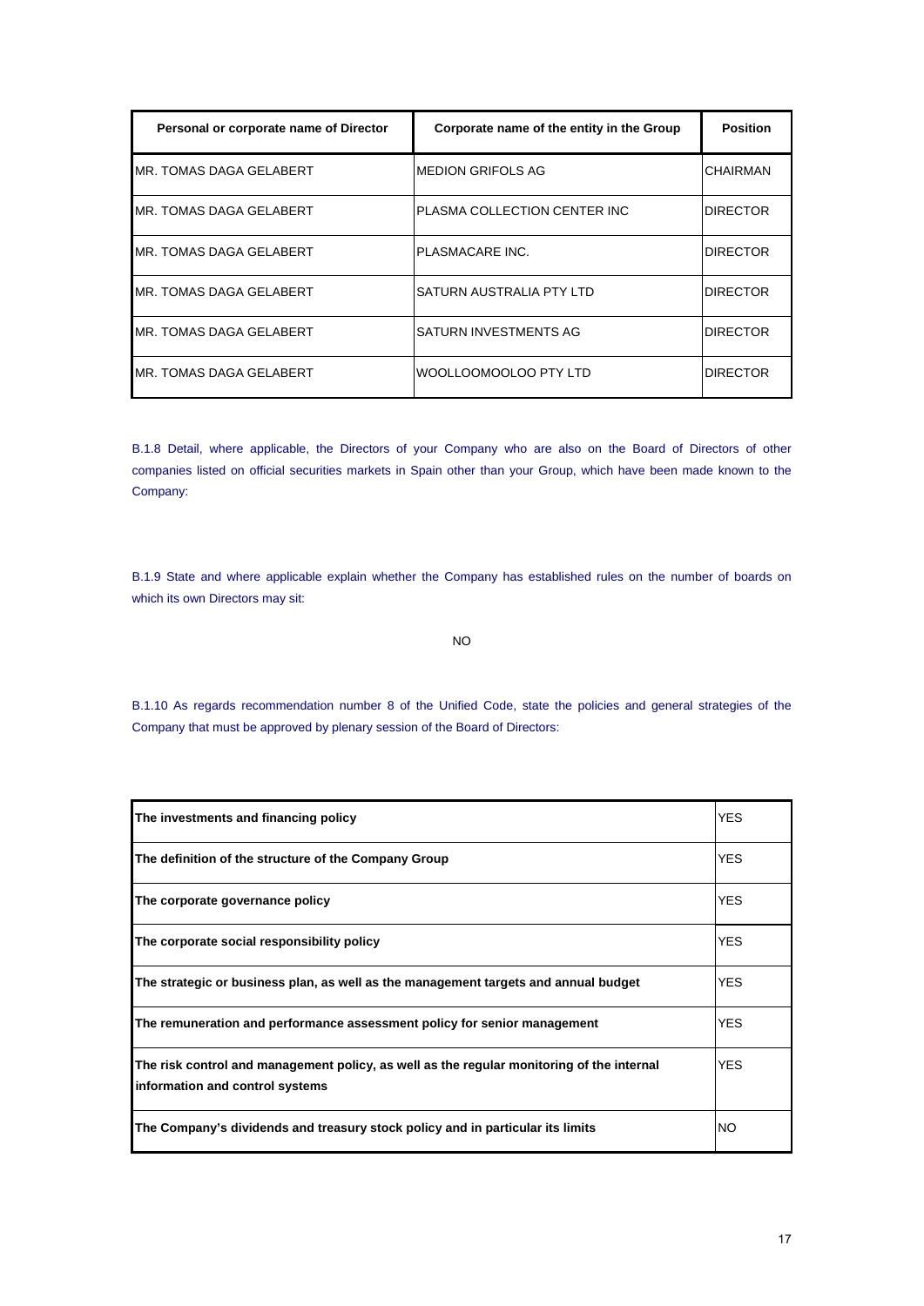| Personal or corporate name of Director | Corporate name of the entity in the Group | <b>Position</b> |
|----------------------------------------|-------------------------------------------|-----------------|
| MR. TOMAS DAGA GELABERT                | <b>MEDION GRIFOLS AG</b>                  | CHAIRMAN        |
| MR. TOMAS DAGA GELABERT                | PLASMA COLLECTION CENTER INC.             | <b>DIRECTOR</b> |
| MR. TOMAS DAGA GELABERT                | PLASMACARE INC.                           | <b>DIRECTOR</b> |
| MR. TOMAS DAGA GELABERT                | SATURN AUSTRALIA PTY LTD                  | <b>DIRECTOR</b> |
| MR. TOMAS DAGA GELABERT                | SATURN INVESTMENTS AG                     | <b>DIRECTOR</b> |
| MR. TOMAS DAGA GELABERT                | WOOLLOOMOOLOO PTY LTD                     | <b>DIRECTOR</b> |

B.1.8 Detail, where applicable, the Directors of your Company who are also on the Board of Directors of other companies listed on official securities markets in Spain other than your Group, which have been made known to the Company:

B.1.9 State and where applicable explain whether the Company has established rules on the number of boards on which its own Directors may sit:

NO

B.1.10 As regards recommendation number 8 of the Unified Code, state the policies and general strategies of the Company that must be approved by plenary session of the Board of Directors:

| The investments and financing policy                                                                                         | <b>YES</b> |
|------------------------------------------------------------------------------------------------------------------------------|------------|
| The definition of the structure of the Company Group                                                                         | YES.       |
| The corporate governance policy                                                                                              | <b>YES</b> |
| The corporate social responsibility policy                                                                                   | <b>YES</b> |
| The strategic or business plan, as well as the management targets and annual budget                                          | YES.       |
| The remuneration and performance assessment policy for senior management                                                     | YES.       |
| The risk control and management policy, as well as the regular monitoring of the internal<br>information and control systems | YES.       |
| The Company's dividends and treasury stock policy and in particular its limits                                               | NO.        |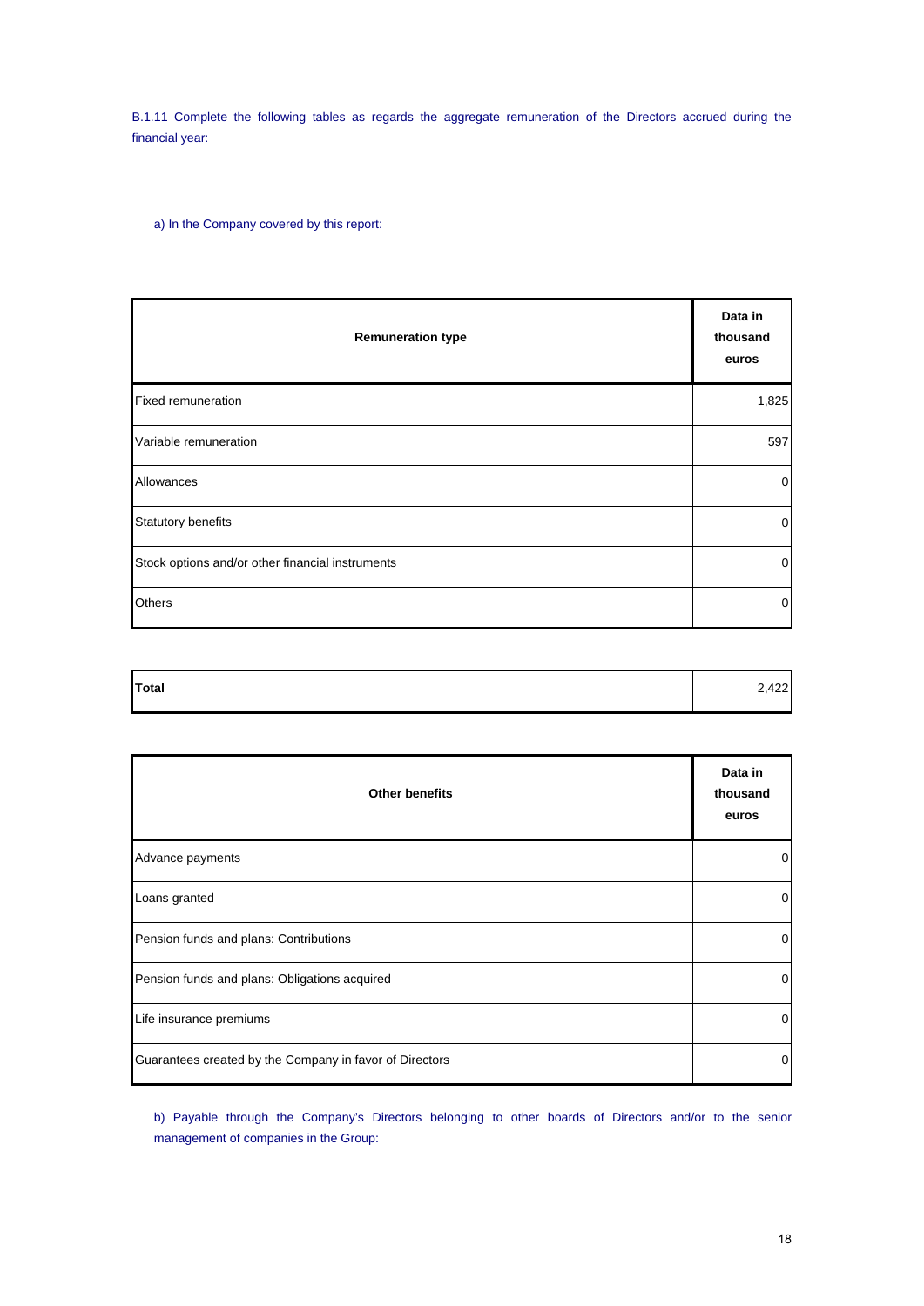B.1.11 Complete the following tables as regards the aggregate remuneration of the Directors accrued during the financial year:

a) In the Company covered by this report:

| <b>Remuneration type</b>                         | Data in<br>thousand<br>euros |
|--------------------------------------------------|------------------------------|
| <b>Fixed remuneration</b>                        | 1,825                        |
| Variable remuneration                            | 597                          |
| Allowances                                       | $\mathbf 0$                  |
| <b>Statutory benefits</b>                        | $\overline{0}$               |
| Stock options and/or other financial instruments | $\mathbf 0$                  |
| <b>Others</b>                                    | $\overline{0}$               |

| Total | $\sim$<br>$\Delta$<br>42Z I |
|-------|-----------------------------|
|       |                             |

| <b>Other benefits</b>                                   | Data in<br>thousand<br>euros |
|---------------------------------------------------------|------------------------------|
| Advance payments                                        | 0                            |
| Loans granted                                           | 0                            |
| Pension funds and plans: Contributions                  | 0                            |
| Pension funds and plans: Obligations acquired           | 0                            |
| Life insurance premiums                                 | 0                            |
| Guarantees created by the Company in favor of Directors | $\Omega$                     |

b) Payable through the Company's Directors belonging to other boards of Directors and/or to the senior management of companies in the Group: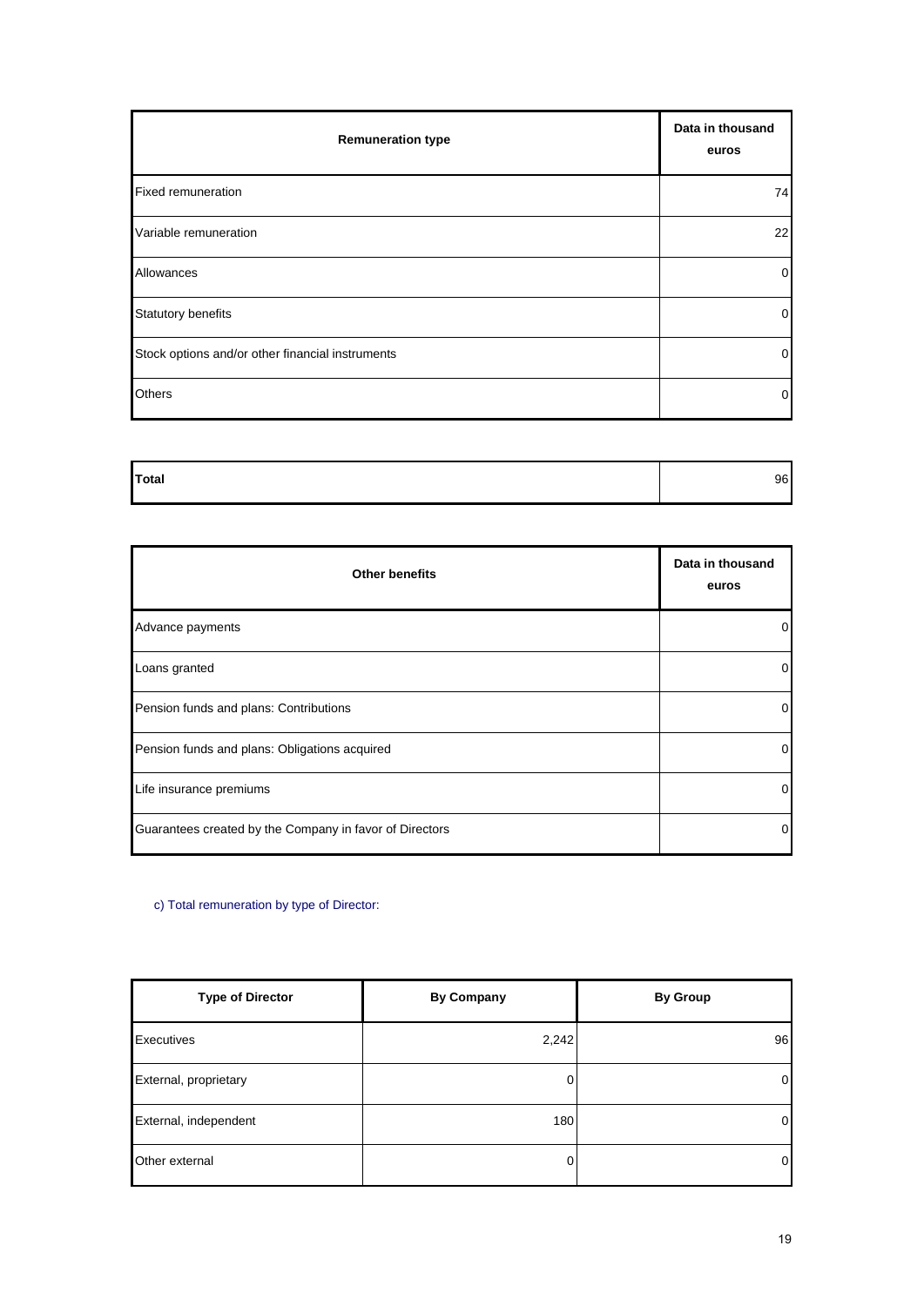| <b>Remuneration type</b>                         | Data in thousand<br>euros |
|--------------------------------------------------|---------------------------|
| <b>Fixed remuneration</b>                        | 74                        |
| Variable remuneration                            | 22                        |
| Allowances                                       | $\overline{0}$            |
| <b>Statutory benefits</b>                        | $\overline{0}$            |
| Stock options and/or other financial instruments | $\overline{0}$            |
| <b>Others</b>                                    | $\overline{0}$            |

| Total | 96 |
|-------|----|
|       |    |
|       |    |

| <b>Other benefits</b>                                   | Data in thousand<br>euros |
|---------------------------------------------------------|---------------------------|
| Advance payments                                        | $\overline{0}$            |
| Loans granted                                           | $\overline{0}$            |
| Pension funds and plans: Contributions                  | $\overline{0}$            |
| Pension funds and plans: Obligations acquired           | $\overline{0}$            |
| Life insurance premiums                                 | $\overline{0}$            |
| Guarantees created by the Company in favor of Directors | $\overline{0}$            |

c) Total remuneration by type of Director:

| <b>Type of Director</b> | <b>By Company</b> | <b>By Group</b> |
|-------------------------|-------------------|-----------------|
| Executives              | 2,242             | 96              |
| External, proprietary   | 0                 | $\overline{0}$  |
| External, independent   | 180               | 0               |
| Other external          | 0                 | 0               |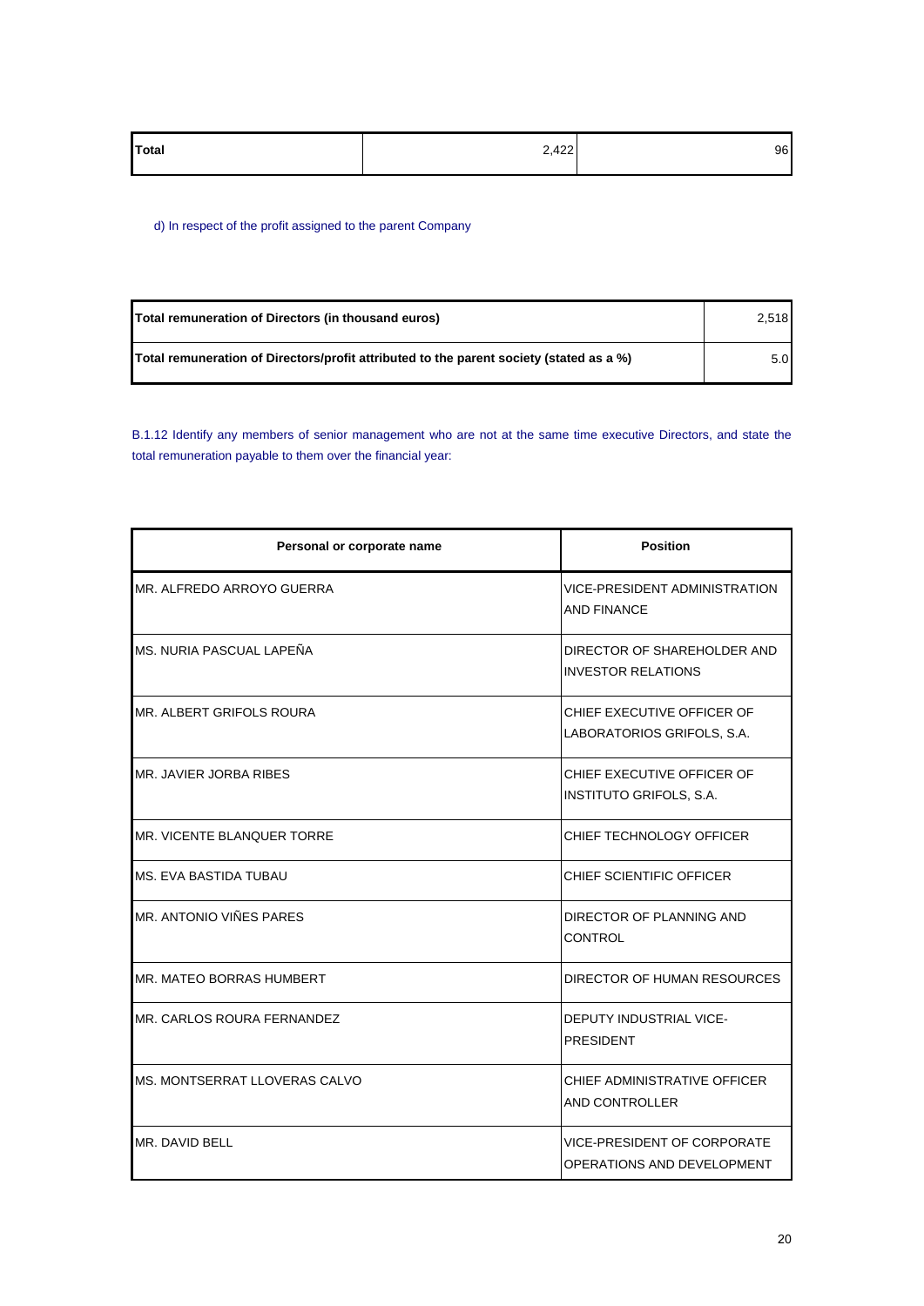| Total | 2,422<br>$\cdot$ $\sim$ | 96 |
|-------|-------------------------|----|
|       |                         |    |

d) In respect of the profit assigned to the parent Company

| Total remuneration of Directors (in thousand euros)                                     | 2.518 |
|-----------------------------------------------------------------------------------------|-------|
| Total remuneration of Directors/profit attributed to the parent society (stated as a %) | 5.0   |

B.1.12 Identify any members of senior management who are not at the same time executive Directors, and state the total remuneration payable to them over the financial year:

| Personal or corporate name           | <b>Position</b>                                           |
|--------------------------------------|-----------------------------------------------------------|
| MR. ALFREDO ARROYO GUERRA            | <b>VICE-PRESIDENT ADMINISTRATION</b><br>AND FINANCE       |
| MS. NURIA PASCUAL LAPEÑA             | DIRECTOR OF SHAREHOLDER AND<br><b>INVESTOR RELATIONS</b>  |
| MR. ALBERT GRIFOLS ROURA             | CHIEF EXECUTIVE OFFICER OF<br>LABORATORIOS GRIFOLS, S.A.  |
| MR. JAVIER JORBA RIBES               | CHIEF EXECUTIVE OFFICER OF<br>INSTITUTO GRIFOLS, S.A.     |
| MR. VICENTE BLANQUER TORRE           | CHIEF TECHNOLOGY OFFICER                                  |
| MS. EVA BASTIDA TUBAU                | CHIEF SCIENTIFIC OFFICER                                  |
| MR. ANTONIO VIÑES PARES              | DIRECTOR OF PLANNING AND<br>CONTROL                       |
| MR. MATEO BORRAS HUMBERT             | DIRECTOR OF HUMAN RESOURCES                               |
| MR. CARLOS ROURA FERNANDEZ           | DEPUTY INDUSTRIAL VICE-<br><b>PRESIDENT</b>               |
| <b>MS. MONTSERRAT LLOVERAS CALVO</b> | CHIEF ADMINISTRATIVE OFFICER<br>AND CONTROLLER            |
| MR. DAVID BELL                       | VICE-PRESIDENT OF CORPORATE<br>OPERATIONS AND DEVELOPMENT |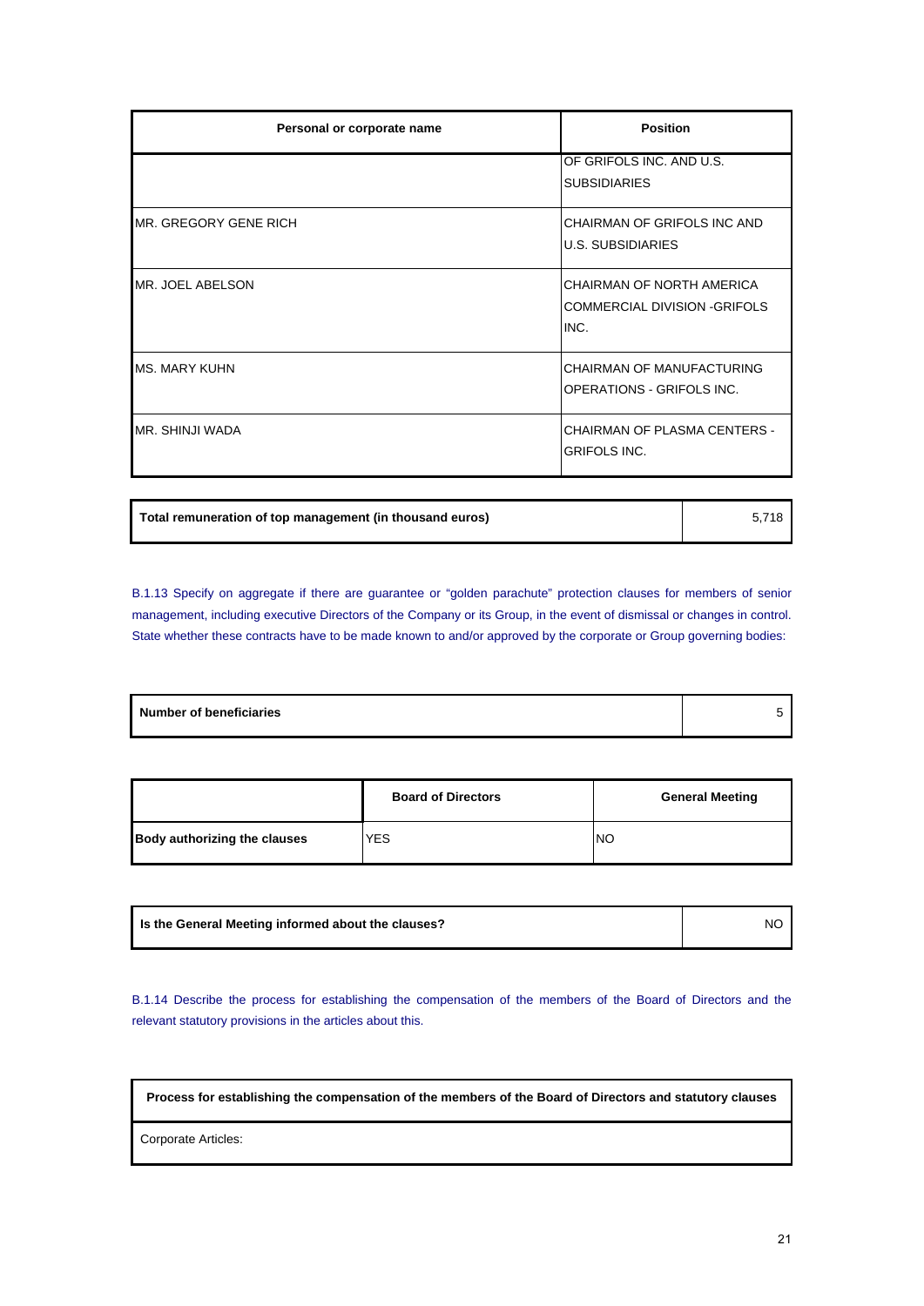| Personal or corporate name | <b>Position</b>                                                          |
|----------------------------|--------------------------------------------------------------------------|
|                            | OF GRIFOLS INC. AND U.S.<br><b>SUBSIDIARIES</b>                          |
| MR. GREGORY GENE RICH      | CHAIRMAN OF GRIFOLS INC AND<br><b>U.S. SUBSIDIARIES</b>                  |
| MR. JOEL ABELSON           | CHAIRMAN OF NORTH AMERICA<br><b>COMMERCIAL DIVISION -GRIFOLS</b><br>INC. |
| <b>MS. MARY KUHN</b>       | CHAIRMAN OF MANUFACTURING<br><b>OPERATIONS - GRIFOLS INC.</b>            |
| MR. SHINJI WADA            | <b>CHAIRMAN OF PLASMA CENTERS -</b><br><b>GRIFOLS INC.</b>               |

**Total remuneration of top management (in thousand euros)** 5,718

B.1.13 Specify on aggregate if there are guarantee or "golden parachute" protection clauses for members of senior management, including executive Directors of the Company or its Group, in the event of dismissal or changes in control. State whether these contracts have to be made known to and/or approved by the corporate or Group governing bodies:

|                                     | <b>Board of Directors</b> | <b>General Meeting</b> |
|-------------------------------------|---------------------------|------------------------|
| <b>Body authorizing the clauses</b> | <b>YES</b>                | NO                     |

| Is the General Meeting informed about the clauses? | <b>NO</b> |
|----------------------------------------------------|-----------|
|                                                    |           |

B.1.14 Describe the process for establishing the compensation of the members of the Board of Directors and the relevant statutory provisions in the articles about this.

**Process for establishing the compensation of the members of the Board of Directors and statutory clauses**

Corporate Articles: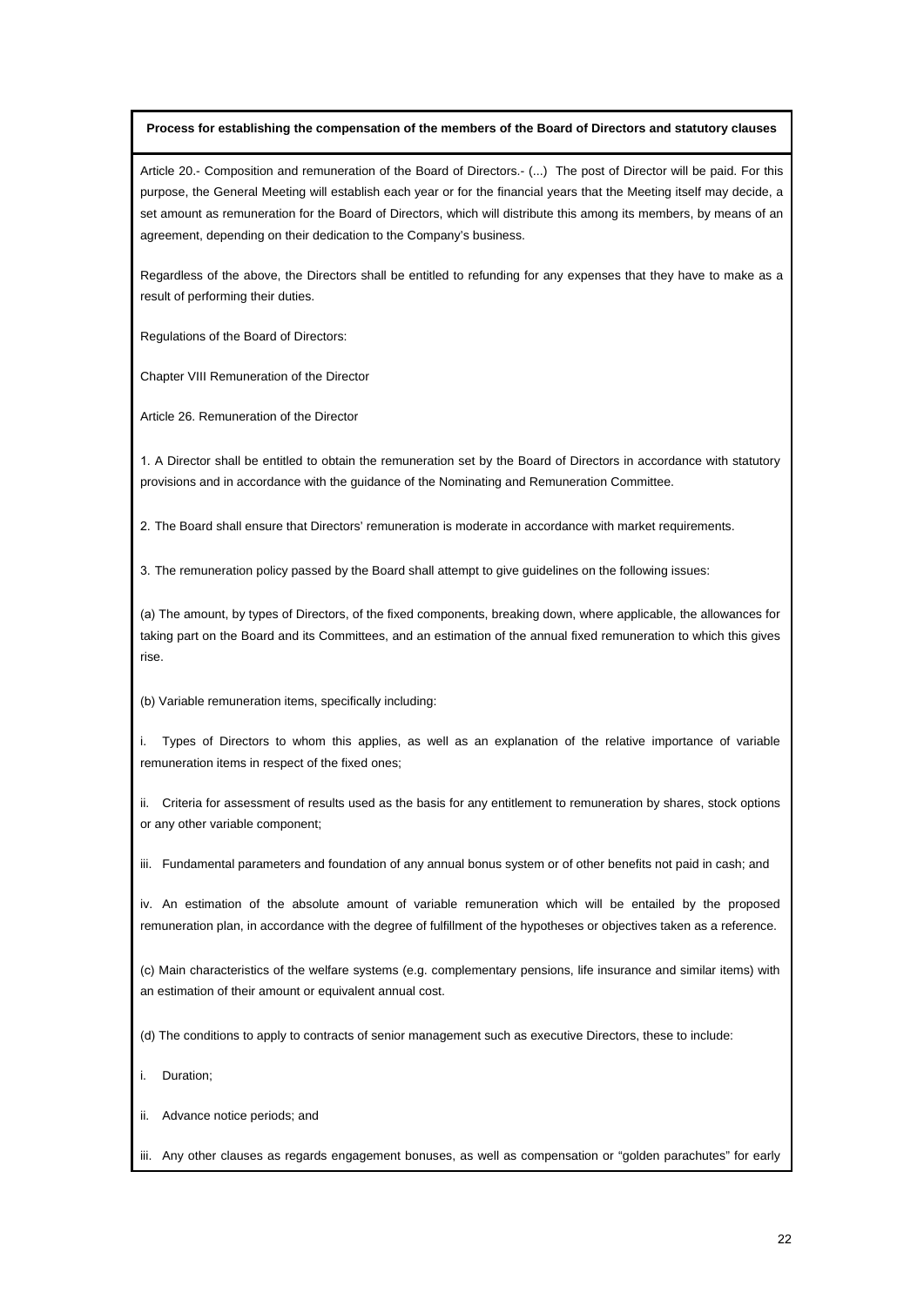#### **Process for establishing the compensation of the members of the Board of Directors and statutory clauses**

Article 20.- Composition and remuneration of the Board of Directors.- (...) The post of Director will be paid. For this purpose, the General Meeting will establish each year or for the financial years that the Meeting itself may decide, a set amount as remuneration for the Board of Directors, which will distribute this among its members, by means of an agreement, depending on their dedication to the Company's business.

Regardless of the above, the Directors shall be entitled to refunding for any expenses that they have to make as a result of performing their duties.

Regulations of the Board of Directors:

Chapter VIII Remuneration of the Director

Article 26. Remuneration of the Director

1. A Director shall be entitled to obtain the remuneration set by the Board of Directors in accordance with statutory provisions and in accordance with the guidance of the Nominating and Remuneration Committee.

2. The Board shall ensure that Directors' remuneration is moderate in accordance with market requirements.

3. The remuneration policy passed by the Board shall attempt to give guidelines on the following issues:

(a) The amount, by types of Directors, of the fixed components, breaking down, where applicable, the allowances for taking part on the Board and its Committees, and an estimation of the annual fixed remuneration to which this gives rise.

(b) Variable remuneration items, specifically including:

i. Types of Directors to whom this applies, as well as an explanation of the relative importance of variable remuneration items in respect of the fixed ones;

ii. Criteria for assessment of results used as the basis for any entitlement to remuneration by shares, stock options or any other variable component;

iii. Fundamental parameters and foundation of any annual bonus system or of other benefits not paid in cash; and

iv. An estimation of the absolute amount of variable remuneration which will be entailed by the proposed remuneration plan, in accordance with the degree of fulfillment of the hypotheses or objectives taken as a reference.

(c) Main characteristics of the welfare systems (e.g. complementary pensions, life insurance and similar items) with an estimation of their amount or equivalent annual cost.

(d) The conditions to apply to contracts of senior management such as executive Directors, these to include:

i. Duration;

ii. Advance notice periods; and

iii. Any other clauses as regards engagement bonuses, as well as compensation or "golden parachutes" for early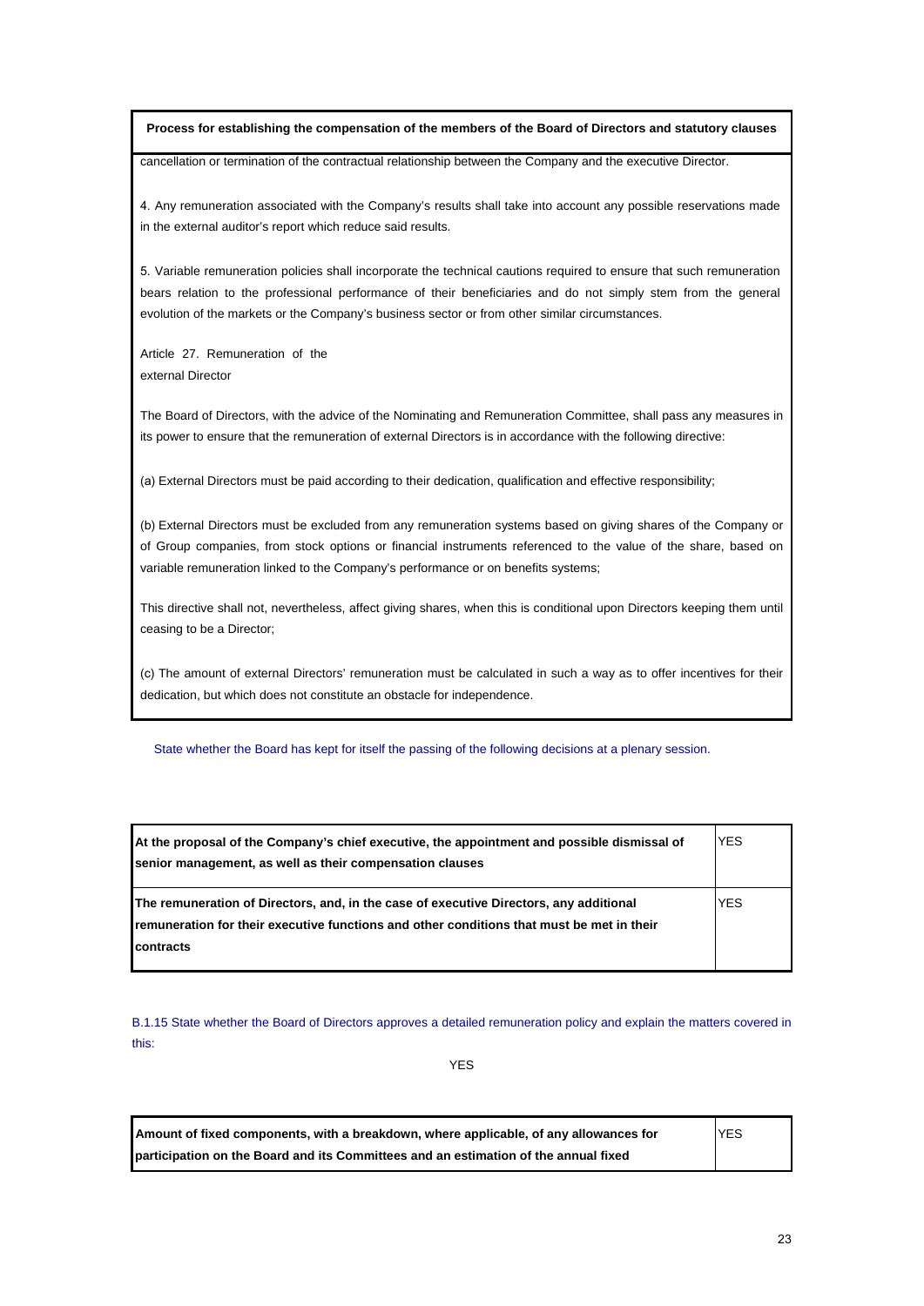## **Process for establishing the compensation of the members of the Board of Directors and statutory clauses**

cancellation or termination of the contractual relationship between the Company and the executive Director.

4. Any remuneration associated with the Company's results shall take into account any possible reservations made in the external auditor's report which reduce said results.

5. Variable remuneration policies shall incorporate the technical cautions required to ensure that such remuneration bears relation to the professional performance of their beneficiaries and do not simply stem from the general evolution of the markets or the Company's business sector or from other similar circumstances.

Article 27. Remuneration of the external Director

The Board of Directors, with the advice of the Nominating and Remuneration Committee, shall pass any measures in its power to ensure that the remuneration of external Directors is in accordance with the following directive:

(a) External Directors must be paid according to their dedication, qualification and effective responsibility;

(b) External Directors must be excluded from any remuneration systems based on giving shares of the Company or of Group companies, from stock options or financial instruments referenced to the value of the share, based on variable remuneration linked to the Company's performance or on benefits systems;

This directive shall not, nevertheless, affect giving shares, when this is conditional upon Directors keeping them until ceasing to be a Director;

(c) The amount of external Directors' remuneration must be calculated in such a way as to offer incentives for their dedication, but which does not constitute an obstacle for independence.

State whether the Board has kept for itself the passing of the following decisions at a plenary session.

| At the proposal of the Company's chief executive, the appointment and possible dismissal of<br>senior management, as well as their compensation clauses                                                  | <b>YES</b> |
|----------------------------------------------------------------------------------------------------------------------------------------------------------------------------------------------------------|------------|
| The remuneration of Directors, and, in the case of executive Directors, any additional<br><b>Iremuneration for their executive functions and other conditions that must be met in their</b><br>contracts | <b>YES</b> |

B.1.15 State whether the Board of Directors approves a detailed remuneration policy and explain the matters covered in this:

YES

| Amount of fixed components, with a breakdown, where applicable, of any allowances for | <b>YES</b> |
|---------------------------------------------------------------------------------------|------------|
| participation on the Board and its Committees and an estimation of the annual fixed   |            |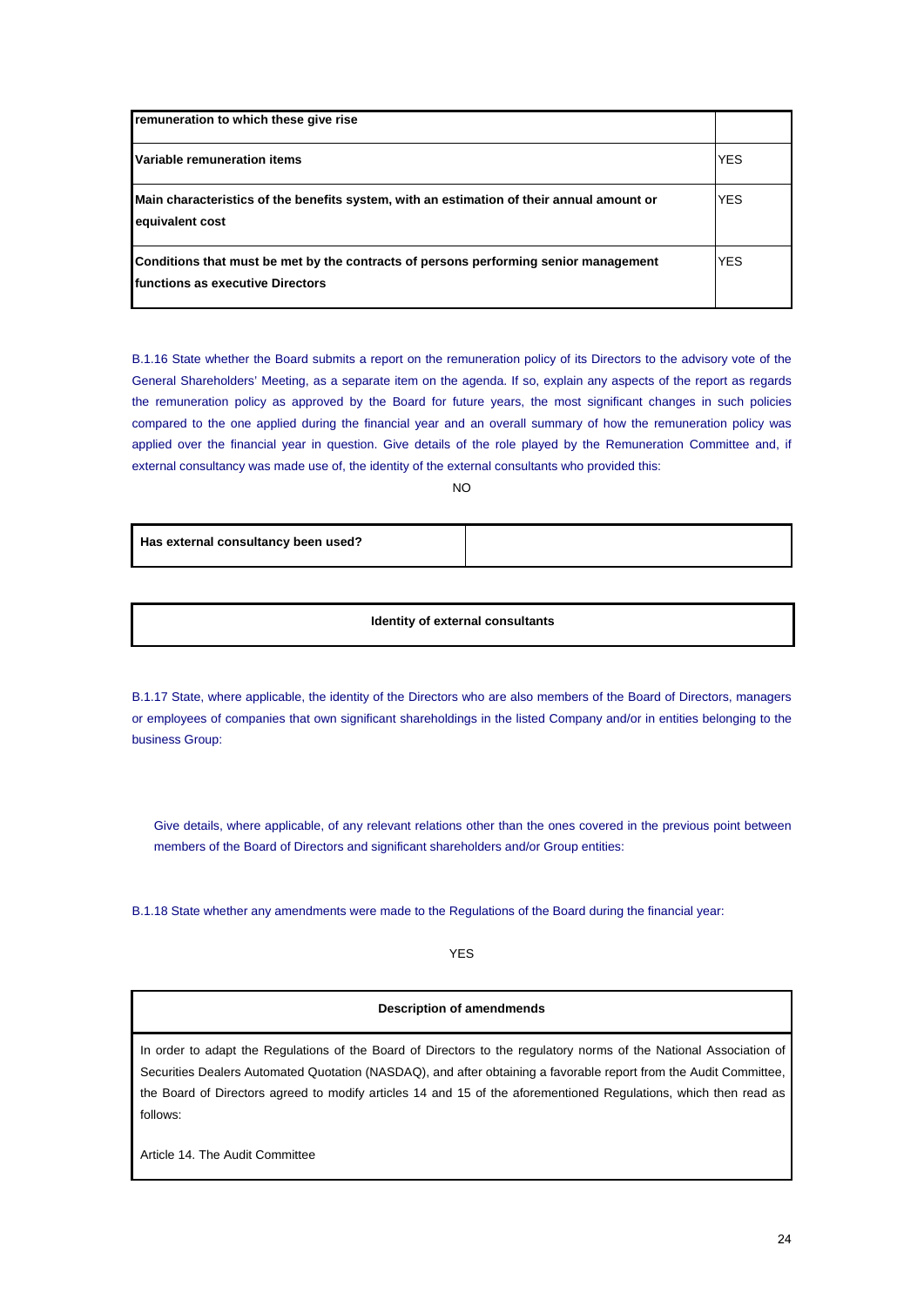| remuneration to which these give rise                                                                                            |            |
|----------------------------------------------------------------------------------------------------------------------------------|------------|
| Variable remuneration items                                                                                                      | <b>YES</b> |
| Main characteristics of the benefits system, with an estimation of their annual amount or<br>equivalent cost                     | <b>YES</b> |
| Conditions that must be met by the contracts of persons performing senior management<br><b>Ifunctions as executive Directors</b> | <b>YES</b> |

B.1.16 State whether the Board submits a report on the remuneration policy of its Directors to the advisory vote of the General Shareholders' Meeting, as a separate item on the agenda. If so, explain any aspects of the report as regards the remuneration policy as approved by the Board for future years, the most significant changes in such policies compared to the one applied during the financial year and an overall summary of how the remuneration policy was applied over the financial year in question. Give details of the role played by the Remuneration Committee and, if external consultancy was made use of, the identity of the external consultants who provided this:

NO

**Has external consultancy been used?**

**Identity of external consultants** 

B.1.17 State, where applicable, the identity of the Directors who are also members of the Board of Directors, managers or employees of companies that own significant shareholdings in the listed Company and/or in entities belonging to the business Group:

Give details, where applicable, of any relevant relations other than the ones covered in the previous point between members of the Board of Directors and significant shareholders and/or Group entities:

B.1.18 State whether any amendments were made to the Regulations of the Board during the financial year:

YES

## **Description of amendmends**

In order to adapt the Regulations of the Board of Directors to the regulatory norms of the National Association of Securities Dealers Automated Quotation (NASDAQ), and after obtaining a favorable report from the Audit Committee, the Board of Directors agreed to modify articles 14 and 15 of the aforementioned Regulations, which then read as follows:

Article 14. The Audit Committee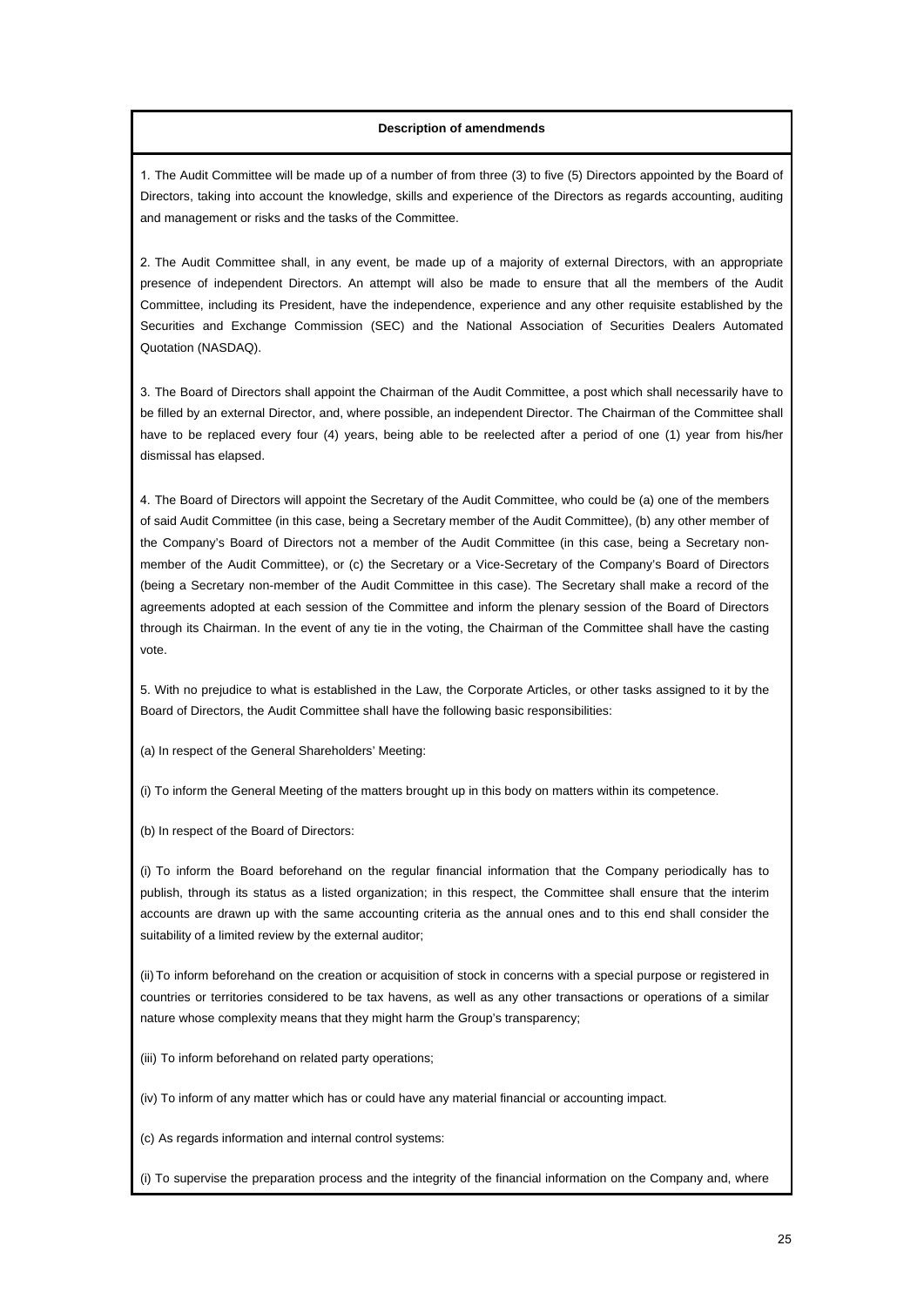1. The Audit Committee will be made up of a number of from three (3) to five (5) Directors appointed by the Board of Directors, taking into account the knowledge, skills and experience of the Directors as regards accounting, auditing and management or risks and the tasks of the Committee.

2. The Audit Committee shall, in any event, be made up of a majority of external Directors, with an appropriate presence of independent Directors. An attempt will also be made to ensure that all the members of the Audit Committee, including its President, have the independence, experience and any other requisite established by the Securities and Exchange Commission (SEC) and the National Association of Securities Dealers Automated Quotation (NASDAQ).

3. The Board of Directors shall appoint the Chairman of the Audit Committee, a post which shall necessarily have to be filled by an external Director, and, where possible, an independent Director. The Chairman of the Committee shall have to be replaced every four (4) years, being able to be reelected after a period of one (1) year from his/her dismissal has elapsed.

4. The Board of Directors will appoint the Secretary of the Audit Committee, who could be (a) one of the members of said Audit Committee (in this case, being a Secretary member of the Audit Committee), (b) any other member of the Company's Board of Directors not a member of the Audit Committee (in this case, being a Secretary nonmember of the Audit Committee), or (c) the Secretary or a Vice-Secretary of the Company's Board of Directors (being a Secretary non-member of the Audit Committee in this case). The Secretary shall make a record of the agreements adopted at each session of the Committee and inform the plenary session of the Board of Directors through its Chairman. In the event of any tie in the voting, the Chairman of the Committee shall have the casting vote.

5. With no prejudice to what is established in the Law, the Corporate Articles, or other tasks assigned to it by the Board of Directors, the Audit Committee shall have the following basic responsibilities:

(a) In respect of the General Shareholders' Meeting:

(i) To inform the General Meeting of the matters brought up in this body on matters within its competence.

(b) In respect of the Board of Directors:

(i) To inform the Board beforehand on the regular financial information that the Company periodically has to publish, through its status as a listed organization; in this respect, the Committee shall ensure that the interim accounts are drawn up with the same accounting criteria as the annual ones and to this end shall consider the suitability of a limited review by the external auditor;

(ii) To inform beforehand on the creation or acquisition of stock in concerns with a special purpose or registered in countries or territories considered to be tax havens, as well as any other transactions or operations of a similar nature whose complexity means that they might harm the Group's transparency;

(iii) To inform beforehand on related party operations;

(iv) To inform of any matter which has or could have any material financial or accounting impact.

(c) As regards information and internal control systems:

(i) To supervise the preparation process and the integrity of the financial information on the Company and, where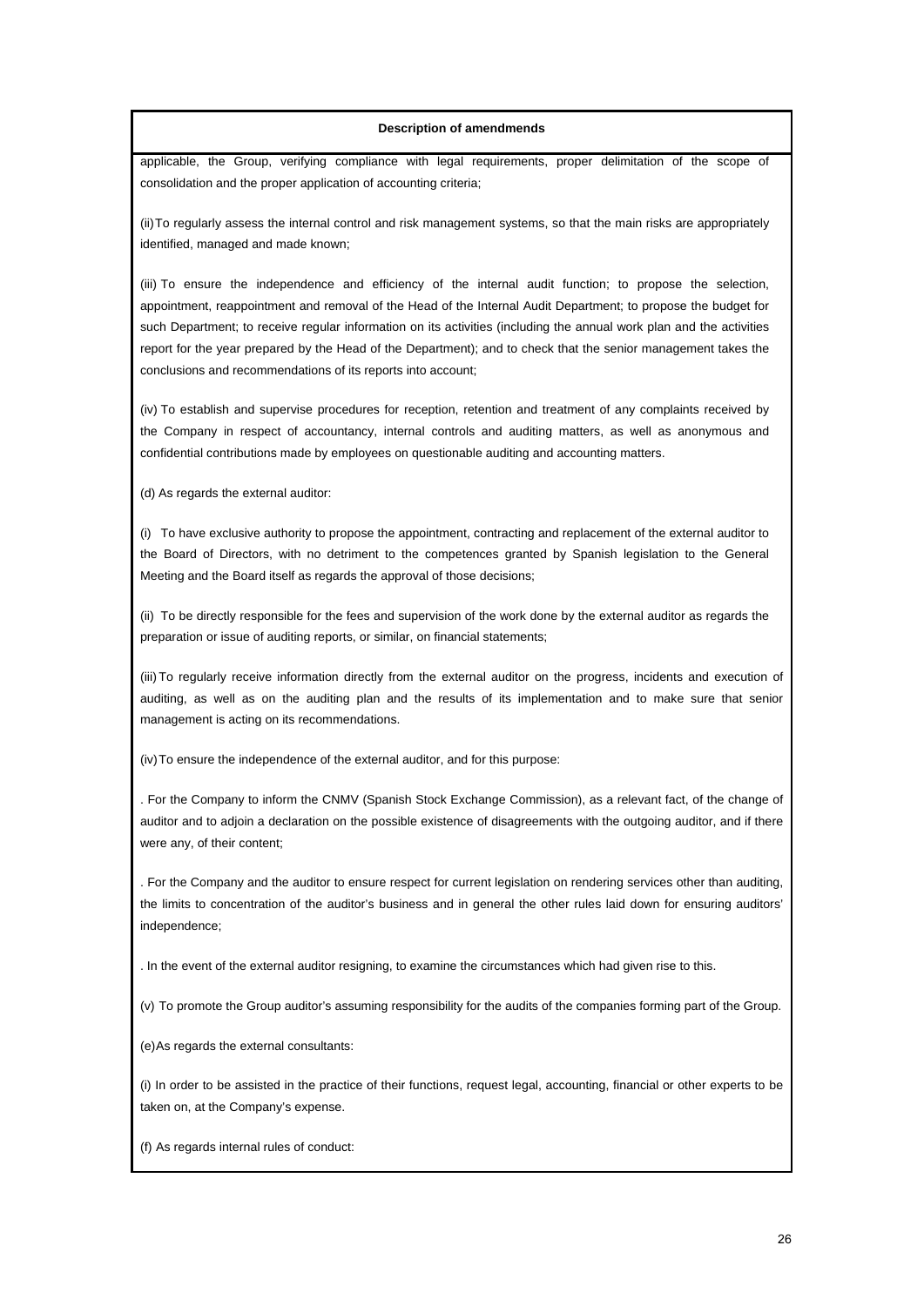applicable, the Group, verifying compliance with legal requirements, proper delimitation of the scope of consolidation and the proper application of accounting criteria;

(ii) To regularly assess the internal control and risk management systems, so that the main risks are appropriately identified, managed and made known;

(iii) To ensure the independence and efficiency of the internal audit function; to propose the selection, appointment, reappointment and removal of the Head of the Internal Audit Department; to propose the budget for such Department; to receive regular information on its activities (including the annual work plan and the activities report for the year prepared by the Head of the Department); and to check that the senior management takes the conclusions and recommendations of its reports into account;

(iv) To establish and supervise procedures for reception, retention and treatment of any complaints received by the Company in respect of accountancy, internal controls and auditing matters, as well as anonymous and confidential contributions made by employees on questionable auditing and accounting matters.

(d) As regards the external auditor:

(i) To have exclusive authority to propose the appointment, contracting and replacement of the external auditor to the Board of Directors, with no detriment to the competences granted by Spanish legislation to the General Meeting and the Board itself as regards the approval of those decisions;

(ii) To be directly responsible for the fees and supervision of the work done by the external auditor as regards the preparation or issue of auditing reports, or similar, on financial statements;

(iii) To regularly receive information directly from the external auditor on the progress, incidents and execution of auditing, as well as on the auditing plan and the results of its implementation and to make sure that senior management is acting on its recommendations.

(iv) To ensure the independence of the external auditor, and for this purpose:

. For the Company to inform the CNMV (Spanish Stock Exchange Commission), as a relevant fact, of the change of auditor and to adjoin a declaration on the possible existence of disagreements with the outgoing auditor, and if there were any, of their content;

. For the Company and the auditor to ensure respect for current legislation on rendering services other than auditing, the limits to concentration of the auditor's business and in general the other rules laid down for ensuring auditors' independence;

. In the event of the external auditor resigning, to examine the circumstances which had given rise to this.

(v) To promote the Group auditor's assuming responsibility for the audits of the companies forming part of the Group.

(e) As regards the external consultants:

(i) In order to be assisted in the practice of their functions, request legal, accounting, financial or other experts to be taken on, at the Company's expense.

(f) As regards internal rules of conduct: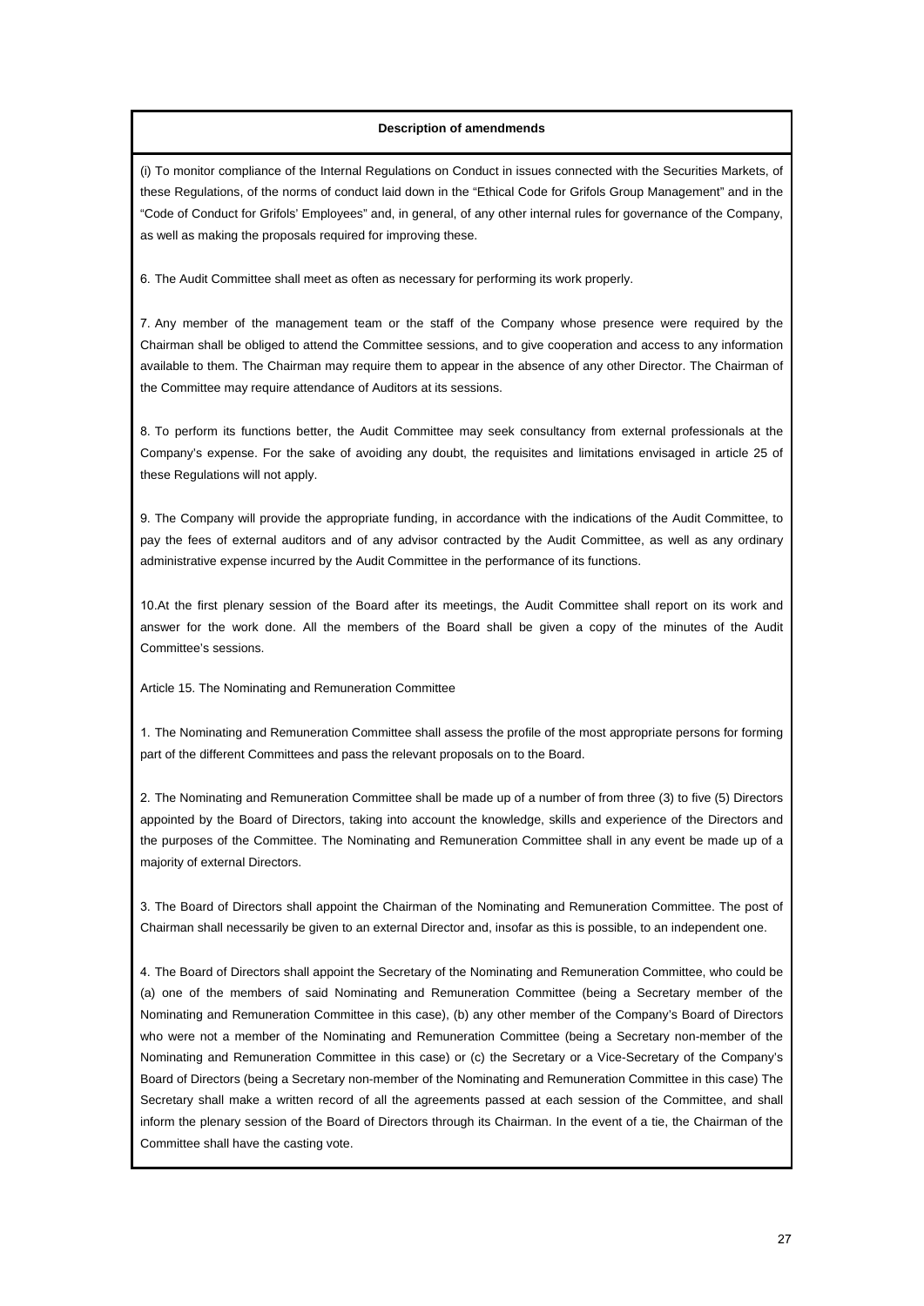(i) To monitor compliance of the Internal Regulations on Conduct in issues connected with the Securities Markets, of these Regulations, of the norms of conduct laid down in the "Ethical Code for Grifols Group Management" and in the "Code of Conduct for Grifols' Employees" and, in general, of any other internal rules for governance of the Company, as well as making the proposals required for improving these.

6. The Audit Committee shall meet as often as necessary for performing its work properly.

7. Any member of the management team or the staff of the Company whose presence were required by the Chairman shall be obliged to attend the Committee sessions, and to give cooperation and access to any information available to them. The Chairman may require them to appear in the absence of any other Director. The Chairman of the Committee may require attendance of Auditors at its sessions.

8. To perform its functions better, the Audit Committee may seek consultancy from external professionals at the Company's expense. For the sake of avoiding any doubt, the requisites and limitations envisaged in article 25 of these Regulations will not apply.

9. The Company will provide the appropriate funding, in accordance with the indications of the Audit Committee, to pay the fees of external auditors and of any advisor contracted by the Audit Committee, as well as any ordinary administrative expense incurred by the Audit Committee in the performance of its functions.

10.At the first plenary session of the Board after its meetings, the Audit Committee shall report on its work and answer for the work done. All the members of the Board shall be given a copy of the minutes of the Audit Committee's sessions.

Article 15. The Nominating and Remuneration Committee

1. The Nominating and Remuneration Committee shall assess the profile of the most appropriate persons for forming part of the different Committees and pass the relevant proposals on to the Board.

2. The Nominating and Remuneration Committee shall be made up of a number of from three (3) to five (5) Directors appointed by the Board of Directors, taking into account the knowledge, skills and experience of the Directors and the purposes of the Committee. The Nominating and Remuneration Committee shall in any event be made up of a majority of external Directors.

3. The Board of Directors shall appoint the Chairman of the Nominating and Remuneration Committee. The post of Chairman shall necessarily be given to an external Director and, insofar as this is possible, to an independent one.

4. The Board of Directors shall appoint the Secretary of the Nominating and Remuneration Committee, who could be (a) one of the members of said Nominating and Remuneration Committee (being a Secretary member of the Nominating and Remuneration Committee in this case), (b) any other member of the Company's Board of Directors who were not a member of the Nominating and Remuneration Committee (being a Secretary non-member of the Nominating and Remuneration Committee in this case) or (c) the Secretary or a Vice-Secretary of the Company's Board of Directors (being a Secretary non-member of the Nominating and Remuneration Committee in this case) The Secretary shall make a written record of all the agreements passed at each session of the Committee, and shall inform the plenary session of the Board of Directors through its Chairman. In the event of a tie, the Chairman of the Committee shall have the casting vote.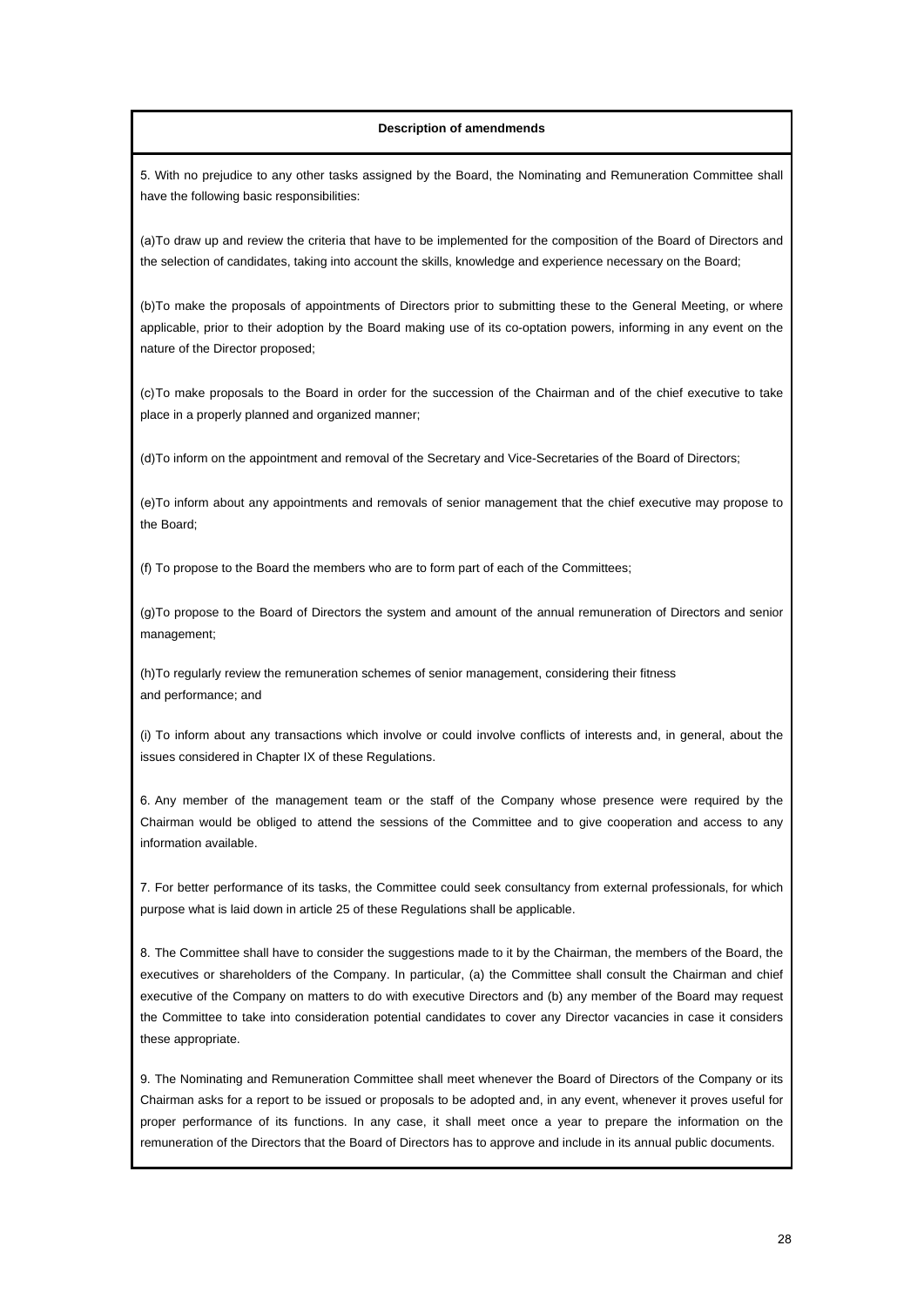5. With no prejudice to any other tasks assigned by the Board, the Nominating and Remuneration Committee shall have the following basic responsibilities:

(a)To draw up and review the criteria that have to be implemented for the composition of the Board of Directors and the selection of candidates, taking into account the skills, knowledge and experience necessary on the Board;

(b)To make the proposals of appointments of Directors prior to submitting these to the General Meeting, or where applicable, prior to their adoption by the Board making use of its co-optation powers, informing in any event on the nature of the Director proposed;

(c) To make proposals to the Board in order for the succession of the Chairman and of the chief executive to take place in a properly planned and organized manner;

(d)To inform on the appointment and removal of the Secretary and Vice-Secretaries of the Board of Directors;

(e)To inform about any appointments and removals of senior management that the chief executive may propose to the Board;

(f) To propose to the Board the members who are to form part of each of the Committees;

(g)To propose to the Board of Directors the system and amount of the annual remuneration of Directors and senior management;

(h) To regularly review the remuneration schemes of senior management, considering their fitness and performance; and

(i) To inform about any transactions which involve or could involve conflicts of interests and, in general, about the issues considered in Chapter IX of these Regulations.

6. Any member of the management team or the staff of the Company whose presence were required by the Chairman would be obliged to attend the sessions of the Committee and to give cooperation and access to any information available.

7. For better performance of its tasks, the Committee could seek consultancy from external professionals, for which purpose what is laid down in article 25 of these Regulations shall be applicable.

8. The Committee shall have to consider the suggestions made to it by the Chairman, the members of the Board, the executives or shareholders of the Company. In particular, (a) the Committee shall consult the Chairman and chief executive of the Company on matters to do with executive Directors and (b) any member of the Board may request the Committee to take into consideration potential candidates to cover any Director vacancies in case it considers these appropriate.

9. The Nominating and Remuneration Committee shall meet whenever the Board of Directors of the Company or its Chairman asks for a report to be issued or proposals to be adopted and, in any event, whenever it proves useful for proper performance of its functions. In any case, it shall meet once a year to prepare the information on the remuneration of the Directors that the Board of Directors has to approve and include in its annual public documents.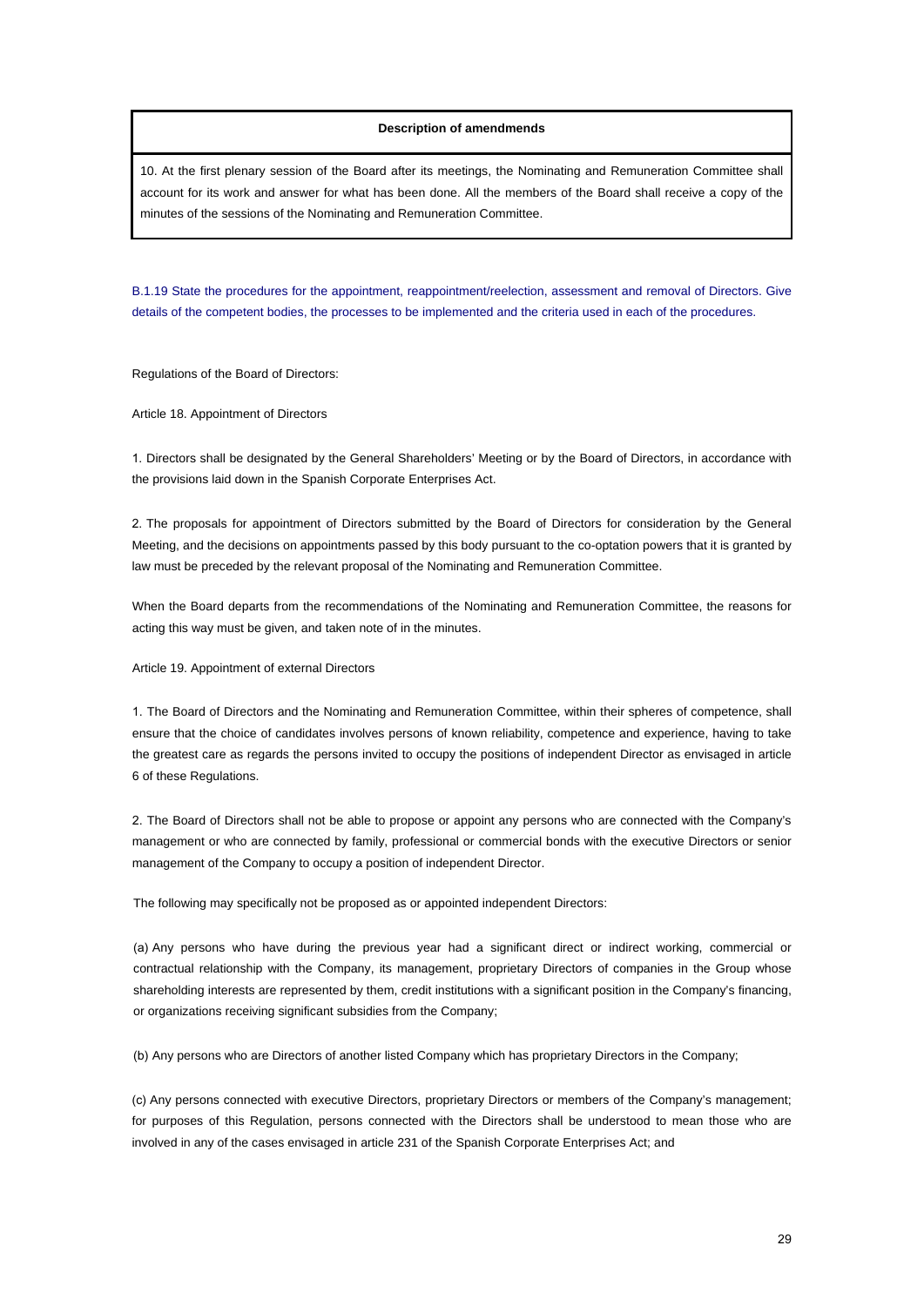10. At the first plenary session of the Board after its meetings, the Nominating and Remuneration Committee shall account for its work and answer for what has been done. All the members of the Board shall receive a copy of the minutes of the sessions of the Nominating and Remuneration Committee.

B.1.19 State the procedures for the appointment, reappointment/reelection, assessment and removal of Directors. Give details of the competent bodies, the processes to be implemented and the criteria used in each of the procedures.

Regulations of the Board of Directors:

Article 18. Appointment of Directors

1. Directors shall be designated by the General Shareholders' Meeting or by the Board of Directors, in accordance with the provisions laid down in the Spanish Corporate Enterprises Act.

2. The proposals for appointment of Directors submitted by the Board of Directors for consideration by the General Meeting, and the decisions on appointments passed by this body pursuant to the co-optation powers that it is granted by law must be preceded by the relevant proposal of the Nominating and Remuneration Committee.

When the Board departs from the recommendations of the Nominating and Remuneration Committee, the reasons for acting this way must be given, and taken note of in the minutes.

Article 19. Appointment of external Directors

1. The Board of Directors and the Nominating and Remuneration Committee, within their spheres of competence, shall ensure that the choice of candidates involves persons of known reliability, competence and experience, having to take the greatest care as regards the persons invited to occupy the positions of independent Director as envisaged in article 6 of these Regulations.

2. The Board of Directors shall not be able to propose or appoint any persons who are connected with the Company's management or who are connected by family, professional or commercial bonds with the executive Directors or senior management of the Company to occupy a position of independent Director.

The following may specifically not be proposed as or appointed independent Directors:

(a) Any persons who have during the previous year had a significant direct or indirect working, commercial or contractual relationship with the Company, its management, proprietary Directors of companies in the Group whose shareholding interests are represented by them, credit institutions with a significant position in the Company's financing, or organizations receiving significant subsidies from the Company;

(b) Any persons who are Directors of another listed Company which has proprietary Directors in the Company;

(c) Any persons connected with executive Directors, proprietary Directors or members of the Company's management; for purposes of this Regulation, persons connected with the Directors shall be understood to mean those who are involved in any of the cases envisaged in article 231 of the Spanish Corporate Enterprises Act; and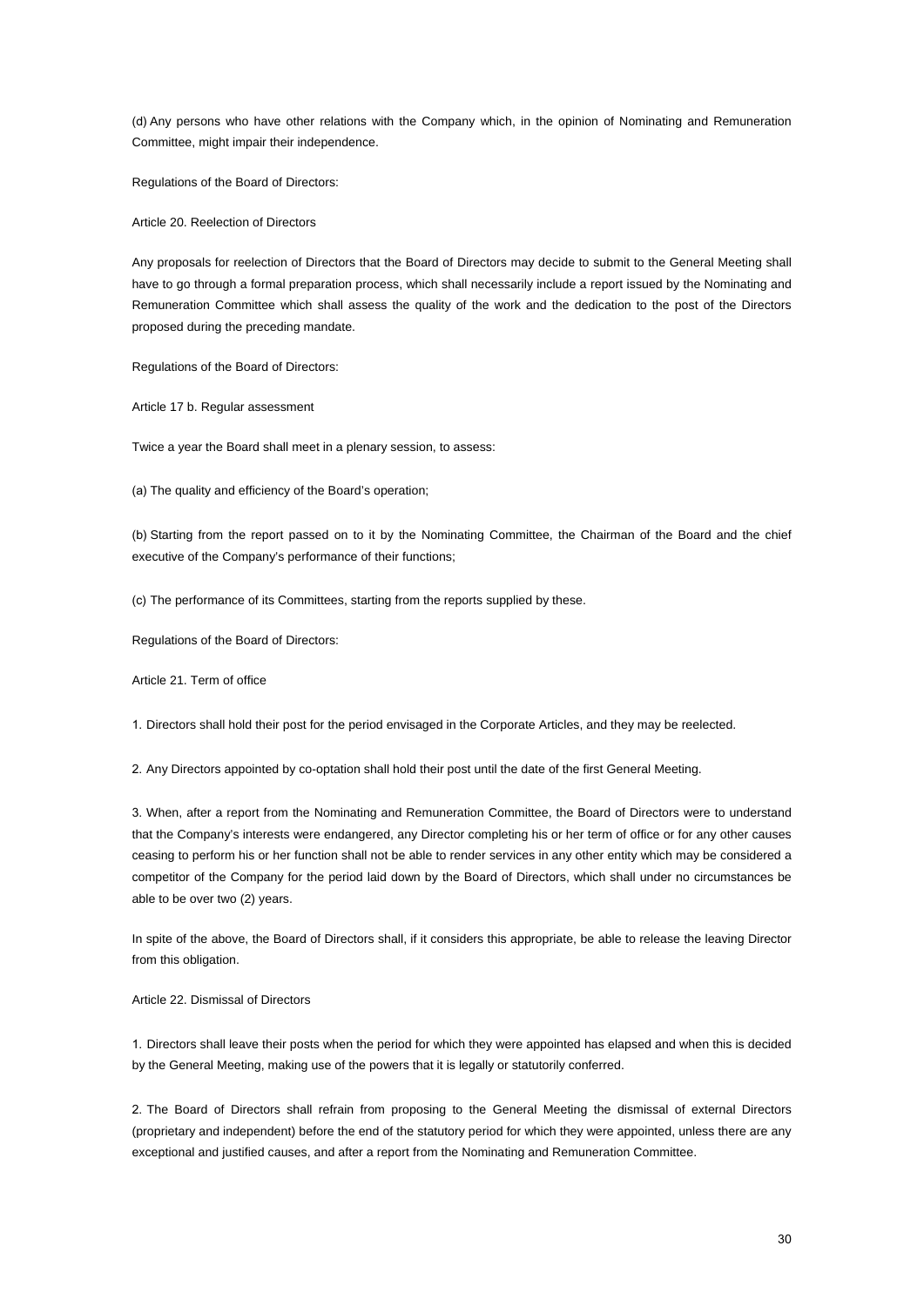(d) Any persons who have other relations with the Company which, in the opinion of Nominating and Remuneration Committee, might impair their independence.

Regulations of the Board of Directors:

Article 20. Reelection of Directors

Any proposals for reelection of Directors that the Board of Directors may decide to submit to the General Meeting shall have to go through a formal preparation process, which shall necessarily include a report issued by the Nominating and Remuneration Committee which shall assess the quality of the work and the dedication to the post of the Directors proposed during the preceding mandate.

Regulations of the Board of Directors:

Article 17 b. Regular assessment

Twice a year the Board shall meet in a plenary session, to assess:

(a) The quality and efficiency of the Board's operation;

(b) Starting from the report passed on to it by the Nominating Committee, the Chairman of the Board and the chief executive of the Company's performance of their functions;

(c) The performance of its Committees, starting from the reports supplied by these.

Regulations of the Board of Directors:

Article 21. Term of office

1. Directors shall hold their post for the period envisaged in the Corporate Articles, and they may be reelected.

2. Any Directors appointed by co-optation shall hold their post until the date of the first General Meeting.

3. When, after a report from the Nominating and Remuneration Committee, the Board of Directors were to understand that the Company's interests were endangered, any Director completing his or her term of office or for any other causes ceasing to perform his or her function shall not be able to render services in any other entity which may be considered a competitor of the Company for the period laid down by the Board of Directors, which shall under no circumstances be able to be over two (2) years.

In spite of the above, the Board of Directors shall, if it considers this appropriate, be able to release the leaving Director from this obligation.

#### Article 22. Dismissal of Directors

1. Directors shall leave their posts when the period for which they were appointed has elapsed and when this is decided by the General Meeting, making use of the powers that it is legally or statutorily conferred.

2. The Board of Directors shall refrain from proposing to the General Meeting the dismissal of external Directors (proprietary and independent) before the end of the statutory period for which they were appointed, unless there are any exceptional and justified causes, and after a report from the Nominating and Remuneration Committee.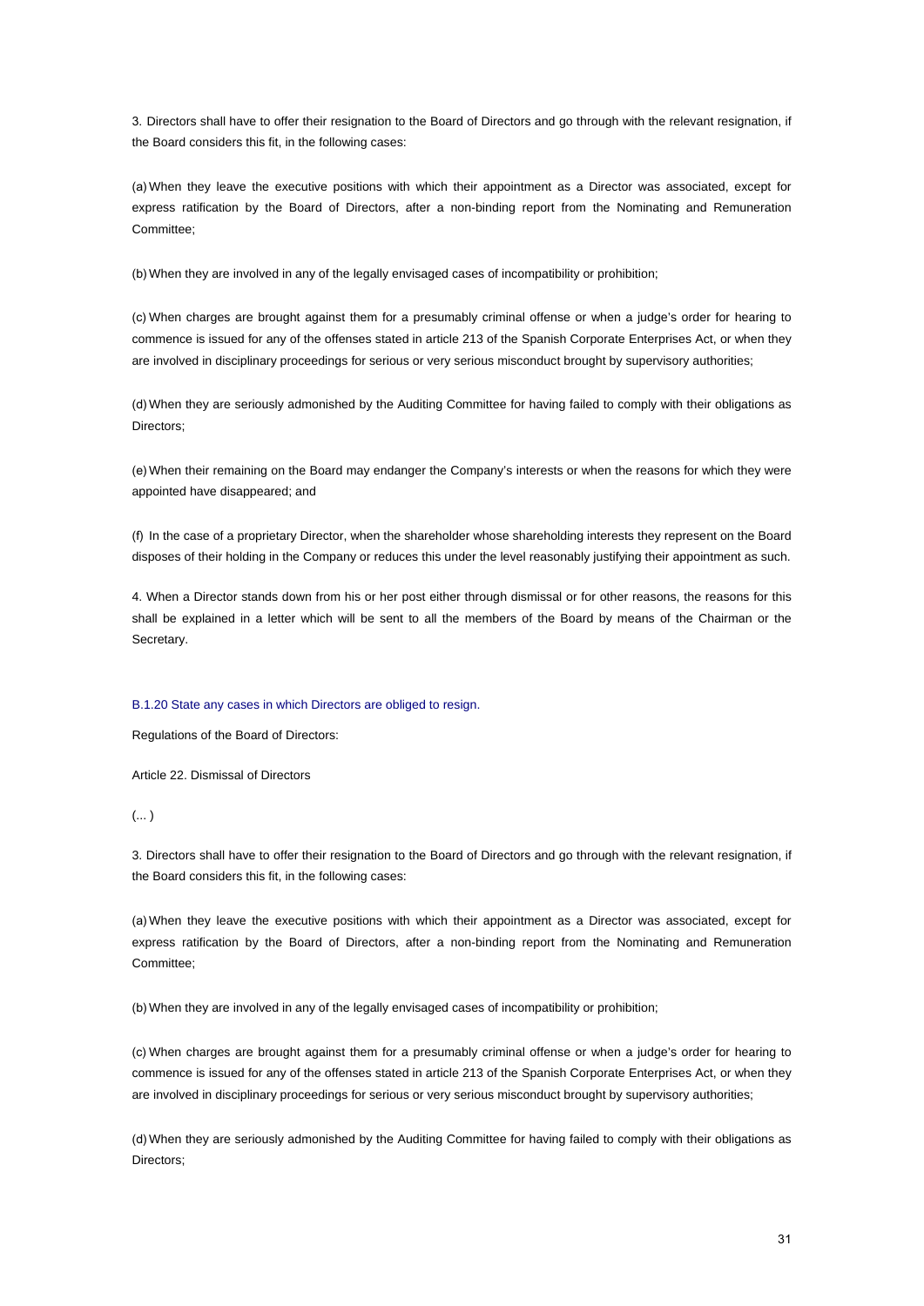3. Directors shall have to offer their resignation to the Board of Directors and go through with the relevant resignation, if the Board considers this fit, in the following cases:

(a) When they leave the executive positions with which their appointment as a Director was associated, except for express ratification by the Board of Directors, after a non-binding report from the Nominating and Remuneration Committee;

(b) When they are involved in any of the legally envisaged cases of incompatibility or prohibition;

(c) When charges are brought against them for a presumably criminal offense or when a judge's order for hearing to commence is issued for any of the offenses stated in article 213 of the Spanish Corporate Enterprises Act, or when they are involved in disciplinary proceedings for serious or very serious misconduct brought by supervisory authorities;

(d) When they are seriously admonished by the Auditing Committee for having failed to comply with their obligations as Directors;

(e) When their remaining on the Board may endanger the Company's interests or when the reasons for which they were appointed have disappeared; and

(f) In the case of a proprietary Director, when the shareholder whose shareholding interests they represent on the Board disposes of their holding in the Company or reduces this under the level reasonably justifying their appointment as such.

4. When a Director stands down from his or her post either through dismissal or for other reasons, the reasons for this shall be explained in a letter which will be sent to all the members of the Board by means of the Chairman or the Secretary.

#### B.1.20 State any cases in which Directors are obliged to resign.

Regulations of the Board of Directors:

Article 22. Dismissal of Directors

 $(...)$ 

3. Directors shall have to offer their resignation to the Board of Directors and go through with the relevant resignation, if the Board considers this fit, in the following cases:

(a) When they leave the executive positions with which their appointment as a Director was associated, except for express ratification by the Board of Directors, after a non-binding report from the Nominating and Remuneration Committee;

(b) When they are involved in any of the legally envisaged cases of incompatibility or prohibition;

(c) When charges are brought against them for a presumably criminal offense or when a judge's order for hearing to commence is issued for any of the offenses stated in article 213 of the Spanish Corporate Enterprises Act, or when they are involved in disciplinary proceedings for serious or very serious misconduct brought by supervisory authorities;

(d) When they are seriously admonished by the Auditing Committee for having failed to comply with their obligations as Directors;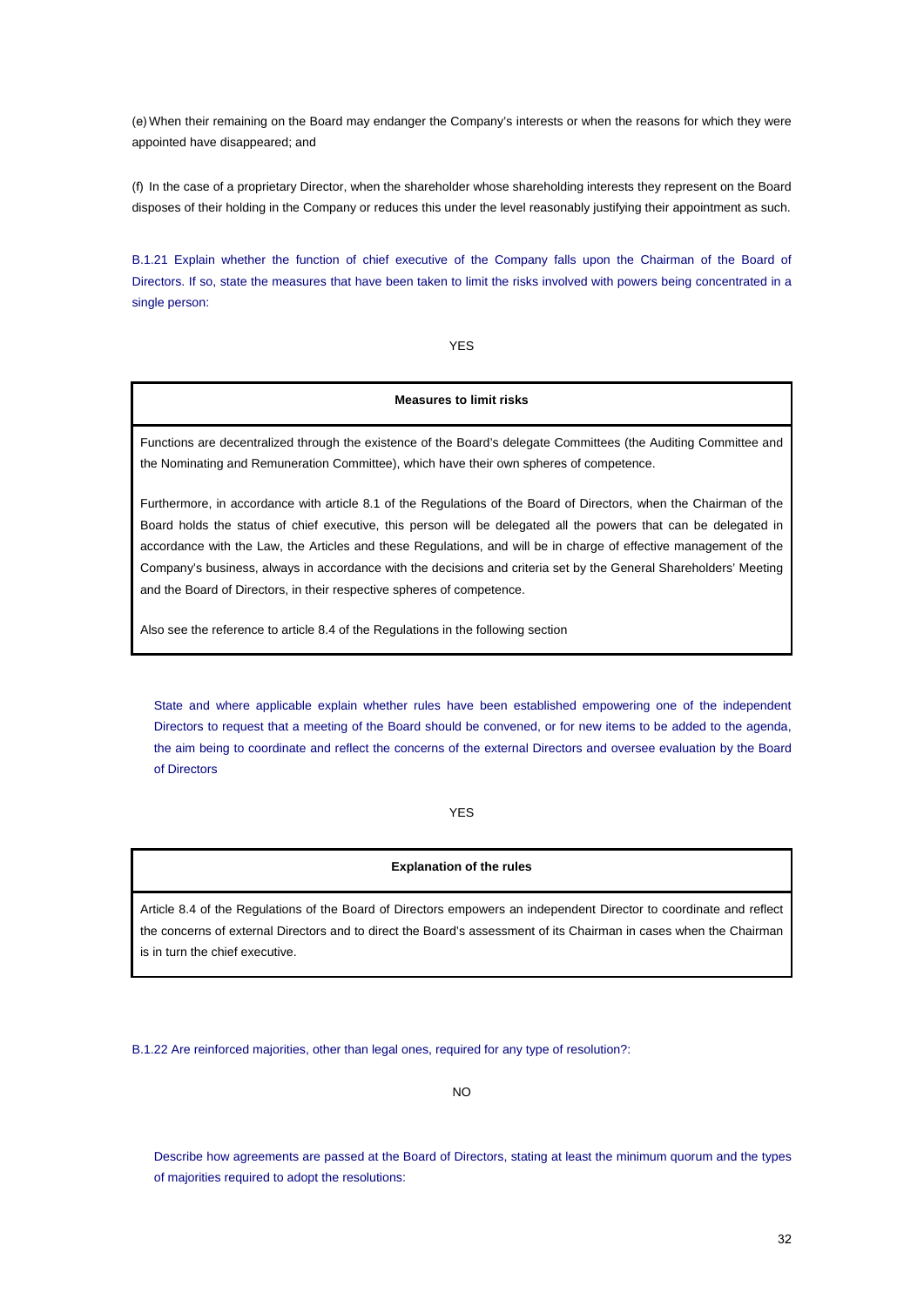(e) When their remaining on the Board may endanger the Company's interests or when the reasons for which they were appointed have disappeared; and

(f) In the case of a proprietary Director, when the shareholder whose shareholding interests they represent on the Board disposes of their holding in the Company or reduces this under the level reasonably justifying their appointment as such.

B.1.21 Explain whether the function of chief executive of the Company falls upon the Chairman of the Board of Directors. If so, state the measures that have been taken to limit the risks involved with powers being concentrated in a single person:

YES

## **Measures to limit risks**

Functions are decentralized through the existence of the Board's delegate Committees (the Auditing Committee and the Nominating and Remuneration Committee), which have their own spheres of competence.

Furthermore, in accordance with article 8.1 of the Regulations of the Board of Directors, when the Chairman of the Board holds the status of chief executive, this person will be delegated all the powers that can be delegated in accordance with the Law, the Articles and these Regulations, and will be in charge of effective management of the Company's business, always in accordance with the decisions and criteria set by the General Shareholders' Meeting and the Board of Directors, in their respective spheres of competence.

Also see the reference to article 8.4 of the Regulations in the following section

State and where applicable explain whether rules have been established empowering one of the independent Directors to request that a meeting of the Board should be convened, or for new items to be added to the agenda, the aim being to coordinate and reflect the concerns of the external Directors and oversee evaluation by the Board of Directors

YES

#### **Explanation of the rules**

Article 8.4 of the Regulations of the Board of Directors empowers an independent Director to coordinate and reflect the concerns of external Directors and to direct the Board's assessment of its Chairman in cases when the Chairman is in turn the chief executive.

B.1.22 Are reinforced majorities, other than legal ones, required for any type of resolution?:

NO

Describe how agreements are passed at the Board of Directors, stating at least the minimum quorum and the types of majorities required to adopt the resolutions: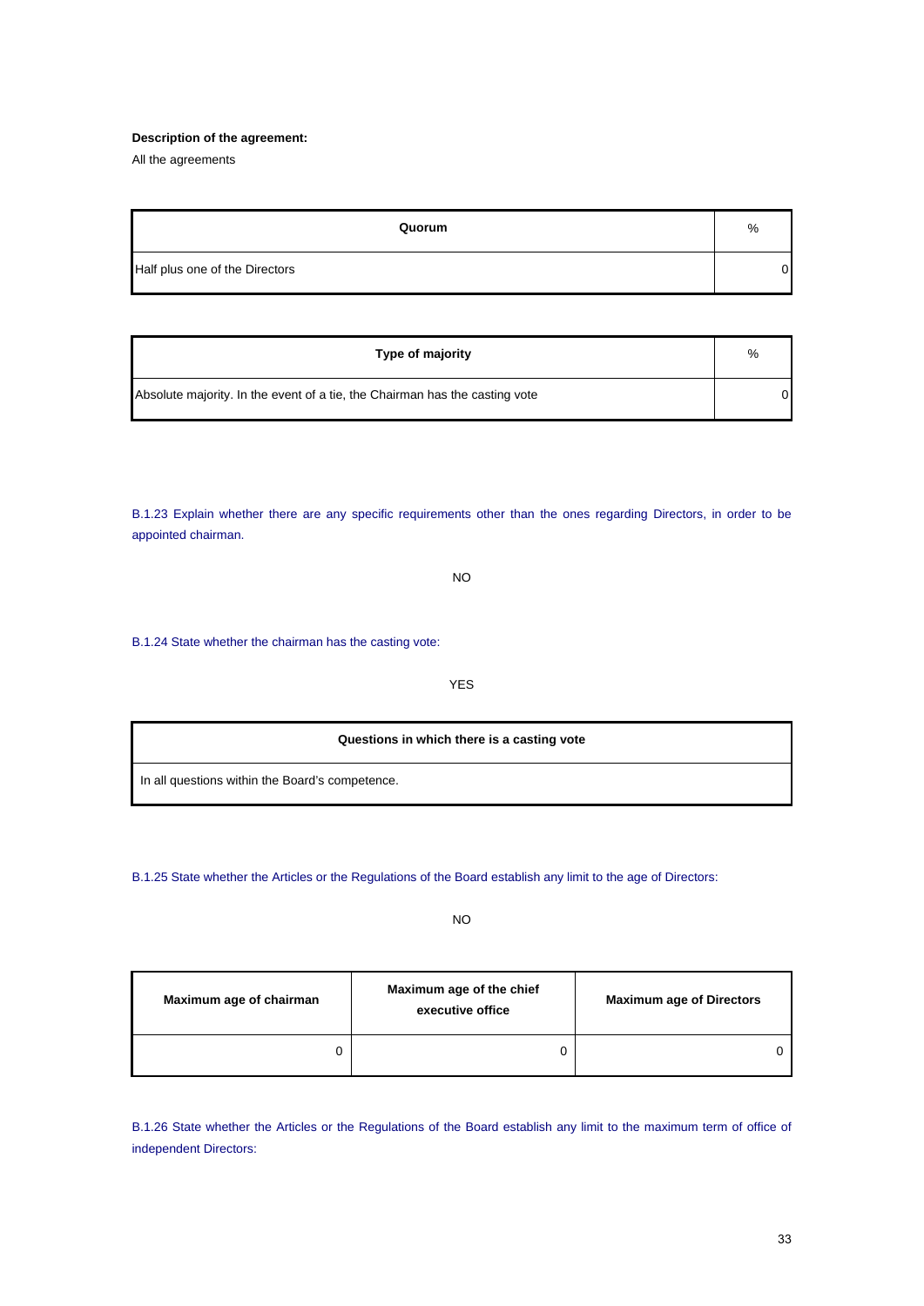#### **Description of the agreement:**

All the agreements

| Quorum                         | %  |
|--------------------------------|----|
| Half plus one of the Directors | 01 |

| Type of majority                                                            | %  |
|-----------------------------------------------------------------------------|----|
| Absolute majority. In the event of a tie, the Chairman has the casting vote | OΙ |

B.1.23 Explain whether there are any specific requirements other than the ones regarding Directors, in order to be appointed chairman.

NO

B.1.24 State whether the chairman has the casting vote:

YES

**Questions in which there is a casting vote**

In all questions within the Board's competence.

B.1.25 State whether the Articles or the Regulations of the Board establish any limit to the age of Directors:

NO

| Maximum age of chairman | Maximum age of the chief<br>executive office | <b>Maximum age of Directors</b> |
|-------------------------|----------------------------------------------|---------------------------------|
|                         |                                              |                                 |

B.1.26 State whether the Articles or the Regulations of the Board establish any limit to the maximum term of office of independent Directors: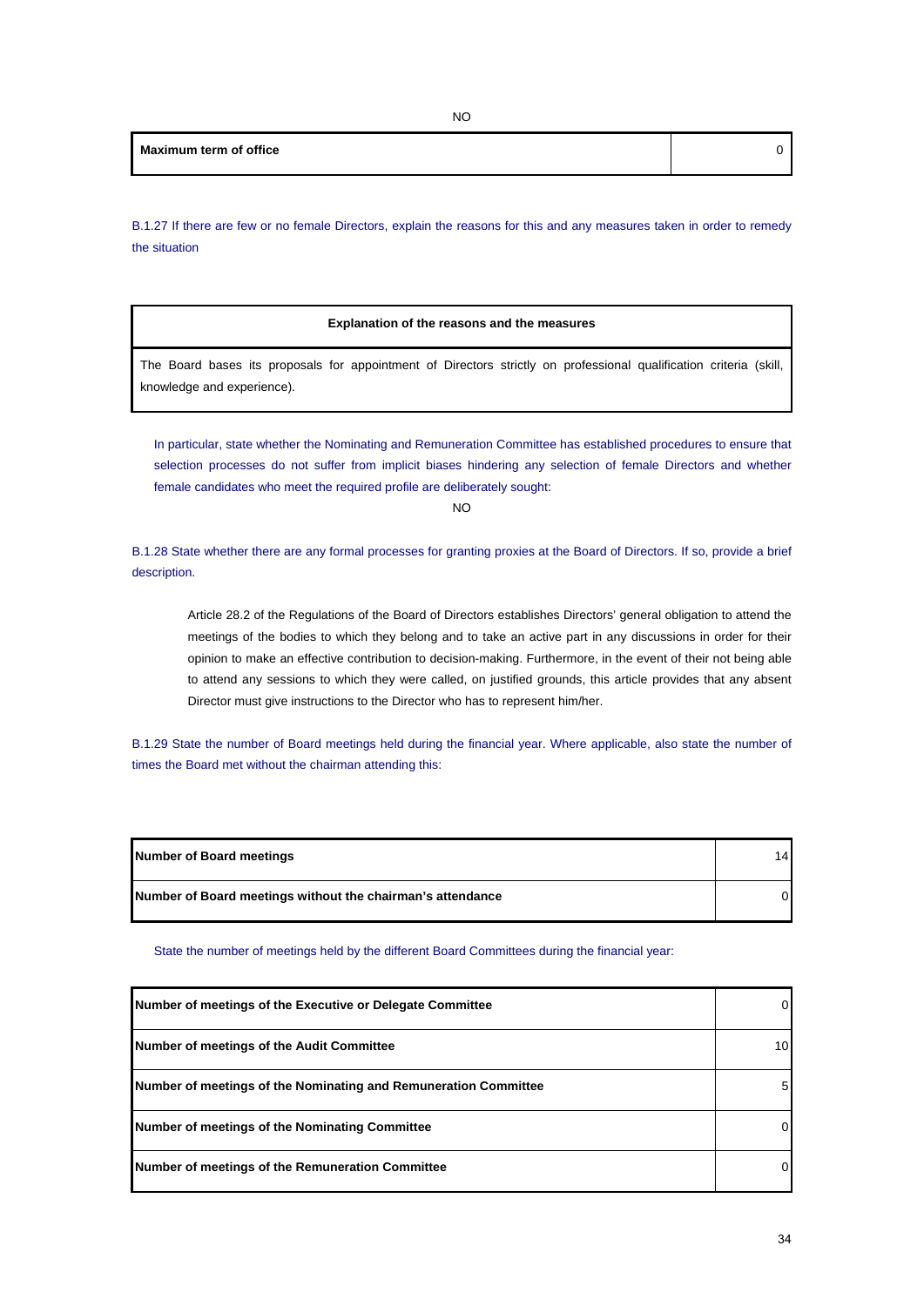B.1.27 If there are few or no female Directors, explain the reasons for this and any measures taken in order to remedy the situation

## **Explanation of the reasons and the measures**

The Board bases its proposals for appointment of Directors strictly on professional qualification criteria (skill, knowledge and experience).

In particular, state whether the Nominating and Remuneration Committee has established procedures to ensure that selection processes do not suffer from implicit biases hindering any selection of female Directors and whether female candidates who meet the required profile are deliberately sought:

NO

B.1.28 State whether there are any formal processes for granting proxies at the Board of Directors. If so, provide a brief description.

Article 28.2 of the Regulations of the Board of Directors establishes Directors' general obligation to attend the meetings of the bodies to which they belong and to take an active part in any discussions in order for their opinion to make an effective contribution to decision-making. Furthermore, in the event of their not being able to attend any sessions to which they were called, on justified grounds, this article provides that any absent Director must give instructions to the Director who has to represent him/her.

B.1.29 State the number of Board meetings held during the financial year. Where applicable, also state the number of times the Board met without the chairman attending this:

| Number of Board meetings                                   | 141 |
|------------------------------------------------------------|-----|
| Number of Board meetings without the chairman's attendance |     |

State the number of meetings held by the different Board Committees during the financial year:

| Number of meetings of the Executive or Delegate Committee       | $\overline{0}$ |
|-----------------------------------------------------------------|----------------|
| Number of meetings of the Audit Committee                       | 10             |
| Number of meetings of the Nominating and Remuneration Committee | 5              |
| Number of meetings of the Nominating Committee                  | 0              |
| Number of meetings of the Remuneration Committee                | 0              |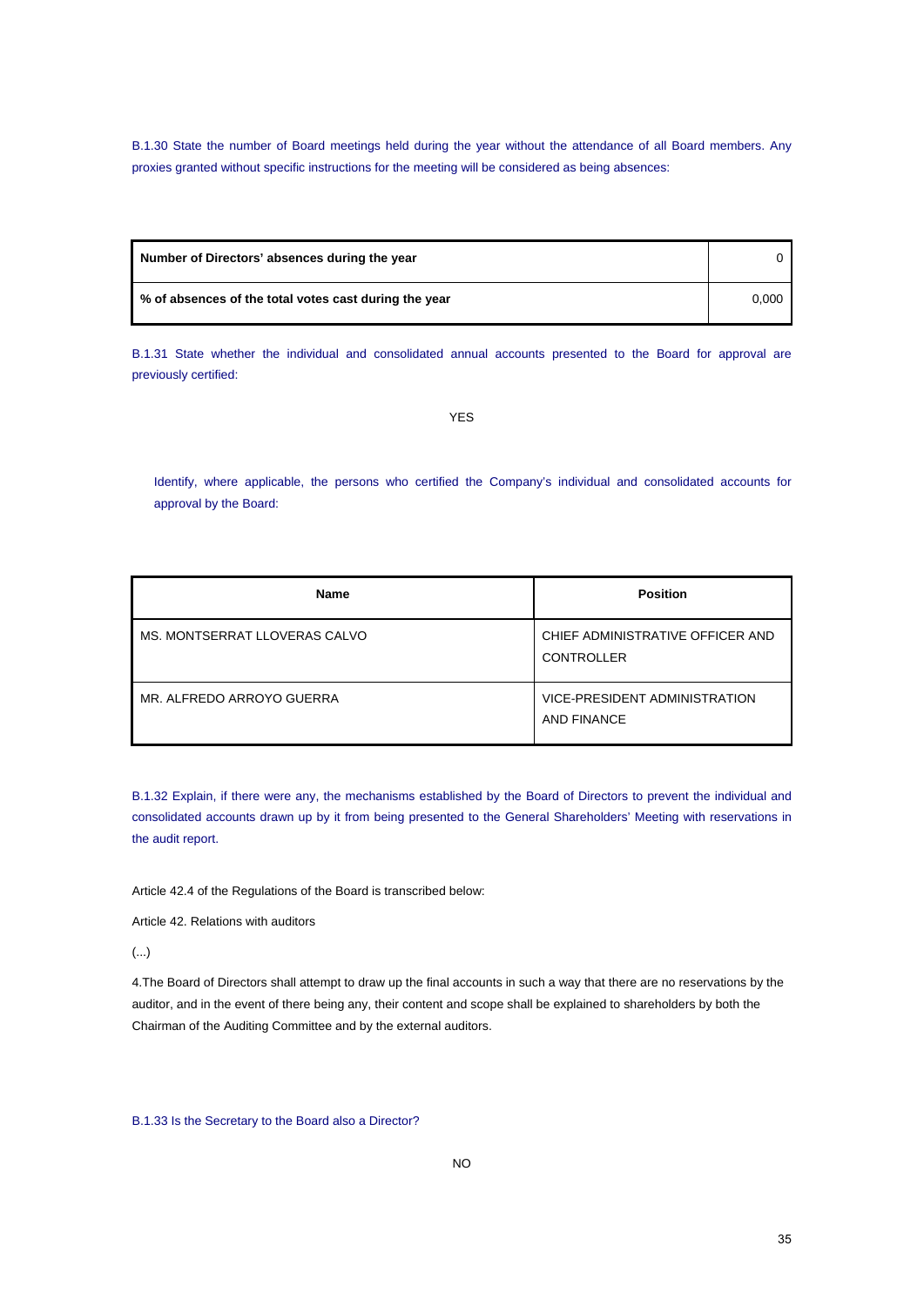B.1.30 State the number of Board meetings held during the year without the attendance of all Board members. Any proxies granted without specific instructions for the meeting will be considered as being absences:

| Number of Directors' absences during the year         |       |
|-------------------------------------------------------|-------|
| % of absences of the total votes cast during the year | 0.000 |

B.1.31 State whether the individual and consolidated annual accounts presented to the Board for approval are previously certified:

YES

Identify, where applicable, the persons who certified the Company's individual and consolidated accounts for approval by the Board:

| <b>Name</b>                   | <b>Position</b>                                       |
|-------------------------------|-------------------------------------------------------|
| MS. MONTSERRAT LLOVERAS CALVO | CHIEF ADMINISTRATIVE OFFICER AND<br><b>CONTROLLER</b> |
| MR. ALFREDO ARROYO GUERRA     | VICE-PRESIDENT ADMINISTRATION<br>AND FINANCE          |

B.1.32 Explain, if there were any, the mechanisms established by the Board of Directors to prevent the individual and consolidated accounts drawn up by it from being presented to the General Shareholders' Meeting with reservations in the audit report.

Article 42.4 of the Regulations of the Board is transcribed below:

Article 42. Relations with auditors

(...)

4.The Board of Directors shall attempt to draw up the final accounts in such a way that there are no reservations by the auditor, and in the event of there being any, their content and scope shall be explained to shareholders by both the Chairman of the Auditing Committee and by the external auditors.

B.1.33 Is the Secretary to the Board also a Director?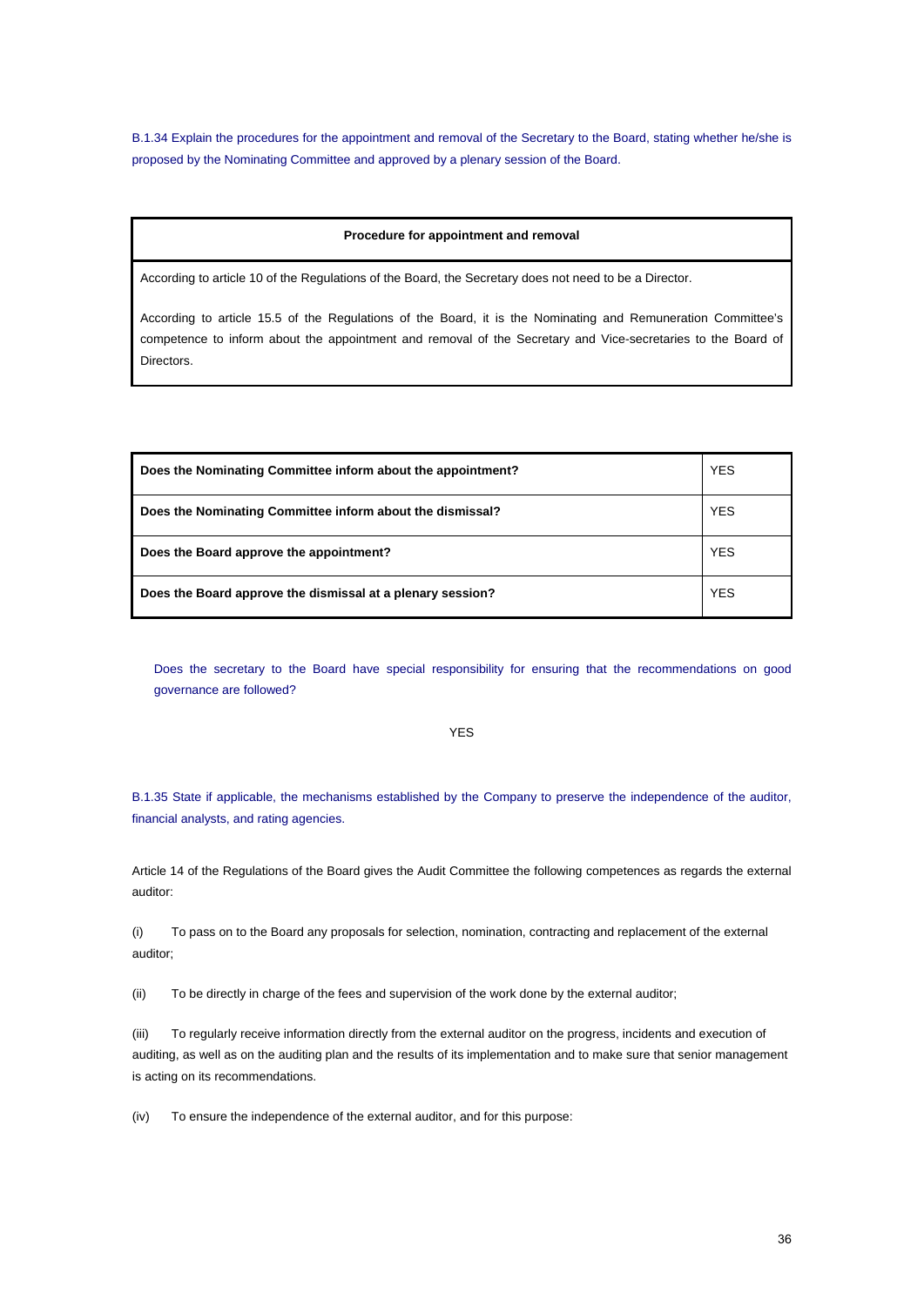B.1.34 Explain the procedures for the appointment and removal of the Secretary to the Board, stating whether he/she is proposed by the Nominating Committee and approved by a plenary session of the Board.

#### **Procedure for appointment and removal**

According to article 10 of the Regulations of the Board, the Secretary does not need to be a Director.

According to article 15.5 of the Regulations of the Board, it is the Nominating and Remuneration Committee's competence to inform about the appointment and removal of the Secretary and Vice-secretaries to the Board of Directors.

| Does the Nominating Committee inform about the appointment? | <b>YES</b> |
|-------------------------------------------------------------|------------|
| Does the Nominating Committee inform about the dismissal?   | <b>YES</b> |
| Does the Board approve the appointment?                     | <b>YES</b> |
| Does the Board approve the dismissal at a plenary session?  | <b>YES</b> |

Does the secretary to the Board have special responsibility for ensuring that the recommendations on good governance are followed?

YES

B.1.35 State if applicable, the mechanisms established by the Company to preserve the independence of the auditor, financial analysts, and rating agencies.

Article 14 of the Regulations of the Board gives the Audit Committee the following competences as regards the external auditor:

(i) To pass on to the Board any proposals for selection, nomination, contracting and replacement of the external auditor;

(ii) To be directly in charge of the fees and supervision of the work done by the external auditor;

(iii) To regularly receive information directly from the external auditor on the progress, incidents and execution of auditing, as well as on the auditing plan and the results of its implementation and to make sure that senior management is acting on its recommendations.

(iv) To ensure the independence of the external auditor, and for this purpose: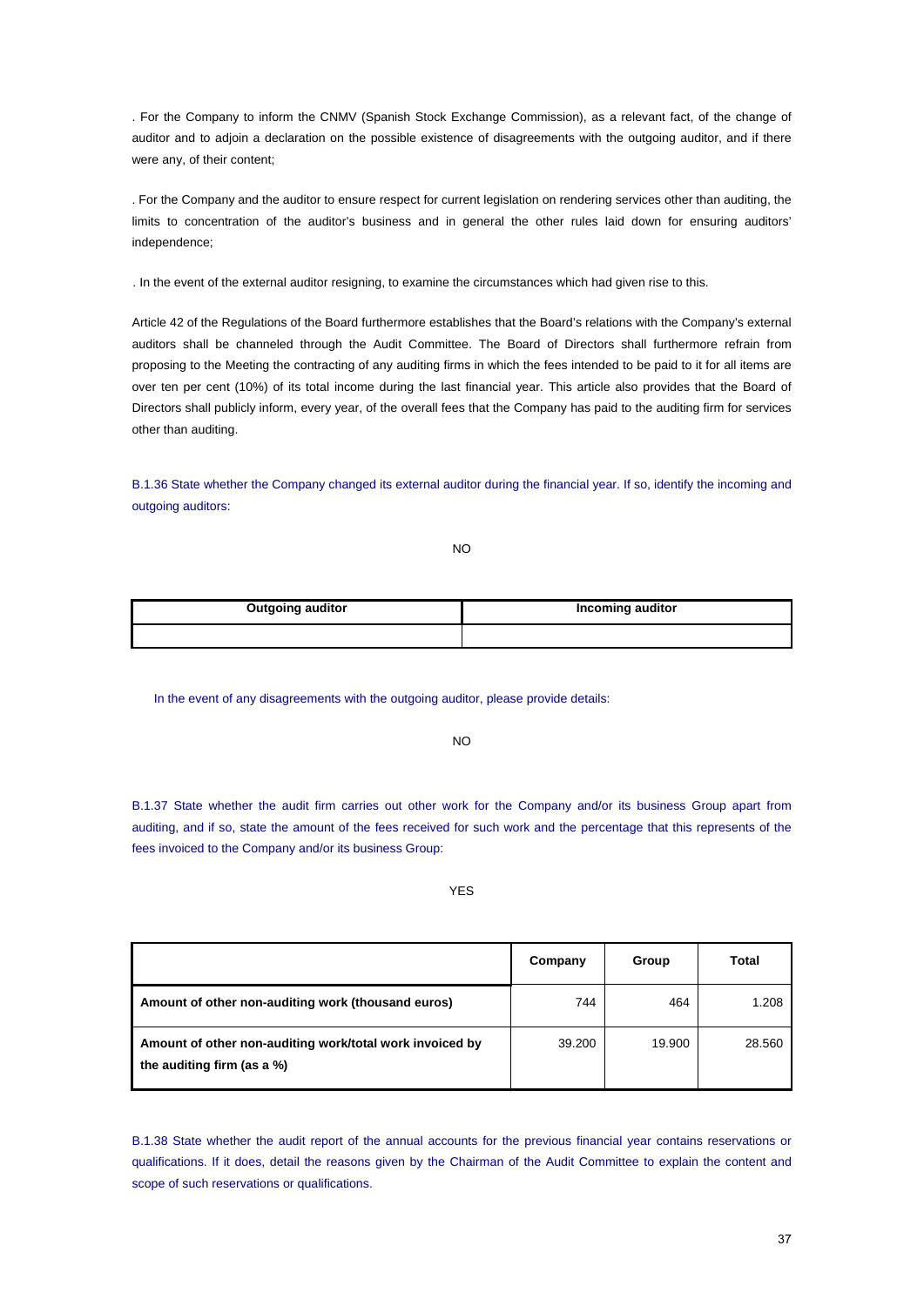. For the Company to inform the CNMV (Spanish Stock Exchange Commission), as a relevant fact, of the change of auditor and to adjoin a declaration on the possible existence of disagreements with the outgoing auditor, and if there were any, of their content;

. For the Company and the auditor to ensure respect for current legislation on rendering services other than auditing, the limits to concentration of the auditor's business and in general the other rules laid down for ensuring auditors' independence;

. In the event of the external auditor resigning, to examine the circumstances which had given rise to this.

Article 42 of the Regulations of the Board furthermore establishes that the Board's relations with the Company's external auditors shall be channeled through the Audit Committee. The Board of Directors shall furthermore refrain from proposing to the Meeting the contracting of any auditing firms in which the fees intended to be paid to it for all items are over ten per cent (10%) of its total income during the last financial year. This article also provides that the Board of Directors shall publicly inform, every year, of the overall fees that the Company has paid to the auditing firm for services other than auditing.

B.1.36 State whether the Company changed its external auditor during the financial year. If so, identify the incoming and outgoing auditors:

NO

| <b>Outgoing auditor</b> | Incoming auditor |
|-------------------------|------------------|
|                         |                  |

In the event of any disagreements with the outgoing auditor, please provide details:

NO

B.1.37 State whether the audit firm carries out other work for the Company and/or its business Group apart from auditing, and if so, state the amount of the fees received for such work and the percentage that this represents of the fees invoiced to the Company and/or its business Group:

# YES

|                                                                                        | Company | Group  | Total  |
|----------------------------------------------------------------------------------------|---------|--------|--------|
| Amount of other non-auditing work (thousand euros)                                     | 744     | 464    | 1.208  |
| Amount of other non-auditing work/total work invoiced by<br>the auditing firm (as a %) | 39.200  | 19.900 | 28.560 |

B.1.38 State whether the audit report of the annual accounts for the previous financial year contains reservations or qualifications. If it does, detail the reasons given by the Chairman of the Audit Committee to explain the content and scope of such reservations or qualifications.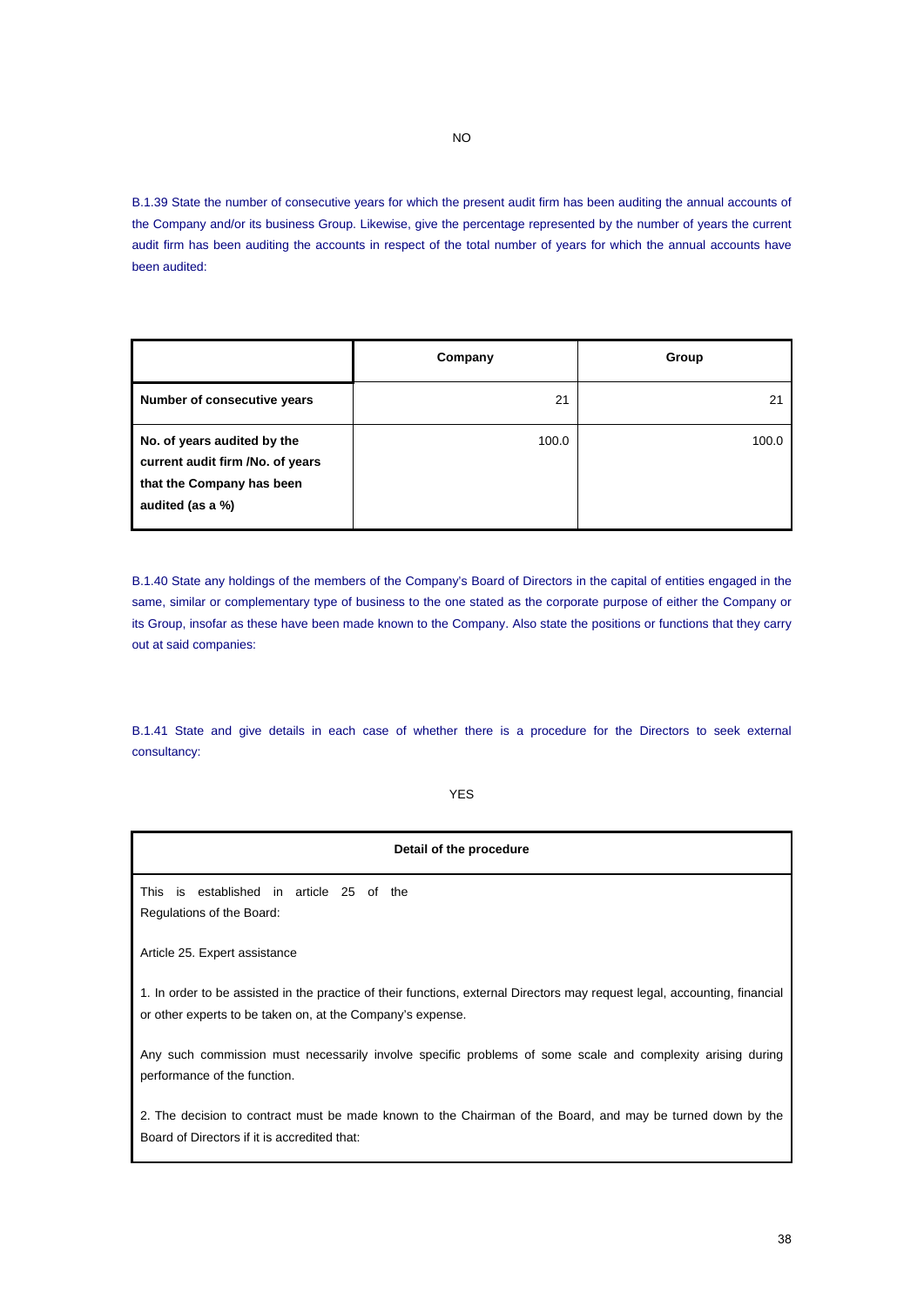B.1.39 State the number of consecutive years for which the present audit firm has been auditing the annual accounts of the Company and/or its business Group. Likewise, give the percentage represented by the number of years the current audit firm has been auditing the accounts in respect of the total number of years for which the annual accounts have been audited:

|                                                                                                                  | Company | Group |
|------------------------------------------------------------------------------------------------------------------|---------|-------|
| Number of consecutive years                                                                                      | 21      | 21    |
| No. of years audited by the<br>current audit firm /No. of years<br>that the Company has been<br>audited (as a %) | 100.0   | 100.0 |

B.1.40 State any holdings of the members of the Company's Board of Directors in the capital of entities engaged in the same, similar or complementary type of business to the one stated as the corporate purpose of either the Company or its Group, insofar as these have been made known to the Company. Also state the positions or functions that they carry out at said companies:

B.1.41 State and give details in each case of whether there is a procedure for the Directors to seek external consultancy:

YES

| Detail of the procedure                                                                                                                                                                  |  |  |  |
|------------------------------------------------------------------------------------------------------------------------------------------------------------------------------------------|--|--|--|
| This is established in article 25 of the<br>Regulations of the Board:                                                                                                                    |  |  |  |
| Article 25. Expert assistance                                                                                                                                                            |  |  |  |
| 1. In order to be assisted in the practice of their functions, external Directors may request legal, accounting, financial<br>or other experts to be taken on, at the Company's expense. |  |  |  |
| Any such commission must necessarily involve specific problems of some scale and complexity arising during<br>performance of the function.                                               |  |  |  |
| 2. The decision to contract must be made known to the Chairman of the Board, and may be turned down by the<br>Board of Directors if it is accredited that:                               |  |  |  |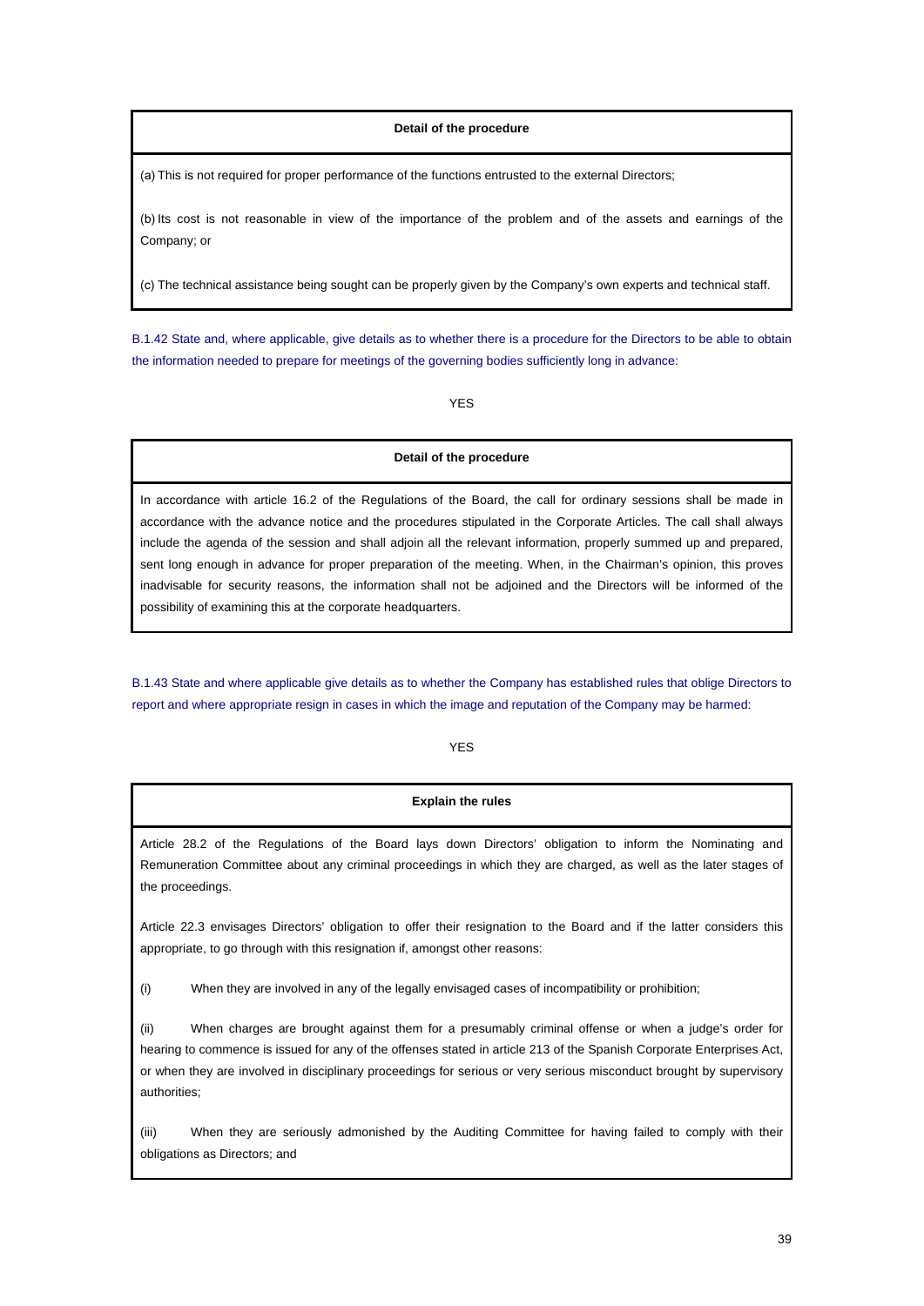## **Detail of the procedure**

(a) This is not required for proper performance of the functions entrusted to the external Directors;

(b) Its cost is not reasonable in view of the importance of the problem and of the assets and earnings of the Company; or

(c) The technical assistance being sought can be properly given by the Company's own experts and technical staff.

B.1.42 State and, where applicable, give details as to whether there is a procedure for the Directors to be able to obtain the information needed to prepare for meetings of the governing bodies sufficiently long in advance:

YES

# **Detail of the procedure**

In accordance with article 16.2 of the Regulations of the Board, the call for ordinary sessions shall be made in accordance with the advance notice and the procedures stipulated in the Corporate Articles. The call shall always include the agenda of the session and shall adjoin all the relevant information, properly summed up and prepared, sent long enough in advance for proper preparation of the meeting. When, in the Chairman's opinion, this proves inadvisable for security reasons, the information shall not be adjoined and the Directors will be informed of the possibility of examining this at the corporate headquarters.

B.1.43 State and where applicable give details as to whether the Company has established rules that oblige Directors to report and where appropriate resign in cases in which the image and reputation of the Company may be harmed:

YES

# **Explain the rules**

Article 28.2 of the Regulations of the Board lays down Directors' obligation to inform the Nominating and Remuneration Committee about any criminal proceedings in which they are charged, as well as the later stages of the proceedings.

Article 22.3 envisages Directors' obligation to offer their resignation to the Board and if the latter considers this appropriate, to go through with this resignation if, amongst other reasons:

(i) When they are involved in any of the legally envisaged cases of incompatibility or prohibition;

(ii) When charges are brought against them for a presumably criminal offense or when a judge's order for hearing to commence is issued for any of the offenses stated in article 213 of the Spanish Corporate Enterprises Act, or when they are involved in disciplinary proceedings for serious or very serious misconduct brought by supervisory authorities;

(iii) When they are seriously admonished by the Auditing Committee for having failed to comply with their obligations as Directors; and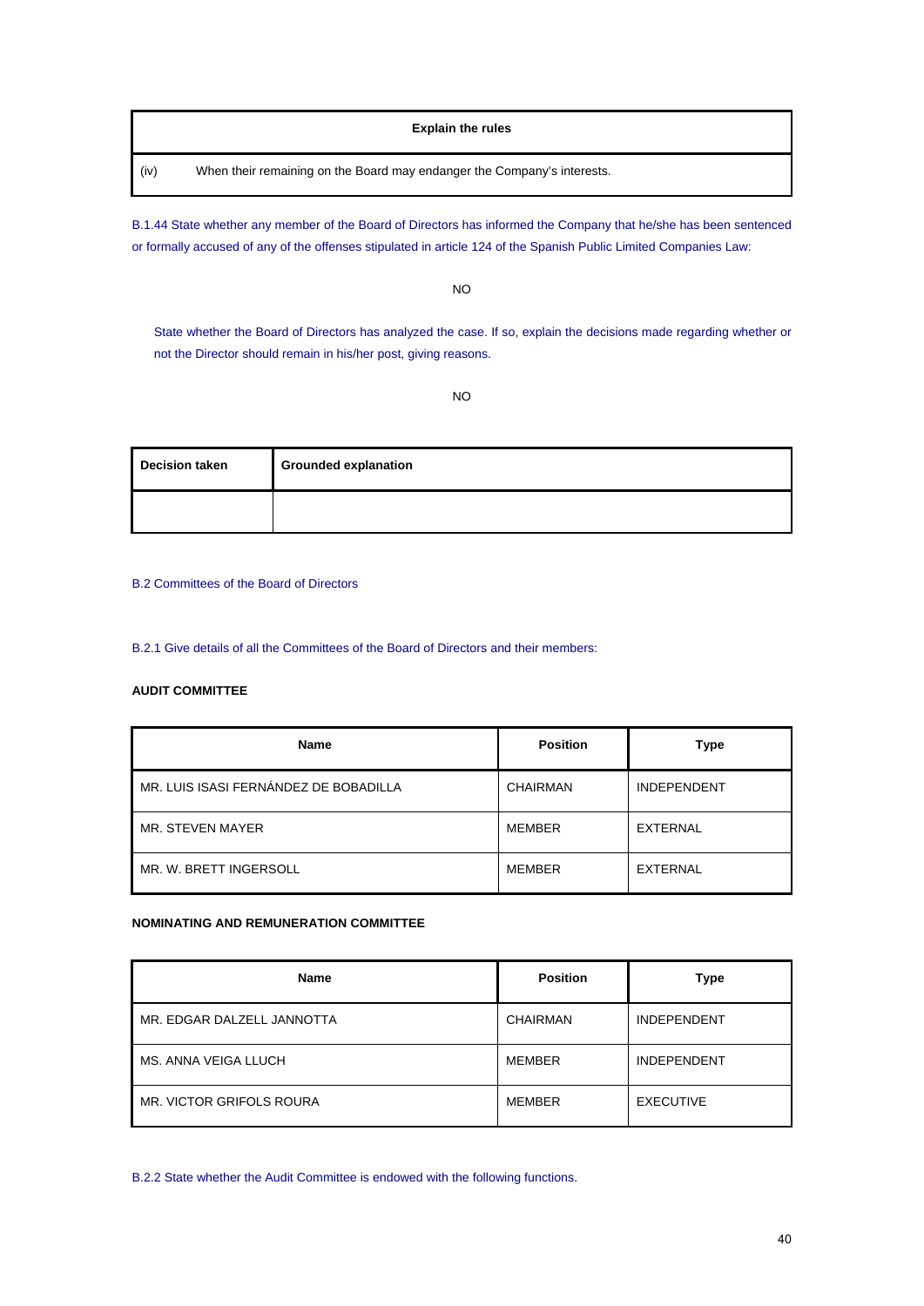# **Explain the rules**

(iv) When their remaining on the Board may endanger the Company's interests.

B.1.44 State whether any member of the Board of Directors has informed the Company that he/she has been sentenced or formally accused of any of the offenses stipulated in article 124 of the Spanish Public Limited Companies Law:

NO

State whether the Board of Directors has analyzed the case. If so, explain the decisions made regarding whether or not the Director should remain in his/her post, giving reasons.

NO

| <b>Decision taken</b> | <b>Grounded explanation</b> |  |  |
|-----------------------|-----------------------------|--|--|
|                       |                             |  |  |

B.2 Committees of the Board of Directors

B.2.1 Give details of all the Committees of the Board of Directors and their members:

# **AUDIT COMMITTEE**

| <b>Name</b>                           | <b>Position</b> | Type               |
|---------------------------------------|-----------------|--------------------|
| MR. LUIS ISASI FERNÁNDEZ DE BOBADILLA | CHAIRMAN        | <b>INDEPENDENT</b> |
| MR. STEVEN MAYER                      | <b>MEMBER</b>   | EXTERNAL           |
| MR. W. BRETT INGERSOLL                | <b>MEMBER</b>   | EXTERNAL           |

# **NOMINATING AND REMUNERATION COMMITTEE**

| <b>Name</b>                | <b>Position</b> | Type               |
|----------------------------|-----------------|--------------------|
| MR. EDGAR DALZELL JANNOTTA | <b>CHAIRMAN</b> | <b>INDEPENDENT</b> |
| MS. ANNA VEIGA LLUCH       | MEMBER          | <b>INDEPENDENT</b> |
| MR. VICTOR GRIFOLS ROURA   | <b>MEMBER</b>   | <b>EXECUTIVE</b>   |

B.2.2 State whether the Audit Committee is endowed with the following functions.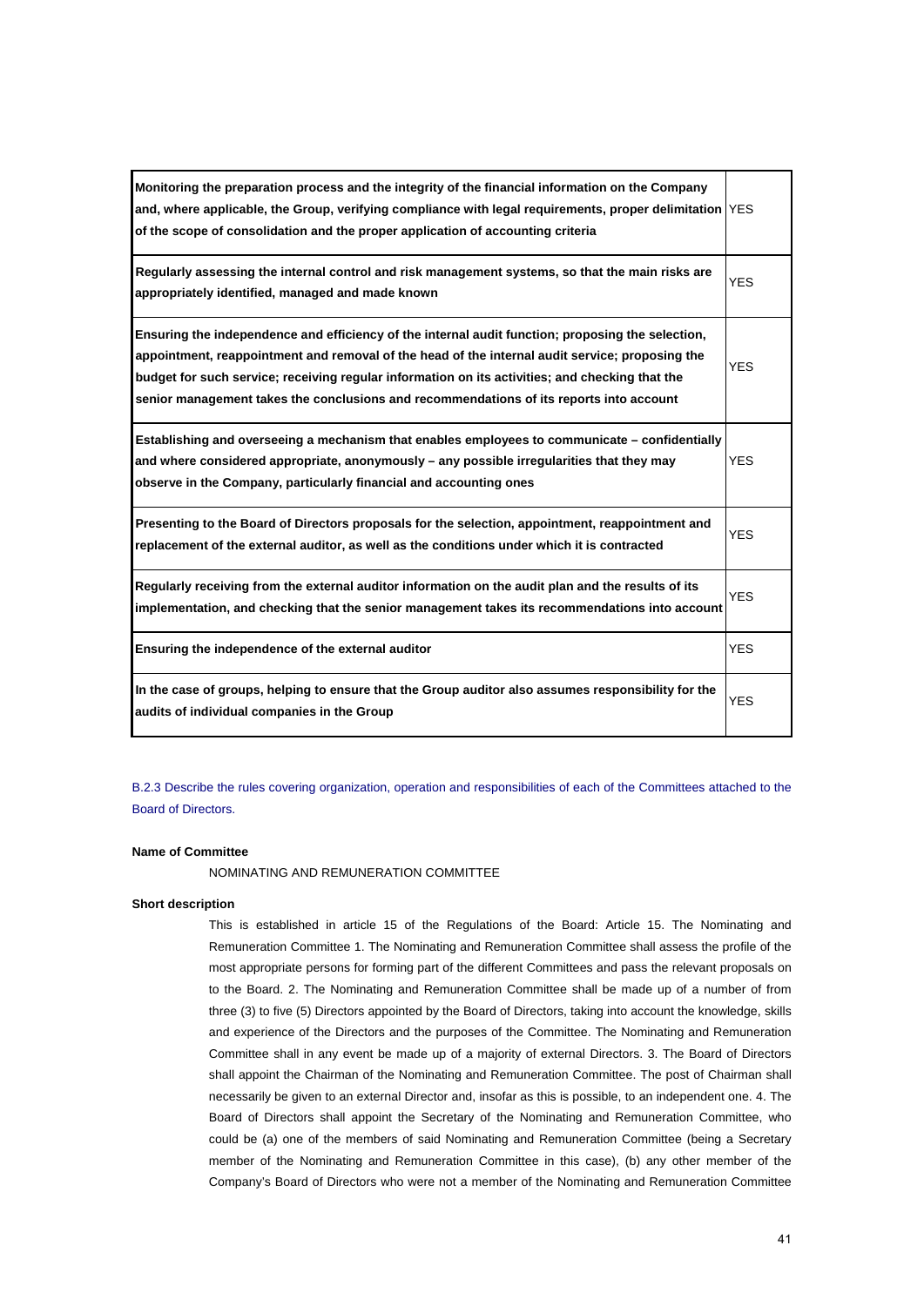| Monitoring the preparation process and the integrity of the financial information on the Company<br>and, where applicable, the Group, verifying compliance with legal requirements, proper delimitation YES<br>of the scope of consolidation and the proper application of accounting criteria                                                                                                     |            |
|----------------------------------------------------------------------------------------------------------------------------------------------------------------------------------------------------------------------------------------------------------------------------------------------------------------------------------------------------------------------------------------------------|------------|
| Regularly assessing the internal control and risk management systems, so that the main risks are<br>appropriately identified, managed and made known                                                                                                                                                                                                                                               | <b>YES</b> |
| Ensuring the independence and efficiency of the internal audit function; proposing the selection,<br>appointment, reappointment and removal of the head of the internal audit service; proposing the<br>budget for such service; receiving regular information on its activities; and checking that the<br>senior management takes the conclusions and recommendations of its reports into account | <b>YES</b> |
| Establishing and overseeing a mechanism that enables employees to communicate – confidentially<br>and where considered appropriate, anonymously – any possible irregularities that they may<br>observe in the Company, particularly financial and accounting ones                                                                                                                                  | <b>YES</b> |
| Presenting to the Board of Directors proposals for the selection, appointment, reappointment and<br>replacement of the external auditor, as well as the conditions under which it is contracted                                                                                                                                                                                                    | <b>YES</b> |
| Regularly receiving from the external auditor information on the audit plan and the results of its<br>implementation, and checking that the senior management takes its recommendations into account                                                                                                                                                                                               | <b>YES</b> |
| Ensuring the independence of the external auditor                                                                                                                                                                                                                                                                                                                                                  | <b>YES</b> |
| In the case of groups, helping to ensure that the Group auditor also assumes responsibility for the<br>audits of individual companies in the Group                                                                                                                                                                                                                                                 | <b>YES</b> |

B.2.3 Describe the rules covering organization, operation and responsibilities of each of the Committees attached to the Board of Directors.

#### **Name of Committee**

NOMINATING AND REMUNERATION COMMITTEE

### **Short description**

This is established in article 15 of the Regulations of the Board: Article 15. The Nominating and Remuneration Committee 1. The Nominating and Remuneration Committee shall assess the profile of the most appropriate persons for forming part of the different Committees and pass the relevant proposals on to the Board. 2. The Nominating and Remuneration Committee shall be made up of a number of from three (3) to five (5) Directors appointed by the Board of Directors, taking into account the knowledge, skills and experience of the Directors and the purposes of the Committee. The Nominating and Remuneration Committee shall in any event be made up of a majority of external Directors. 3. The Board of Directors shall appoint the Chairman of the Nominating and Remuneration Committee. The post of Chairman shall necessarily be given to an external Director and, insofar as this is possible, to an independent one. 4. The Board of Directors shall appoint the Secretary of the Nominating and Remuneration Committee, who could be (a) one of the members of said Nominating and Remuneration Committee (being a Secretary member of the Nominating and Remuneration Committee in this case), (b) any other member of the Company's Board of Directors who were not a member of the Nominating and Remuneration Committee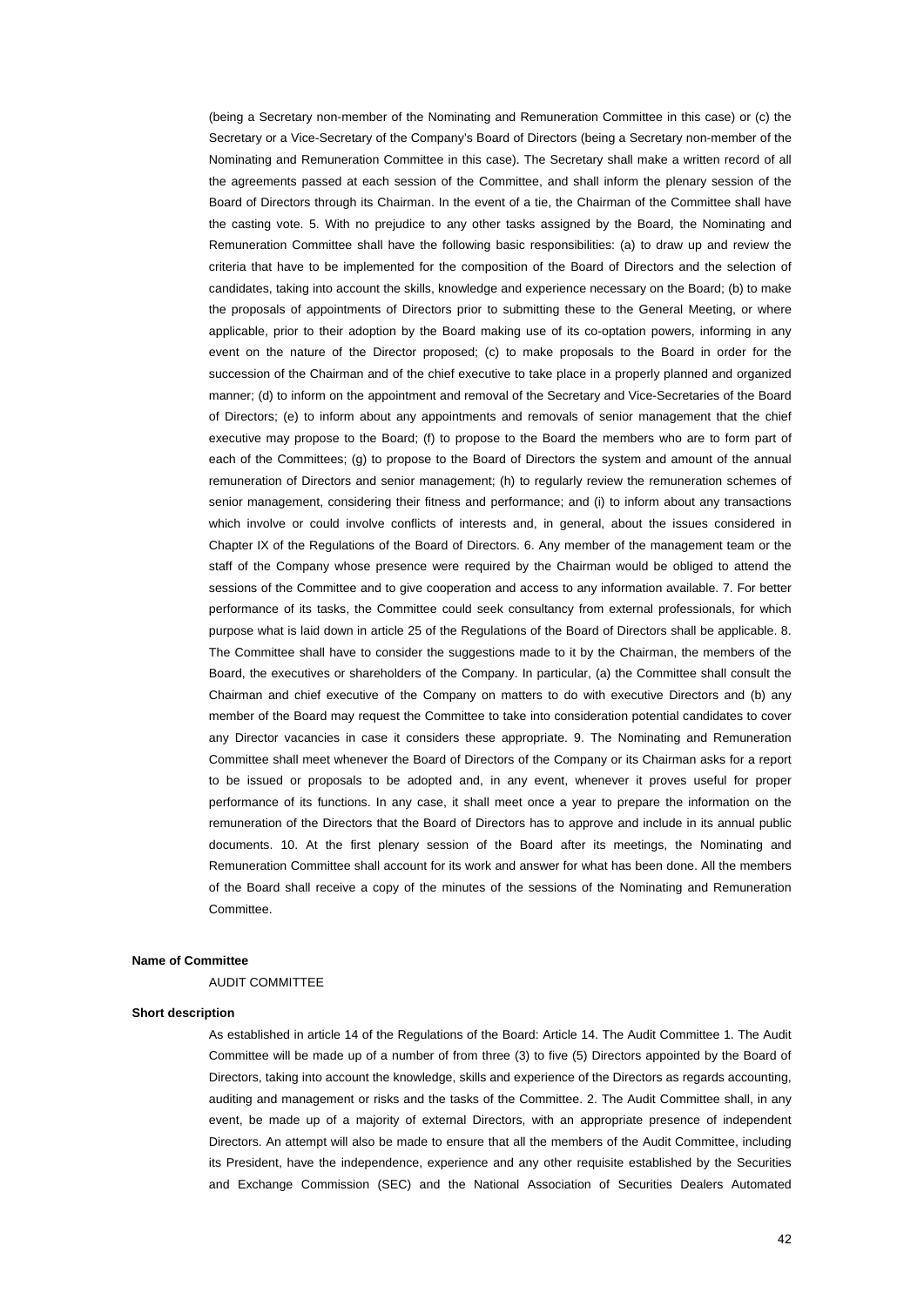(being a Secretary non-member of the Nominating and Remuneration Committee in this case) or (c) the Secretary or a Vice-Secretary of the Company's Board of Directors (being a Secretary non-member of the Nominating and Remuneration Committee in this case). The Secretary shall make a written record of all the agreements passed at each session of the Committee, and shall inform the plenary session of the Board of Directors through its Chairman. In the event of a tie, the Chairman of the Committee shall have the casting vote. 5. With no prejudice to any other tasks assigned by the Board, the Nominating and Remuneration Committee shall have the following basic responsibilities: (a) to draw up and review the criteria that have to be implemented for the composition of the Board of Directors and the selection of candidates, taking into account the skills, knowledge and experience necessary on the Board; (b) to make the proposals of appointments of Directors prior to submitting these to the General Meeting, or where applicable, prior to their adoption by the Board making use of its co-optation powers, informing in any event on the nature of the Director proposed; (c) to make proposals to the Board in order for the succession of the Chairman and of the chief executive to take place in a properly planned and organized manner; (d) to inform on the appointment and removal of the Secretary and Vice-Secretaries of the Board of Directors; (e) to inform about any appointments and removals of senior management that the chief executive may propose to the Board; (f) to propose to the Board the members who are to form part of each of the Committees; (g) to propose to the Board of Directors the system and amount of the annual remuneration of Directors and senior management; (h) to regularly review the remuneration schemes of senior management, considering their fitness and performance; and (i) to inform about any transactions which involve or could involve conflicts of interests and, in general, about the issues considered in Chapter IX of the Regulations of the Board of Directors. 6. Any member of the management team or the staff of the Company whose presence were required by the Chairman would be obliged to attend the sessions of the Committee and to give cooperation and access to any information available. 7. For better performance of its tasks, the Committee could seek consultancy from external professionals, for which purpose what is laid down in article 25 of the Regulations of the Board of Directors shall be applicable. 8. The Committee shall have to consider the suggestions made to it by the Chairman, the members of the Board, the executives or shareholders of the Company. In particular, (a) the Committee shall consult the Chairman and chief executive of the Company on matters to do with executive Directors and (b) any member of the Board may request the Committee to take into consideration potential candidates to cover any Director vacancies in case it considers these appropriate. 9. The Nominating and Remuneration Committee shall meet whenever the Board of Directors of the Company or its Chairman asks for a report to be issued or proposals to be adopted and, in any event, whenever it proves useful for proper performance of its functions. In any case, it shall meet once a year to prepare the information on the remuneration of the Directors that the Board of Directors has to approve and include in its annual public documents. 10. At the first plenary session of the Board after its meetings, the Nominating and Remuneration Committee shall account for its work and answer for what has been done. All the members of the Board shall receive a copy of the minutes of the sessions of the Nominating and Remuneration Committee.

#### **Name of Committee**

#### AUDIT COMMITTEE

#### **Short description**

As established in article 14 of the Regulations of the Board: Article 14. The Audit Committee 1. The Audit Committee will be made up of a number of from three (3) to five (5) Directors appointed by the Board of Directors, taking into account the knowledge, skills and experience of the Directors as regards accounting, auditing and management or risks and the tasks of the Committee. 2. The Audit Committee shall, in any event, be made up of a majority of external Directors, with an appropriate presence of independent Directors. An attempt will also be made to ensure that all the members of the Audit Committee, including its President, have the independence, experience and any other requisite established by the Securities and Exchange Commission (SEC) and the National Association of Securities Dealers Automated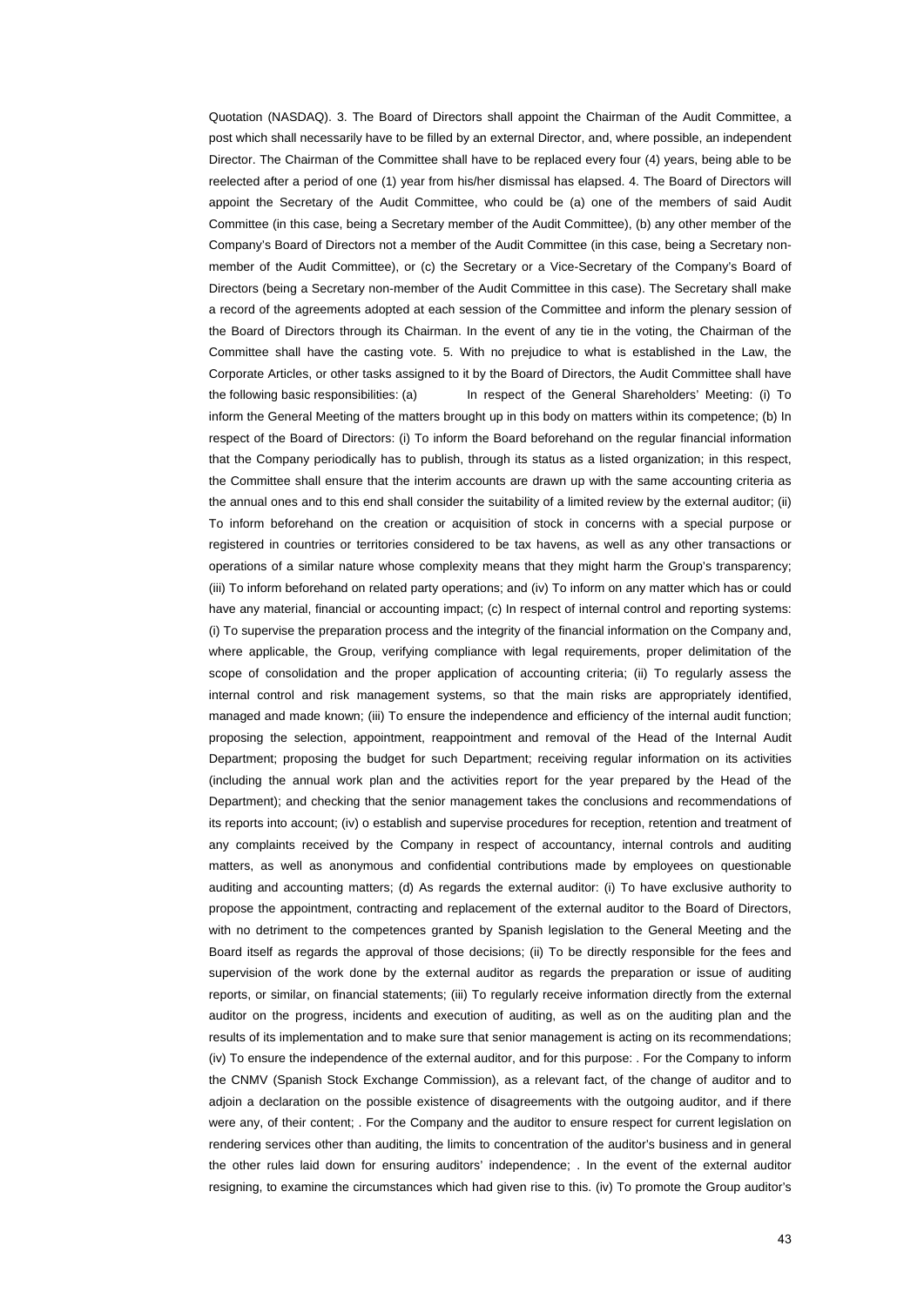Quotation (NASDAQ). 3. The Board of Directors shall appoint the Chairman of the Audit Committee, a post which shall necessarily have to be filled by an external Director, and, where possible, an independent Director. The Chairman of the Committee shall have to be replaced every four (4) years, being able to be reelected after a period of one (1) year from his/her dismissal has elapsed. 4. The Board of Directors will appoint the Secretary of the Audit Committee, who could be (a) one of the members of said Audit Committee (in this case, being a Secretary member of the Audit Committee), (b) any other member of the Company's Board of Directors not a member of the Audit Committee (in this case, being a Secretary nonmember of the Audit Committee), or (c) the Secretary or a Vice-Secretary of the Company's Board of Directors (being a Secretary non-member of the Audit Committee in this case). The Secretary shall make a record of the agreements adopted at each session of the Committee and inform the plenary session of the Board of Directors through its Chairman. In the event of any tie in the voting, the Chairman of the Committee shall have the casting vote. 5. With no prejudice to what is established in the Law, the Corporate Articles, or other tasks assigned to it by the Board of Directors, the Audit Committee shall have the following basic responsibilities: (a) In respect of the General Shareholders' Meeting: (i) To inform the General Meeting of the matters brought up in this body on matters within its competence; (b) In respect of the Board of Directors: (i) To inform the Board beforehand on the regular financial information that the Company periodically has to publish, through its status as a listed organization; in this respect, the Committee shall ensure that the interim accounts are drawn up with the same accounting criteria as the annual ones and to this end shall consider the suitability of a limited review by the external auditor; (ii) To inform beforehand on the creation or acquisition of stock in concerns with a special purpose or registered in countries or territories considered to be tax havens, as well as any other transactions or operations of a similar nature whose complexity means that they might harm the Group's transparency; (iii) To inform beforehand on related party operations; and (iv) To inform on any matter which has or could have any material, financial or accounting impact; (c) In respect of internal control and reporting systems: (i) To supervise the preparation process and the integrity of the financial information on the Company and, where applicable, the Group, verifying compliance with legal requirements, proper delimitation of the scope of consolidation and the proper application of accounting criteria; (ii) To regularly assess the internal control and risk management systems, so that the main risks are appropriately identified, managed and made known; (iii) To ensure the independence and efficiency of the internal audit function; proposing the selection, appointment, reappointment and removal of the Head of the Internal Audit Department; proposing the budget for such Department; receiving regular information on its activities (including the annual work plan and the activities report for the year prepared by the Head of the Department); and checking that the senior management takes the conclusions and recommendations of its reports into account; (iv) o establish and supervise procedures for reception, retention and treatment of any complaints received by the Company in respect of accountancy, internal controls and auditing matters, as well as anonymous and confidential contributions made by employees on questionable auditing and accounting matters; (d) As regards the external auditor: (i) To have exclusive authority to propose the appointment, contracting and replacement of the external auditor to the Board of Directors, with no detriment to the competences granted by Spanish legislation to the General Meeting and the Board itself as regards the approval of those decisions; (ii) To be directly responsible for the fees and supervision of the work done by the external auditor as regards the preparation or issue of auditing reports, or similar, on financial statements; (iii) To regularly receive information directly from the external auditor on the progress, incidents and execution of auditing, as well as on the auditing plan and the results of its implementation and to make sure that senior management is acting on its recommendations; (iv) To ensure the independence of the external auditor, and for this purpose: . For the Company to inform the CNMV (Spanish Stock Exchange Commission), as a relevant fact, of the change of auditor and to adjoin a declaration on the possible existence of disagreements with the outgoing auditor, and if there were any, of their content; . For the Company and the auditor to ensure respect for current legislation on rendering services other than auditing, the limits to concentration of the auditor's business and in general the other rules laid down for ensuring auditors' independence; . In the event of the external auditor resigning, to examine the circumstances which had given rise to this. (iv) To promote the Group auditor's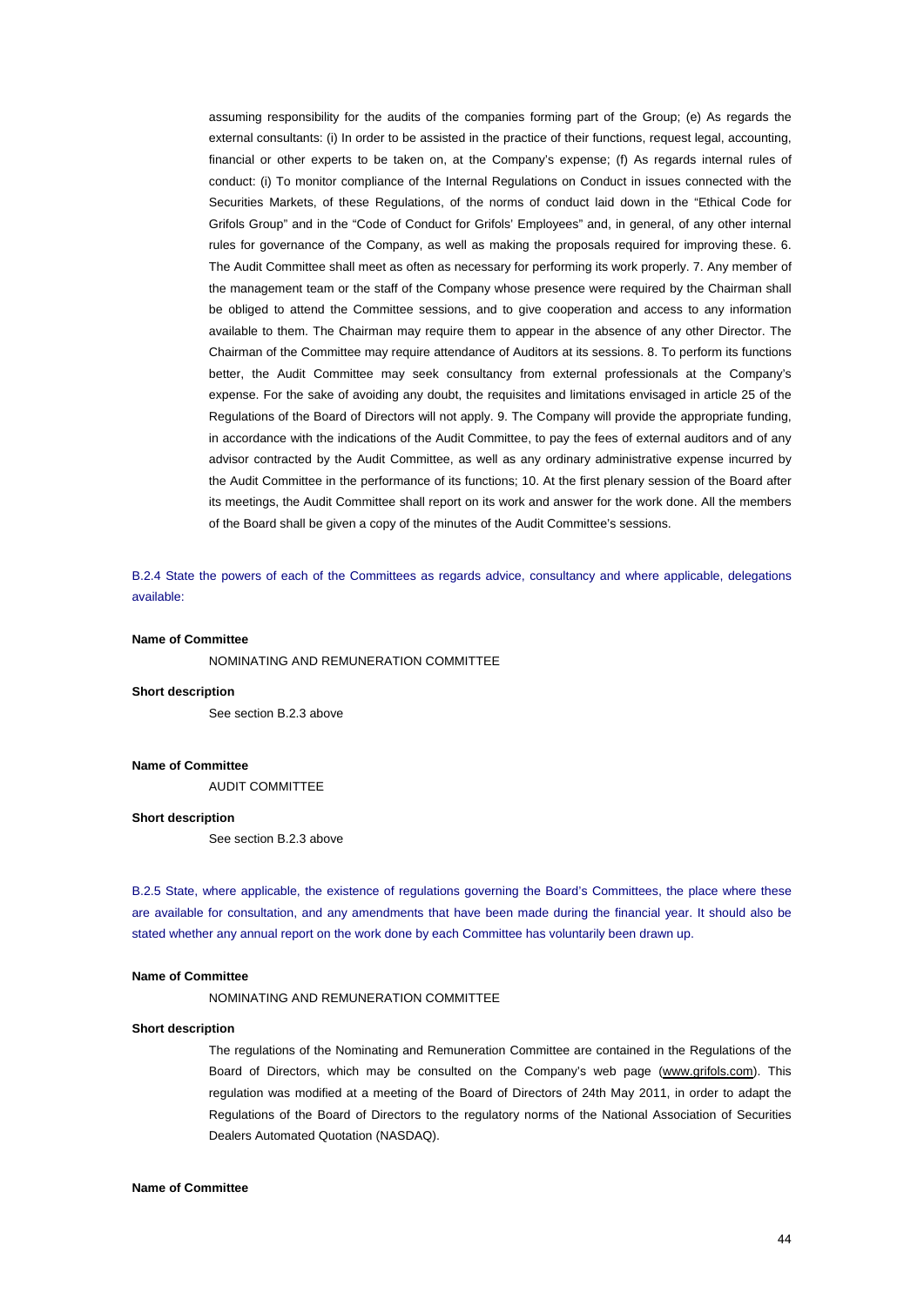assuming responsibility for the audits of the companies forming part of the Group; (e) As regards the external consultants: (i) In order to be assisted in the practice of their functions, request legal, accounting, financial or other experts to be taken on, at the Company's expense; (f) As regards internal rules of conduct: (i) To monitor compliance of the Internal Regulations on Conduct in issues connected with the Securities Markets, of these Regulations, of the norms of conduct laid down in the "Ethical Code for Grifols Group" and in the "Code of Conduct for Grifols' Employees" and, in general, of any other internal rules for governance of the Company, as well as making the proposals required for improving these. 6. The Audit Committee shall meet as often as necessary for performing its work properly. 7. Any member of the management team or the staff of the Company whose presence were required by the Chairman shall be obliged to attend the Committee sessions, and to give cooperation and access to any information available to them. The Chairman may require them to appear in the absence of any other Director. The Chairman of the Committee may require attendance of Auditors at its sessions. 8. To perform its functions better, the Audit Committee may seek consultancy from external professionals at the Company's expense. For the sake of avoiding any doubt, the requisites and limitations envisaged in article 25 of the Regulations of the Board of Directors will not apply. 9. The Company will provide the appropriate funding, in accordance with the indications of the Audit Committee, to pay the fees of external auditors and of any advisor contracted by the Audit Committee, as well as any ordinary administrative expense incurred by the Audit Committee in the performance of its functions; 10. At the first plenary session of the Board after its meetings, the Audit Committee shall report on its work and answer for the work done. All the members of the Board shall be given a copy of the minutes of the Audit Committee's sessions.

B.2.4 State the powers of each of the Committees as regards advice, consultancy and where applicable, delegations available:

#### **Name of Committee**

NOMINATING AND REMUNERATION COMMITTEE

#### **Short description**

See section B.2.3 above

#### **Name of Committee**

AUDIT COMMITTEE

#### **Short description**

See section B.2.3 above

B.2.5 State, where applicable, the existence of regulations governing the Board's Committees, the place where these are available for consultation, and any amendments that have been made during the financial year. It should also be stated whether any annual report on the work done by each Committee has voluntarily been drawn up.

## **Name of Committee**

NOMINATING AND REMUNERATION COMMITTEE

# **Short description**

The regulations of the Nominating and Remuneration Committee are contained in the Regulations of the Board of Directors, which may be consulted on the Company's web page (www.grifols.com). This regulation was modified at a meeting of the Board of Directors of 24th May 2011, in order to adapt the Regulations of the Board of Directors to the regulatory norms of the National Association of Securities Dealers Automated Quotation (NASDAQ).

#### **Name of Committee**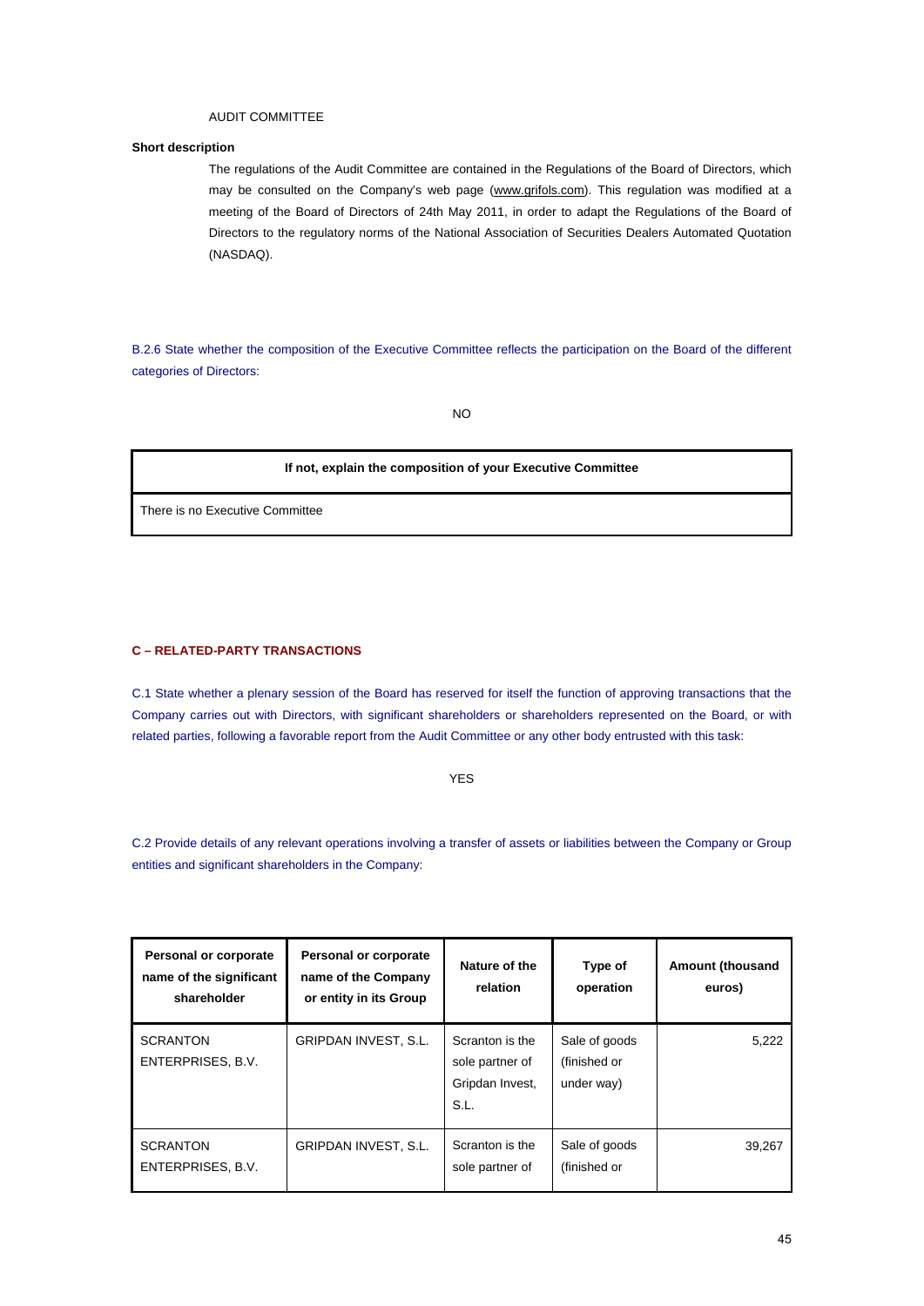# AUDIT COMMITTEE

# **Short description**

The regulations of the Audit Committee are contained in the Regulations of the Board of Directors, which may be consulted on the Company's web page (www.grifols.com). This regulation was modified at a meeting of the Board of Directors of 24th May 2011, in order to adapt the Regulations of the Board of Directors to the regulatory norms of the National Association of Securities Dealers Automated Quotation (NASDAQ).

B.2.6 State whether the composition of the Executive Committee reflects the participation on the Board of the different categories of Directors:

NO

# **If not, explain the composition of your Executive Committee**

There is no Executive Committee

# **C – RELATED-PARTY TRANSACTIONS**

C.1 State whether a plenary session of the Board has reserved for itself the function of approving transactions that the Company carries out with Directors, with significant shareholders or shareholders represented on the Board, or with related parties, following a favorable report from the Audit Committee or any other body entrusted with this task:

#### YES

C.2 Provide details of any relevant operations involving a transfer of assets or liabilities between the Company or Group entities and significant shareholders in the Company:

| <b>Personal or corporate</b><br>name of the significant<br>shareholder | Personal or corporate<br>name of the Company<br>or entity in its Group | Nature of the<br>relation                                     | Type of<br>operation                        | <b>Amount (thousand</b><br>euros) |
|------------------------------------------------------------------------|------------------------------------------------------------------------|---------------------------------------------------------------|---------------------------------------------|-----------------------------------|
| <b>SCRANTON</b><br>ENTERPRISES, B.V.                                   | <b>GRIPDAN INVEST, S.L.</b>                                            | Scranton is the<br>sole partner of<br>Gripdan Invest,<br>S.L. | Sale of goods<br>(finished or<br>under way) | 5,222                             |
| <b>SCRANTON</b><br>ENTERPRISES, B.V.                                   | <b>GRIPDAN INVEST, S.L.</b>                                            | Scranton is the<br>sole partner of                            | Sale of goods<br>(finished or               | 39,267                            |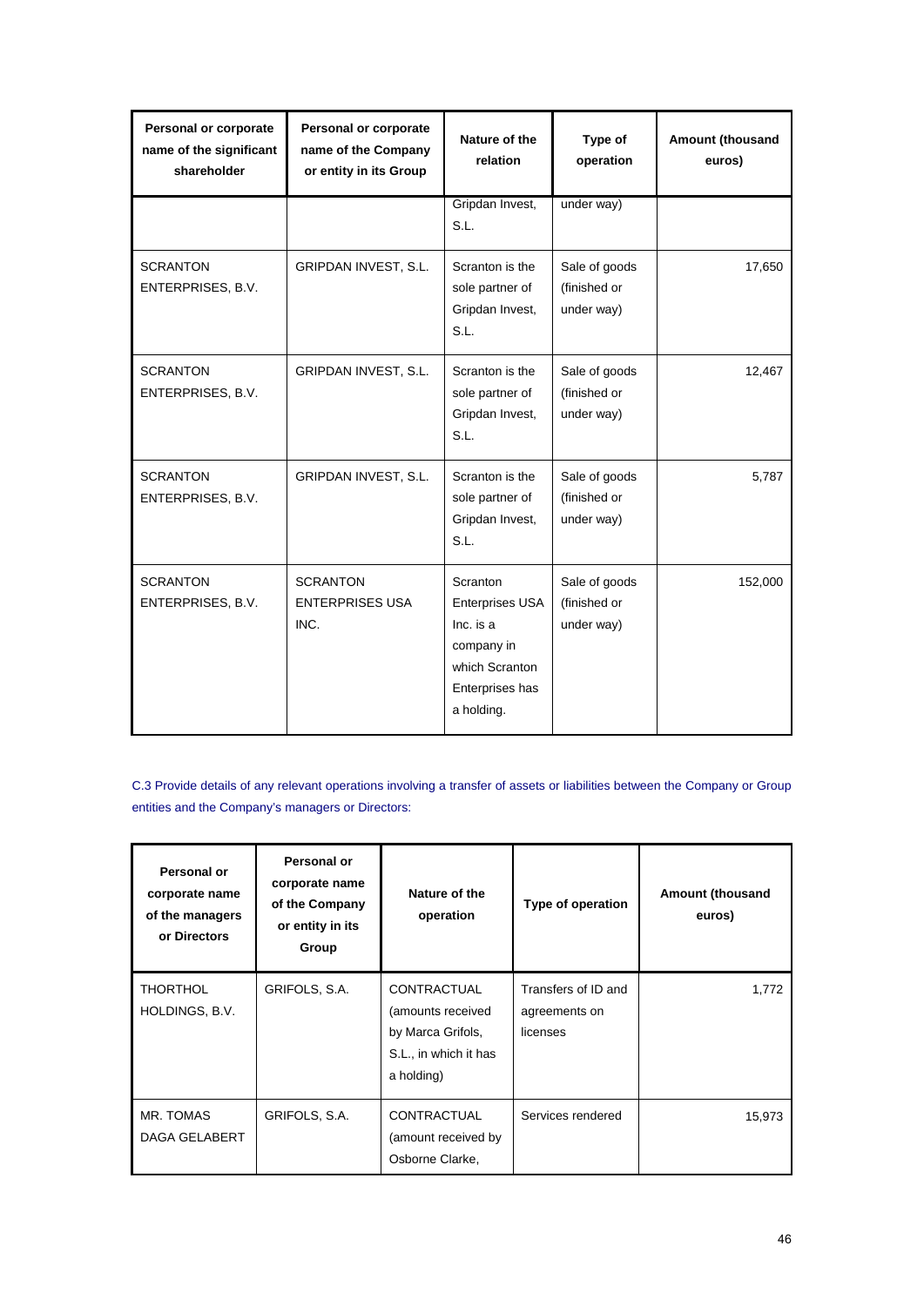| Personal or corporate<br>name of the significant<br>shareholder | Personal or corporate<br>name of the Company<br>or entity in its Group | Nature of the<br>relation                                                                                        | Type of<br>operation                        | Amount (thousand<br>euros) |
|-----------------------------------------------------------------|------------------------------------------------------------------------|------------------------------------------------------------------------------------------------------------------|---------------------------------------------|----------------------------|
|                                                                 |                                                                        | Gripdan Invest,<br>S.L.                                                                                          | under way)                                  |                            |
| <b>SCRANTON</b><br>ENTERPRISES, B.V.                            | GRIPDAN INVEST, S.L.                                                   | Scranton is the<br>sole partner of<br>Gripdan Invest,<br>S.L.                                                    | Sale of goods<br>(finished or<br>under way) | 17,650                     |
| <b>SCRANTON</b><br>ENTERPRISES, B.V.                            | GRIPDAN INVEST, S.L.                                                   | Scranton is the<br>sole partner of<br>Gripdan Invest,<br>S.L.                                                    | Sale of goods<br>(finished or<br>under way) | 12,467                     |
| <b>SCRANTON</b><br>ENTERPRISES, B.V.                            | GRIPDAN INVEST, S.L.                                                   | Scranton is the<br>sole partner of<br>Gripdan Invest,<br>S.L.                                                    | Sale of goods<br>(finished or<br>under way) | 5,787                      |
| <b>SCRANTON</b><br>ENTERPRISES, B.V.                            | <b>SCRANTON</b><br><b>ENTERPRISES USA</b><br>INC.                      | Scranton<br><b>Enterprises USA</b><br>Inc. is a<br>company in<br>which Scranton<br>Enterprises has<br>a holding. | Sale of goods<br>(finished or<br>under way) | 152,000                    |

C.3 Provide details of any relevant operations involving a transfer of assets or liabilities between the Company or Group entities and the Company's managers or Directors:

| Personal or<br>corporate name<br>of the managers<br>or Directors | Personal or<br>corporate name<br>of the Company<br>or entity in its<br>Group | Nature of the<br>operation                                                                          | Type of operation                                | <b>Amount (thousand</b><br>euros) |
|------------------------------------------------------------------|------------------------------------------------------------------------------|-----------------------------------------------------------------------------------------------------|--------------------------------------------------|-----------------------------------|
| <b>THORTHOL</b><br>HOLDINGS, B.V.                                | GRIFOLS, S.A.                                                                | <b>CONTRACTUAL</b><br>(amounts received<br>by Marca Grifols,<br>S.L., in which it has<br>a holding) | Transfers of ID and<br>agreements on<br>licenses | 1,772                             |
| MR. TOMAS<br><b>DAGA GELABERT</b>                                | GRIFOLS, S.A.                                                                | <b>CONTRACTUAL</b><br>(amount received by<br>Osborne Clarke,                                        | Services rendered                                | 15,973                            |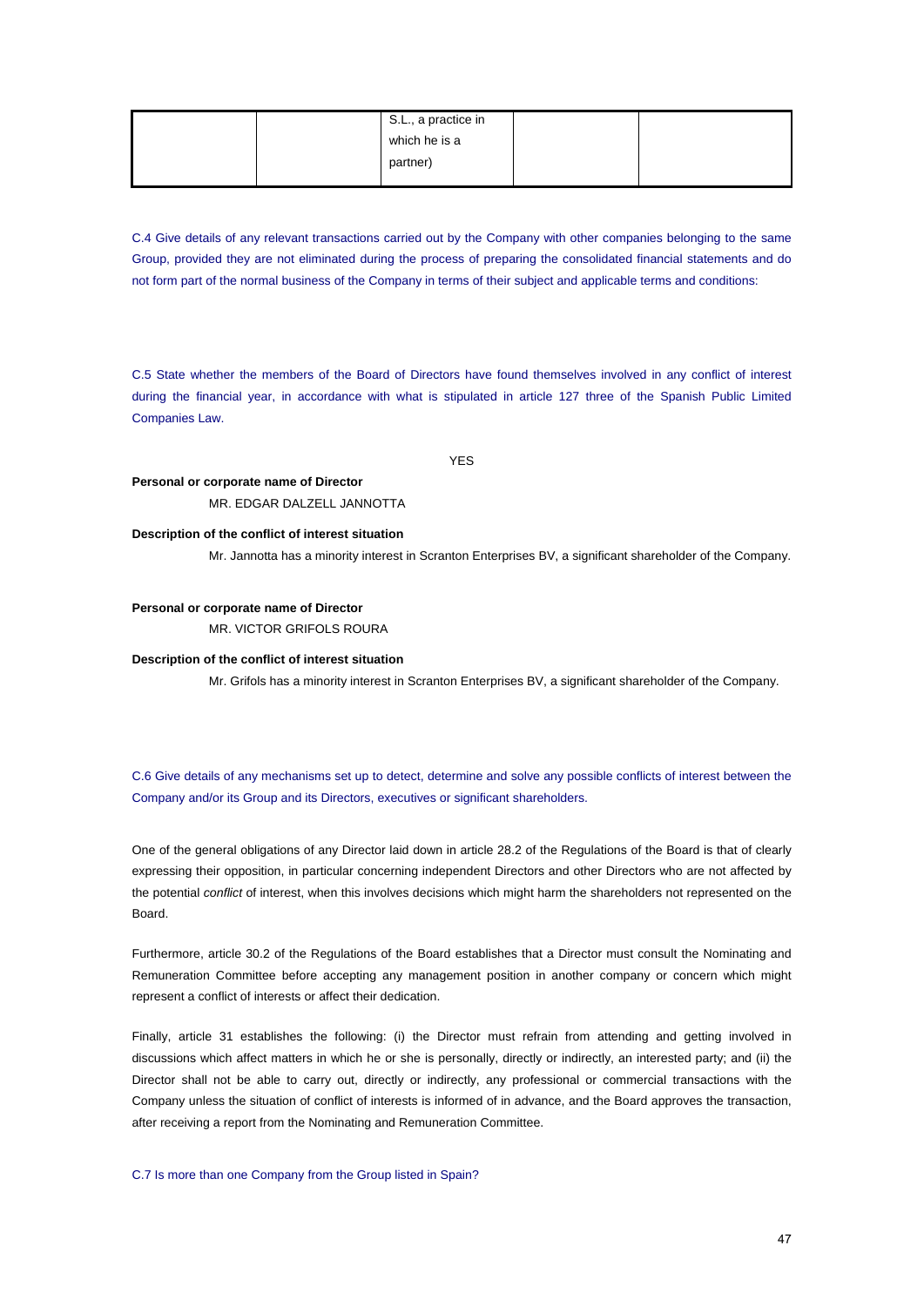|  | S.L., a practice in |  |
|--|---------------------|--|
|  | which he is a       |  |
|  | partner)            |  |
|  |                     |  |

C.4 Give details of any relevant transactions carried out by the Company with other companies belonging to the same Group, provided they are not eliminated during the process of preparing the consolidated financial statements and do not form part of the normal business of the Company in terms of their subject and applicable terms and conditions:

C.5 State whether the members of the Board of Directors have found themselves involved in any conflict of interest during the financial year, in accordance with what is stipulated in article 127 three of the Spanish Public Limited Companies Law.

YES

**Personal or corporate name of Director**  MR. EDGAR DALZELL JANNOTTA

### **Description of the conflict of interest situation**

Mr. Jannotta has a minority interest in Scranton Enterprises BV, a significant shareholder of the Company.

### **Personal or corporate name of Director**

MR. VICTOR GRIFOLS ROURA

# **Description of the conflict of interest situation**

Mr. Grifols has a minority interest in Scranton Enterprises BV, a significant shareholder of the Company.

C.6 Give details of any mechanisms set up to detect, determine and solve any possible conflicts of interest between the Company and/or its Group and its Directors, executives or significant shareholders.

One of the general obligations of any Director laid down in article 28.2 of the Regulations of the Board is that of clearly expressing their opposition, in particular concerning independent Directors and other Directors who are not affected by the potential *conflict* of interest, when this involves decisions which might harm the shareholders not represented on the Board.

Furthermore, article 30.2 of the Regulations of the Board establishes that a Director must consult the Nominating and Remuneration Committee before accepting any management position in another company or concern which might represent a conflict of interests or affect their dedication.

Finally, article 31 establishes the following: (i) the Director must refrain from attending and getting involved in discussions which affect matters in which he or she is personally, directly or indirectly, an interested party; and (ii) the Director shall not be able to carry out, directly or indirectly, any professional or commercial transactions with the Company unless the situation of conflict of interests is informed of in advance, and the Board approves the transaction, after receiving a report from the Nominating and Remuneration Committee.

### C.7 Is more than one Company from the Group listed in Spain?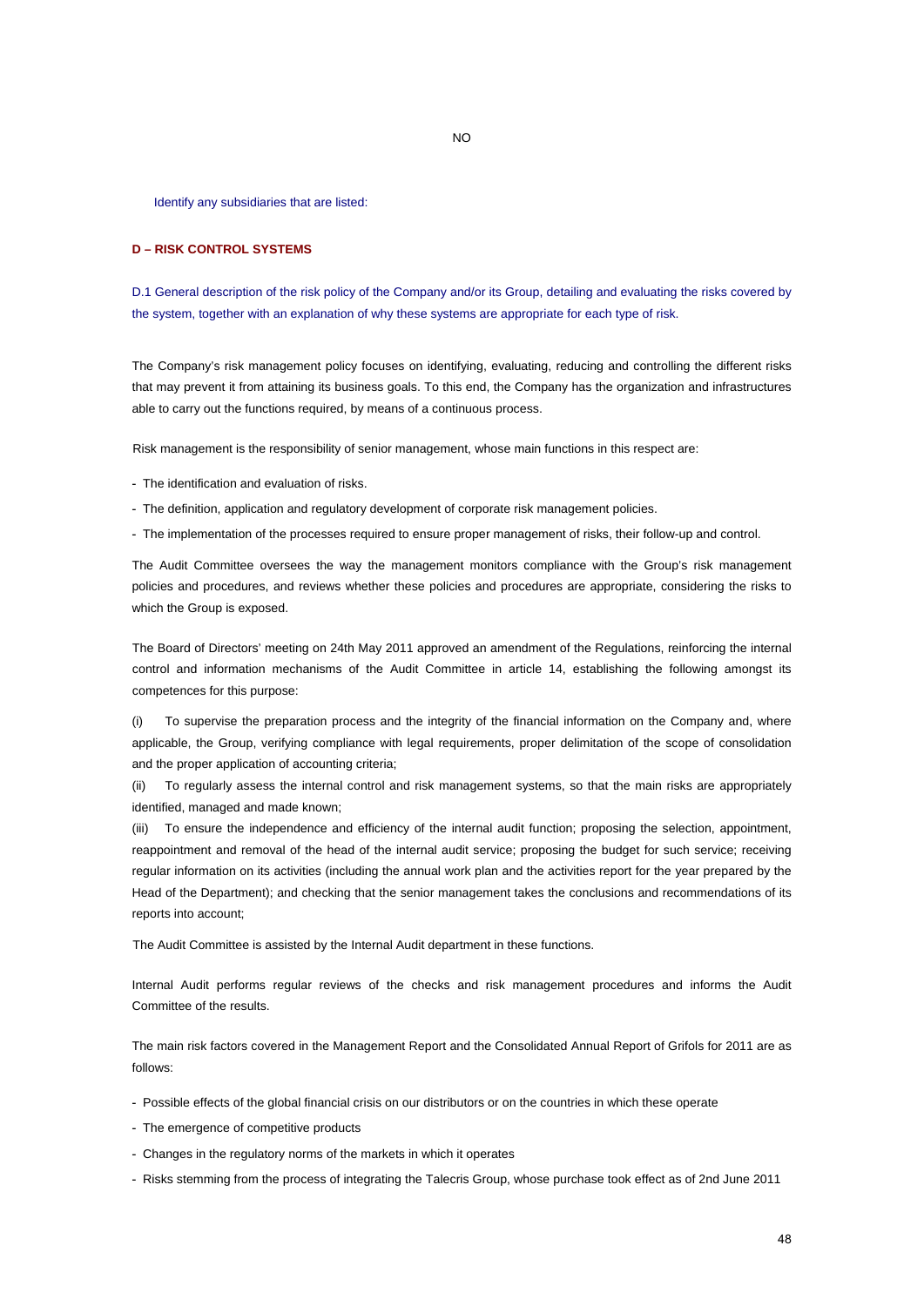Identify any subsidiaries that are listed:

# **D** *–* **RISK CONTROL SYSTEMS**

D.1 General description of the risk policy of the Company and/or its Group, detailing and evaluating the risks covered by the system, together with an explanation of why these systems are appropriate for each type of risk.

NO

The Company's risk management policy focuses on identifying, evaluating, reducing and controlling the different risks that may prevent it from attaining its business goals. To this end, the Company has the organization and infrastructures able to carry out the functions required, by means of a continuous process.

Risk management is the responsibility of senior management, whose main functions in this respect are:

- The identification and evaluation of risks.

- The definition, application and regulatory development of corporate risk management policies.

- The implementation of the processes required to ensure proper management of risks, their follow-up and control.

The Audit Committee oversees the way the management monitors compliance with the Group's risk management policies and procedures, and reviews whether these policies and procedures are appropriate, considering the risks to which the Group is exposed.

The Board of Directors' meeting on 24th May 2011 approved an amendment of the Regulations, reinforcing the internal control and information mechanisms of the Audit Committee in article 14, establishing the following amongst its competences for this purpose:

(i) To supervise the preparation process and the integrity of the financial information on the Company and, where applicable, the Group, verifying compliance with legal requirements, proper delimitation of the scope of consolidation and the proper application of accounting criteria;

(ii) To regularly assess the internal control and risk management systems, so that the main risks are appropriately identified, managed and made known;

(iii) To ensure the independence and efficiency of the internal audit function; proposing the selection, appointment, reappointment and removal of the head of the internal audit service; proposing the budget for such service; receiving regular information on its activities (including the annual work plan and the activities report for the year prepared by the Head of the Department); and checking that the senior management takes the conclusions and recommendations of its reports into account;

The Audit Committee is assisted by the Internal Audit department in these functions.

Internal Audit performs regular reviews of the checks and risk management procedures and informs the Audit Committee of the results.

The main risk factors covered in the Management Report and the Consolidated Annual Report of Grifols for 2011 are as follows:

- Possible effects of the global financial crisis on our distributors or on the countries in which these operate
- The emergence of competitive products
- Changes in the regulatory norms of the markets in which it operates
- Risks stemming from the process of integrating the Talecris Group, whose purchase took effect as of 2nd June 2011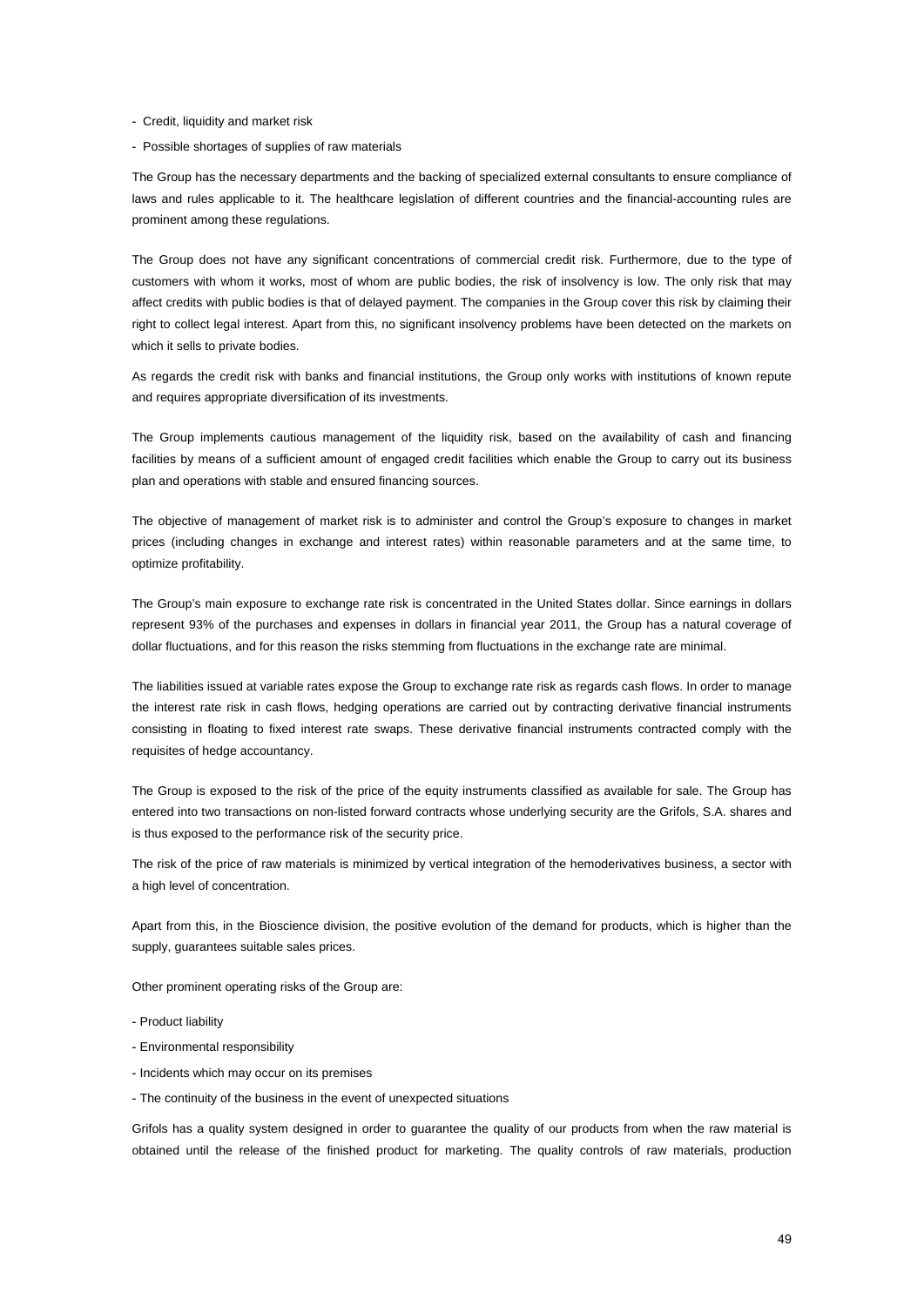- Credit, liquidity and market risk
- Possible shortages of supplies of raw materials

The Group has the necessary departments and the backing of specialized external consultants to ensure compliance of laws and rules applicable to it. The healthcare legislation of different countries and the financial-accounting rules are prominent among these regulations.

The Group does not have any significant concentrations of commercial credit risk. Furthermore, due to the type of customers with whom it works, most of whom are public bodies, the risk of insolvency is low. The only risk that may affect credits with public bodies is that of delayed payment. The companies in the Group cover this risk by claiming their right to collect legal interest. Apart from this, no significant insolvency problems have been detected on the markets on which it sells to private bodies.

As regards the credit risk with banks and financial institutions, the Group only works with institutions of known repute and requires appropriate diversification of its investments.

The Group implements cautious management of the liquidity risk, based on the availability of cash and financing facilities by means of a sufficient amount of engaged credit facilities which enable the Group to carry out its business plan and operations with stable and ensured financing sources.

The objective of management of market risk is to administer and control the Group's exposure to changes in market prices (including changes in exchange and interest rates) within reasonable parameters and at the same time, to optimize profitability.

The Group's main exposure to exchange rate risk is concentrated in the United States dollar. Since earnings in dollars represent 93% of the purchases and expenses in dollars in financial year 2011, the Group has a natural coverage of dollar fluctuations, and for this reason the risks stemming from fluctuations in the exchange rate are minimal.

The liabilities issued at variable rates expose the Group to exchange rate risk as regards cash flows. In order to manage the interest rate risk in cash flows, hedging operations are carried out by contracting derivative financial instruments consisting in floating to fixed interest rate swaps. These derivative financial instruments contracted comply with the requisites of hedge accountancy.

The Group is exposed to the risk of the price of the equity instruments classified as available for sale. The Group has entered into two transactions on non-listed forward contracts whose underlying security are the Grifols, S.A. shares and is thus exposed to the performance risk of the security price.

The risk of the price of raw materials is minimized by vertical integration of the hemoderivatives business, a sector with a high level of concentration.

Apart from this, in the Bioscience division, the positive evolution of the demand for products, which is higher than the supply, guarantees suitable sales prices.

Other prominent operating risks of the Group are:

- Product liability
- Environmental responsibility
- Incidents which may occur on its premises
- The continuity of the business in the event of unexpected situations

Grifols has a quality system designed in order to guarantee the quality of our products from when the raw material is obtained until the release of the finished product for marketing. The quality controls of raw materials, production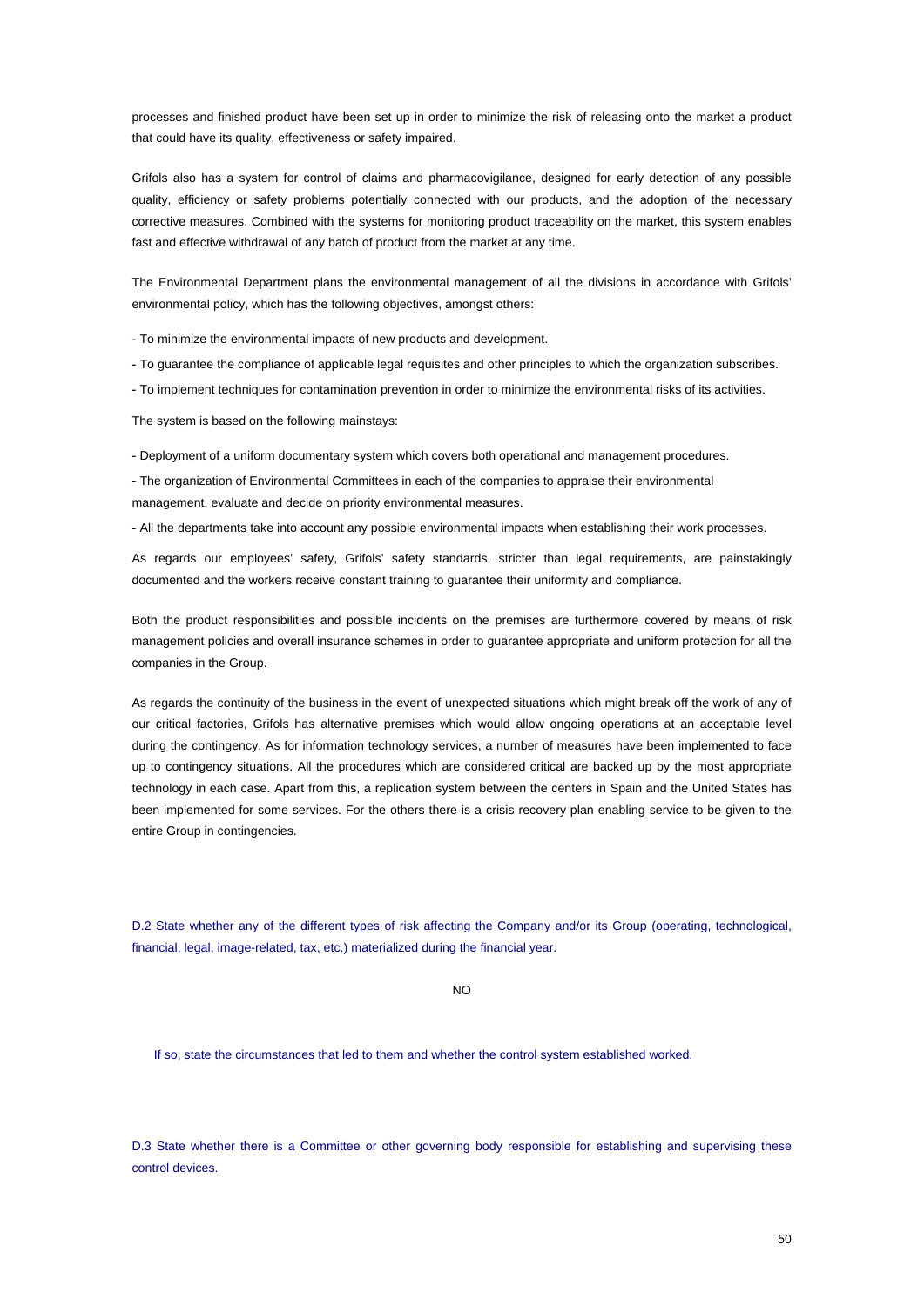processes and finished product have been set up in order to minimize the risk of releasing onto the market a product that could have its quality, effectiveness or safety impaired.

Grifols also has a system for control of claims and pharmacovigilance, designed for early detection of any possible quality, efficiency or safety problems potentially connected with our products, and the adoption of the necessary corrective measures. Combined with the systems for monitoring product traceability on the market, this system enables fast and effective withdrawal of any batch of product from the market at any time.

The Environmental Department plans the environmental management of all the divisions in accordance with Grifols' environmental policy, which has the following objectives, amongst others:

- To minimize the environmental impacts of new products and development.

- To guarantee the compliance of applicable legal requisites and other principles to which the organization subscribes.

- To implement techniques for contamination prevention in order to minimize the environmental risks of its activities.

The system is based on the following mainstays:

- Deployment of a uniform documentary system which covers both operational and management procedures.

- The organization of Environmental Committees in each of the companies to appraise their environmental management, evaluate and decide on priority environmental measures.

- All the departments take into account any possible environmental impacts when establishing their work processes.

As regards our employees' safety, Grifols' safety standards, stricter than legal requirements, are painstakingly documented and the workers receive constant training to guarantee their uniformity and compliance.

Both the product responsibilities and possible incidents on the premises are furthermore covered by means of risk management policies and overall insurance schemes in order to guarantee appropriate and uniform protection for all the companies in the Group.

As regards the continuity of the business in the event of unexpected situations which might break off the work of any of our critical factories, Grifols has alternative premises which would allow ongoing operations at an acceptable level during the contingency. As for information technology services, a number of measures have been implemented to face up to contingency situations. All the procedures which are considered critical are backed up by the most appropriate technology in each case. Apart from this, a replication system between the centers in Spain and the United States has been implemented for some services. For the others there is a crisis recovery plan enabling service to be given to the entire Group in contingencies.

D.2 State whether any of the different types of risk affecting the Company and/or its Group (operating, technological, financial, legal, image-related, tax, etc.) materialized during the financial year.

NO

If so, state the circumstances that led to them and whether the control system established worked.

D.3 State whether there is a Committee or other governing body responsible for establishing and supervising these control devices.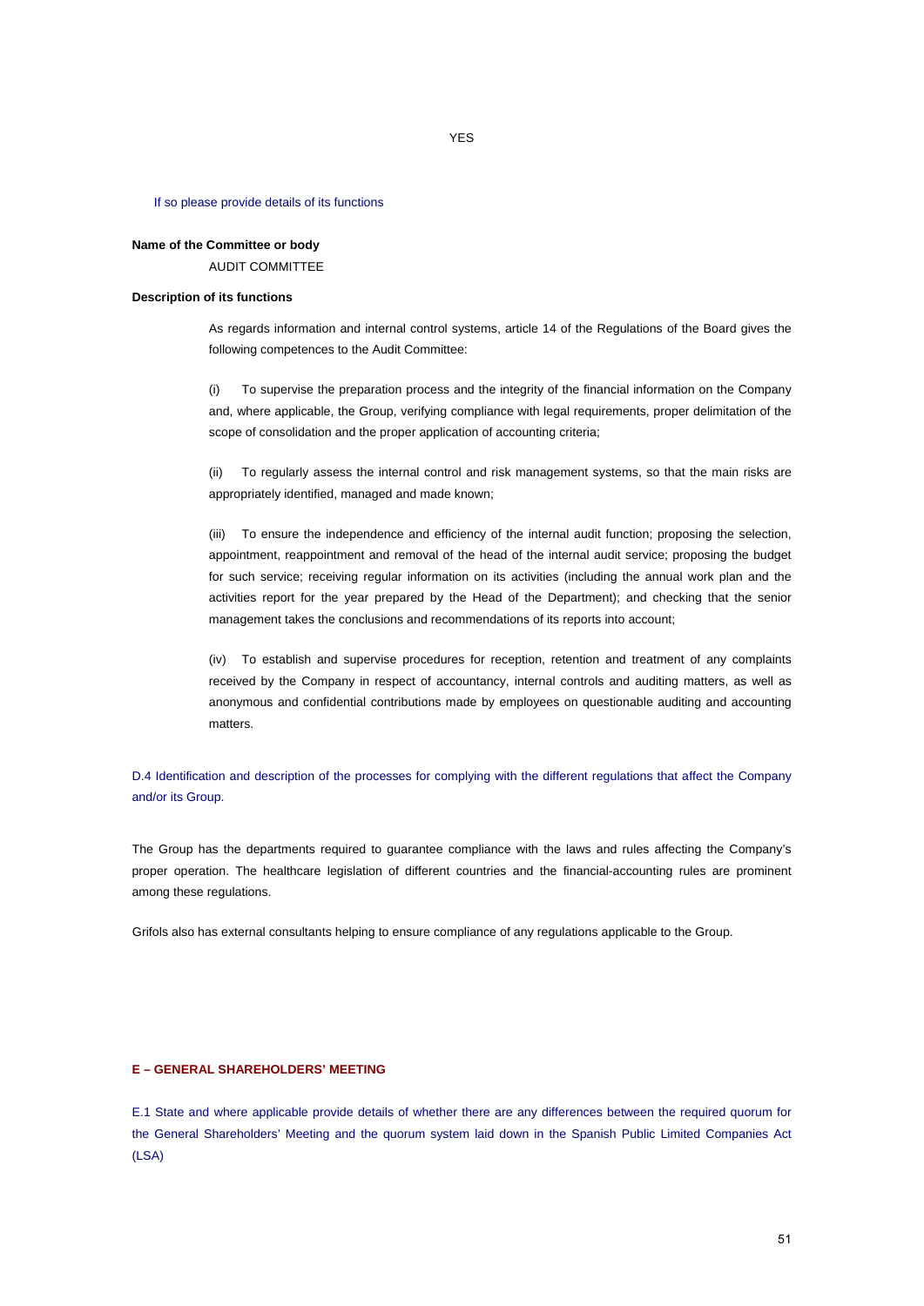#### If so please provide details of its functions

# **Name of the Committee or body**  AUDIT COMMITTEE

# **Description of its functions**

As regards information and internal control systems, article 14 of the Regulations of the Board gives the following competences to the Audit Committee:

(i) To supervise the preparation process and the integrity of the financial information on the Company and, where applicable, the Group, verifying compliance with legal requirements, proper delimitation of the scope of consolidation and the proper application of accounting criteria;

(ii) To regularly assess the internal control and risk management systems, so that the main risks are appropriately identified, managed and made known;

(iii) To ensure the independence and efficiency of the internal audit function; proposing the selection, appointment, reappointment and removal of the head of the internal audit service; proposing the budget for such service; receiving regular information on its activities (including the annual work plan and the activities report for the year prepared by the Head of the Department); and checking that the senior management takes the conclusions and recommendations of its reports into account;

(iv) To establish and supervise procedures for reception, retention and treatment of any complaints received by the Company in respect of accountancy, internal controls and auditing matters, as well as anonymous and confidential contributions made by employees on questionable auditing and accounting matters.

D.4 Identification and description of the processes for complying with the different regulations that affect the Company and/or its Group.

The Group has the departments required to guarantee compliance with the laws and rules affecting the Company's proper operation. The healthcare legislation of different countries and the financial-accounting rules are prominent among these regulations.

Grifols also has external consultants helping to ensure compliance of any regulations applicable to the Group.

## **E – GENERAL SHAREHOLDERS' MEETING**

E.1 State and where applicable provide details of whether there are any differences between the required quorum for the General Shareholders' Meeting and the quorum system laid down in the Spanish Public Limited Companies Act (LSA)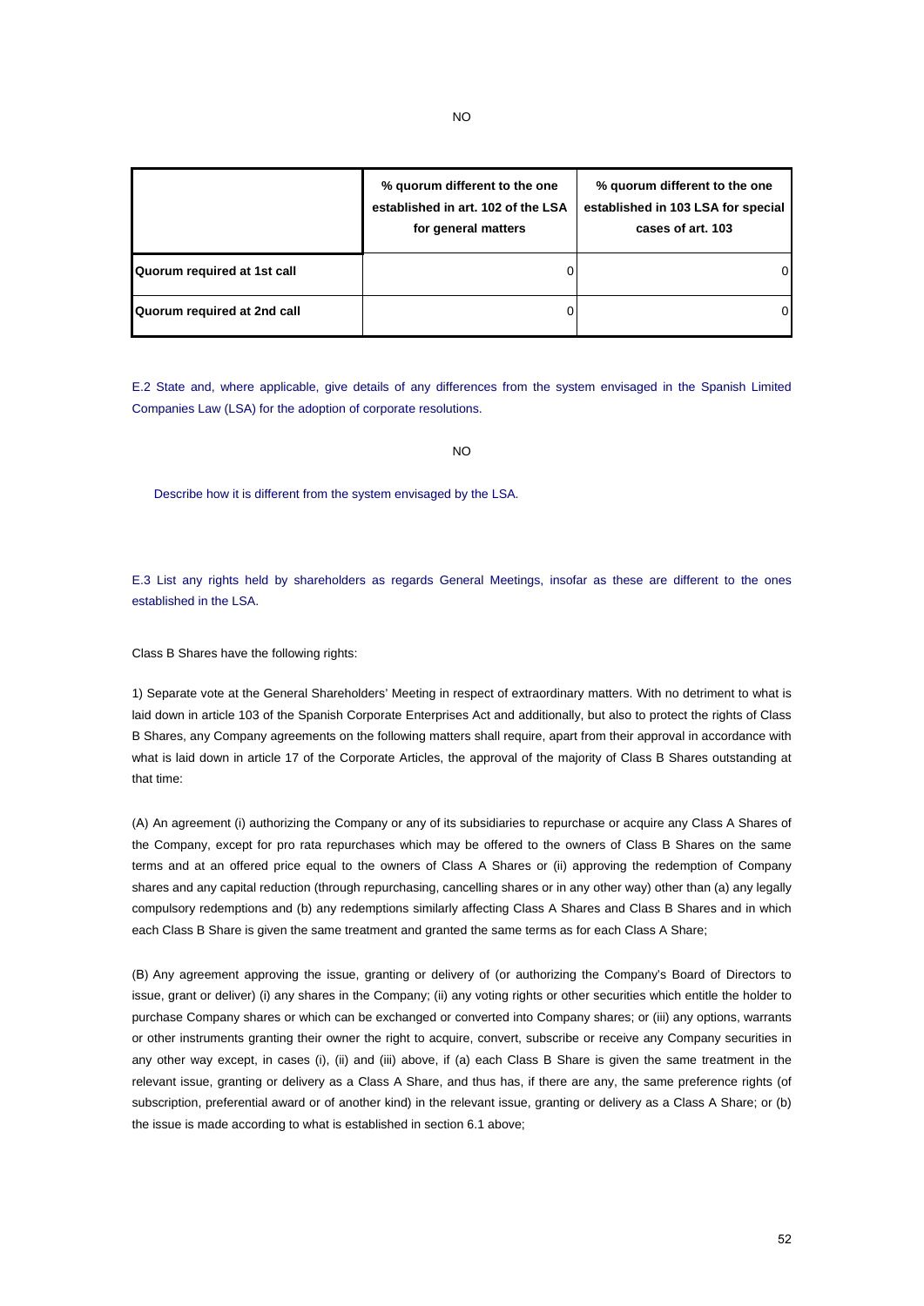|                             | % quorum different to the one<br>established in art. 102 of the LSA<br>for general matters | % quorum different to the one<br>established in 103 LSA for special<br>cases of art. 103 |
|-----------------------------|--------------------------------------------------------------------------------------------|------------------------------------------------------------------------------------------|
| Quorum required at 1st call |                                                                                            | 01                                                                                       |
| Quorum required at 2nd call |                                                                                            | ΟI                                                                                       |

E.2 State and, where applicable, give details of any differences from the system envisaged in the Spanish Limited Companies Law (LSA) for the adoption of corporate resolutions.

NO

Describe how it is different from the system envisaged by the LSA.

E.3 List any rights held by shareholders as regards General Meetings, insofar as these are different to the ones established in the LSA.

Class B Shares have the following rights:

1) Separate vote at the General Shareholders' Meeting in respect of extraordinary matters. With no detriment to what is laid down in article 103 of the Spanish Corporate Enterprises Act and additionally, but also to protect the rights of Class B Shares, any Company agreements on the following matters shall require, apart from their approval in accordance with what is laid down in article 17 of the Corporate Articles, the approval of the majority of Class B Shares outstanding at that time:

(A) An agreement (i) authorizing the Company or any of its subsidiaries to repurchase or acquire any Class A Shares of the Company, except for pro rata repurchases which may be offered to the owners of Class B Shares on the same terms and at an offered price equal to the owners of Class A Shares or (ii) approving the redemption of Company shares and any capital reduction (through repurchasing, cancelling shares or in any other way) other than (a) any legally compulsory redemptions and (b) any redemptions similarly affecting Class A Shares and Class B Shares and in which each Class B Share is given the same treatment and granted the same terms as for each Class A Share;

(B) Any agreement approving the issue, granting or delivery of (or authorizing the Company's Board of Directors to issue, grant or deliver) (i) any shares in the Company; (ii) any voting rights or other securities which entitle the holder to purchase Company shares or which can be exchanged or converted into Company shares; or (iii) any options, warrants or other instruments granting their owner the right to acquire, convert, subscribe or receive any Company securities in any other way except, in cases (i), (ii) and (iii) above, if (a) each Class B Share is given the same treatment in the relevant issue, granting or delivery as a Class A Share, and thus has, if there are any, the same preference rights (of subscription, preferential award or of another kind) in the relevant issue, granting or delivery as a Class A Share; or (b) the issue is made according to what is established in section 6.1 above;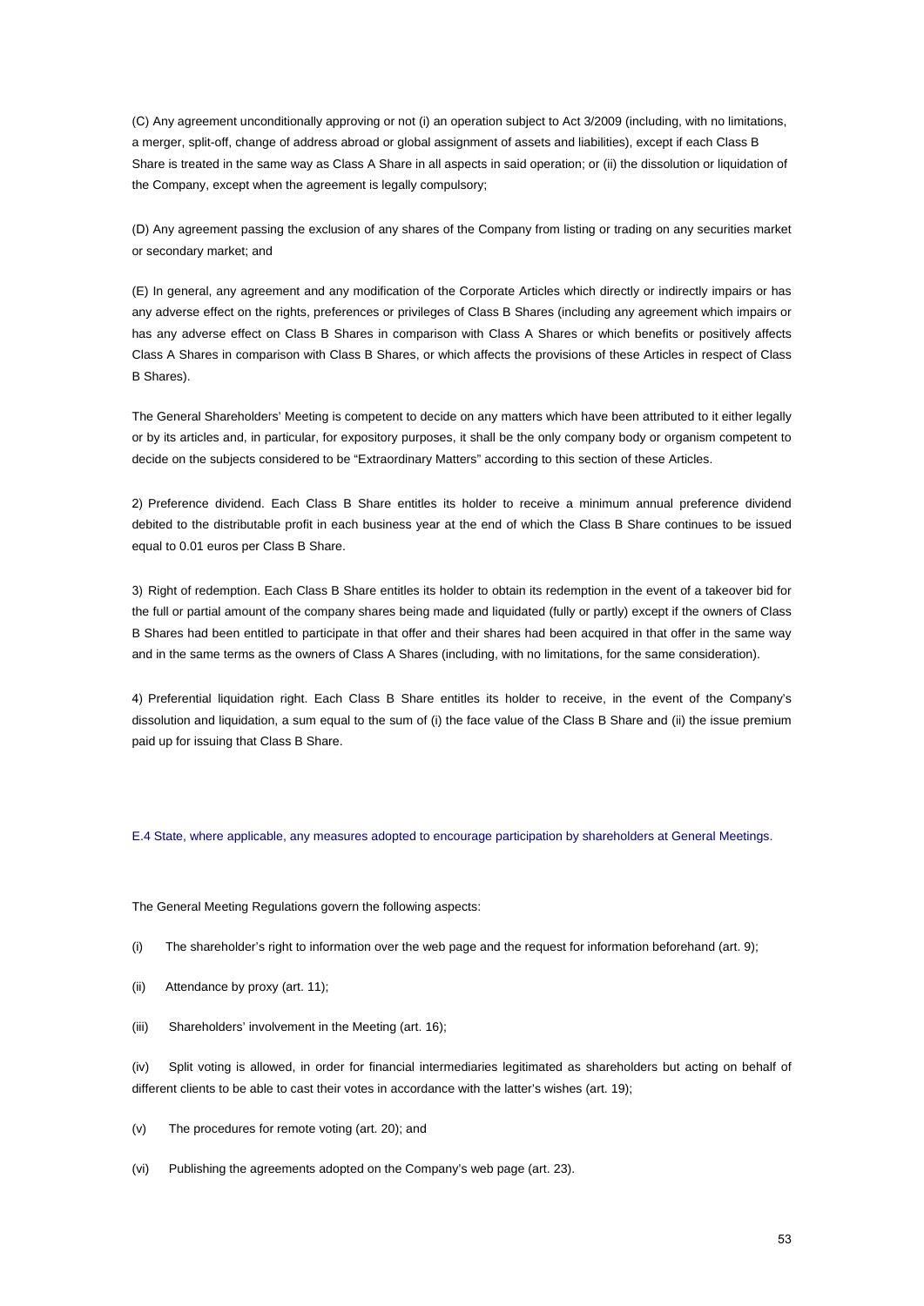(C) Any agreement unconditionally approving or not (i) an operation subject to Act 3/2009 (including, with no limitations, a merger, split-off, change of address abroad or global assignment of assets and liabilities), except if each Class B Share is treated in the same way as Class A Share in all aspects in said operation; or (ii) the dissolution or liquidation of the Company, except when the agreement is legally compulsory;

(D) Any agreement passing the exclusion of any shares of the Company from listing or trading on any securities market or secondary market; and

(E) In general, any agreement and any modification of the Corporate Articles which directly or indirectly impairs or has any adverse effect on the rights, preferences or privileges of Class B Shares (including any agreement which impairs or has any adverse effect on Class B Shares in comparison with Class A Shares or which benefits or positively affects Class A Shares in comparison with Class B Shares, or which affects the provisions of these Articles in respect of Class B Shares).

The General Shareholders' Meeting is competent to decide on any matters which have been attributed to it either legally or by its articles and, in particular, for expository purposes, it shall be the only company body or organism competent to decide on the subjects considered to be "Extraordinary Matters" according to this section of these Articles.

2) Preference dividend. Each Class B Share entitles its holder to receive a minimum annual preference dividend debited to the distributable profit in each business year at the end of which the Class B Share continues to be issued equal to 0.01 euros per Class B Share.

3) Right of redemption. Each Class B Share entitles its holder to obtain its redemption in the event of a takeover bid for the full or partial amount of the company shares being made and liquidated (fully or partly) except if the owners of Class B Shares had been entitled to participate in that offer and their shares had been acquired in that offer in the same way and in the same terms as the owners of Class A Shares (including, with no limitations, for the same consideration).

4) Preferential liquidation right. Each Class B Share entitles its holder to receive, in the event of the Company's dissolution and liquidation, a sum equal to the sum of (i) the face value of the Class B Share and (ii) the issue premium paid up for issuing that Class B Share.

E.4 State, where applicable, any measures adopted to encourage participation by shareholders at General Meetings.

The General Meeting Regulations govern the following aspects:

(i) The shareholder's right to information over the web page and the request for information beforehand (art. 9);

(ii) Attendance by proxy (art. 11);

(iii) Shareholders' involvement in the Meeting (art. 16);

(iv) Split voting is allowed, in order for financial intermediaries legitimated as shareholders but acting on behalf of different clients to be able to cast their votes in accordance with the latter's wishes (art. 19);

(v) The procedures for remote voting (art. 20); and

(vi) Publishing the agreements adopted on the Company's web page (art. 23).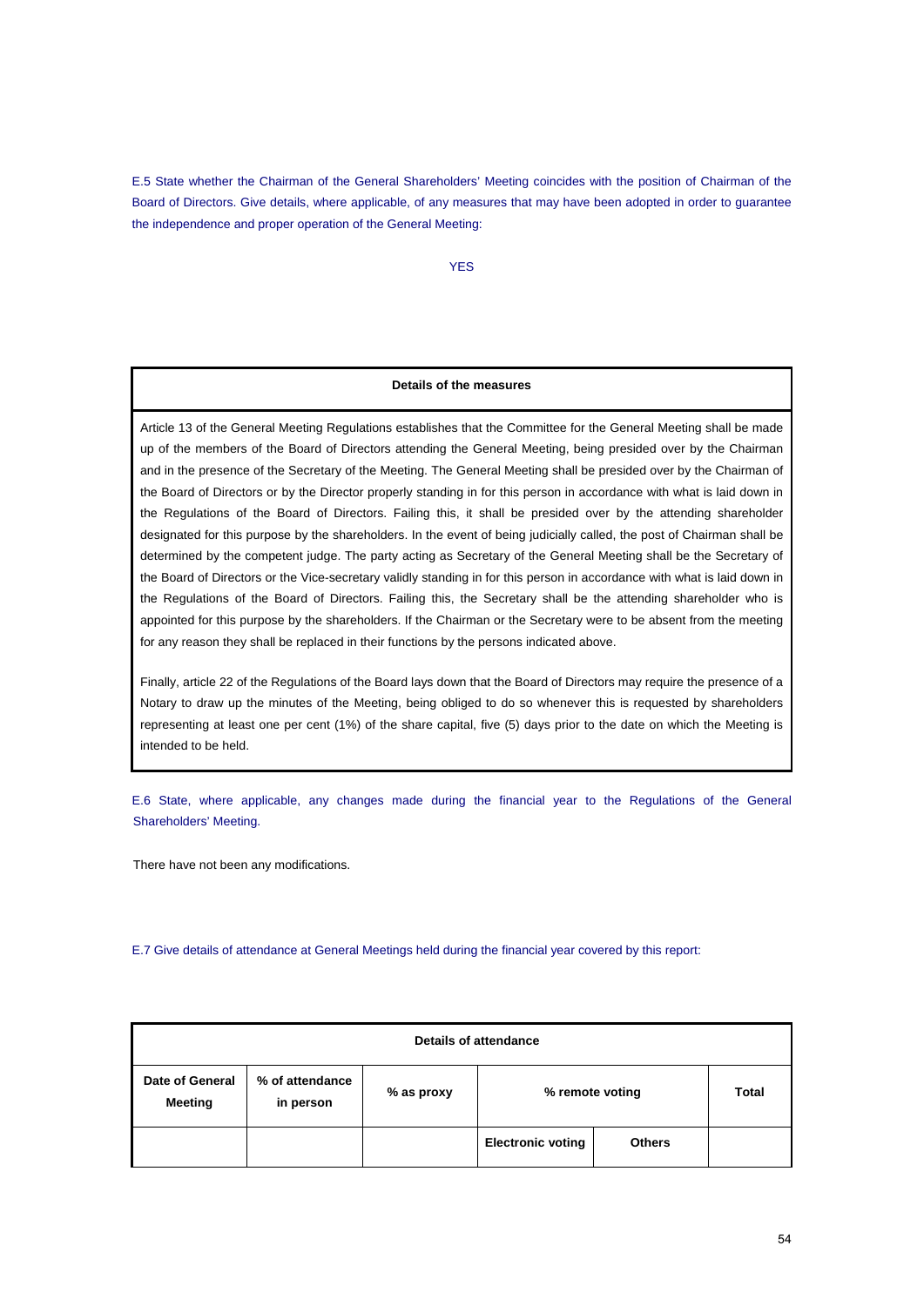E.5 State whether the Chairman of the General Shareholders' Meeting coincides with the position of Chairman of the Board of Directors. Give details, where applicable, of any measures that may have been adopted in order to guarantee the independence and proper operation of the General Meeting:

YES

# **Details of the measures**

Article 13 of the General Meeting Regulations establishes that the Committee for the General Meeting shall be made up of the members of the Board of Directors attending the General Meeting, being presided over by the Chairman and in the presence of the Secretary of the Meeting. The General Meeting shall be presided over by the Chairman of the Board of Directors or by the Director properly standing in for this person in accordance with what is laid down in the Regulations of the Board of Directors. Failing this, it shall be presided over by the attending shareholder designated for this purpose by the shareholders. In the event of being judicially called, the post of Chairman shall be determined by the competent judge. The party acting as Secretary of the General Meeting shall be the Secretary of the Board of Directors or the Vice-secretary validly standing in for this person in accordance with what is laid down in the Regulations of the Board of Directors. Failing this, the Secretary shall be the attending shareholder who is appointed for this purpose by the shareholders. If the Chairman or the Secretary were to be absent from the meeting for any reason they shall be replaced in their functions by the persons indicated above.

Finally, article 22 of the Regulations of the Board lays down that the Board of Directors may require the presence of a Notary to draw up the minutes of the Meeting, being obliged to do so whenever this is requested by shareholders representing at least one per cent (1%) of the share capital, five (5) days prior to the date on which the Meeting is intended to be held.

E.6 State, where applicable, any changes made during the financial year to the Regulations of the General Shareholders' Meeting.

There have not been any modifications.

E.7 Give details of attendance at General Meetings held during the financial year covered by this report:

| Details of attendance      |                              |            |                          |               |       |  |  |
|----------------------------|------------------------------|------------|--------------------------|---------------|-------|--|--|
| Date of General<br>Meeting | % of attendance<br>in person | % as proxy | % remote voting          |               | Total |  |  |
|                            |                              |            | <b>Electronic voting</b> | <b>Others</b> |       |  |  |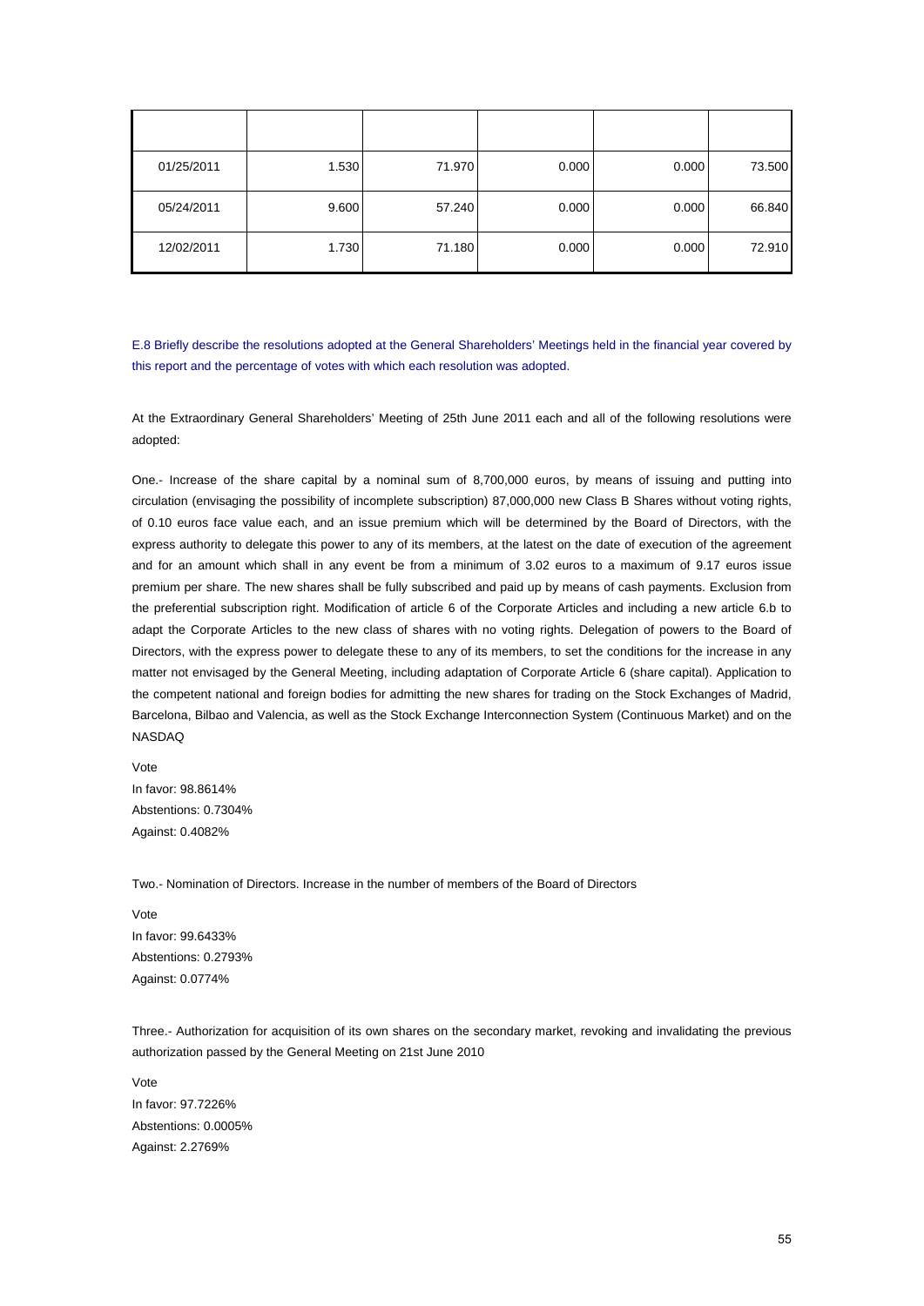| 01/25/2011 | 1.530 | 71.970 | 0.000 | 0.000 | 73.500 |
|------------|-------|--------|-------|-------|--------|
| 05/24/2011 | 9.600 | 57.240 | 0.000 | 0.000 | 66.840 |
| 12/02/2011 | 1.730 | 71.180 | 0.000 | 0.000 | 72.910 |

E.8 Briefly describe the resolutions adopted at the General Shareholders' Meetings held in the financial year covered by this report and the percentage of votes with which each resolution was adopted.

At the Extraordinary General Shareholders' Meeting of 25th June 2011 each and all of the following resolutions were adopted:

One.- Increase of the share capital by a nominal sum of 8,700,000 euros, by means of issuing and putting into circulation (envisaging the possibility of incomplete subscription) 87,000,000 new Class B Shares without voting rights, of 0.10 euros face value each, and an issue premium which will be determined by the Board of Directors, with the express authority to delegate this power to any of its members, at the latest on the date of execution of the agreement and for an amount which shall in any event be from a minimum of 3.02 euros to a maximum of 9.17 euros issue premium per share. The new shares shall be fully subscribed and paid up by means of cash payments. Exclusion from the preferential subscription right. Modification of article 6 of the Corporate Articles and including a new article 6.b to adapt the Corporate Articles to the new class of shares with no voting rights. Delegation of powers to the Board of Directors, with the express power to delegate these to any of its members, to set the conditions for the increase in any matter not envisaged by the General Meeting, including adaptation of Corporate Article 6 (share capital). Application to the competent national and foreign bodies for admitting the new shares for trading on the Stock Exchanges of Madrid, Barcelona, Bilbao and Valencia, as well as the Stock Exchange Interconnection System (Continuous Market) and on the NASDAQ

Vote In favor: 98.8614% Abstentions: 0.7304% Against: 0.4082%

Two.- Nomination of Directors. Increase in the number of members of the Board of Directors

Vote In favor: 99.6433% Abstentions: 0.2793% Against: 0.0774%

Three.- Authorization for acquisition of its own shares on the secondary market, revoking and invalidating the previous authorization passed by the General Meeting on 21st June 2010

Vote In favor: 97.7226% Abstentions: 0.0005% Against: 2.2769%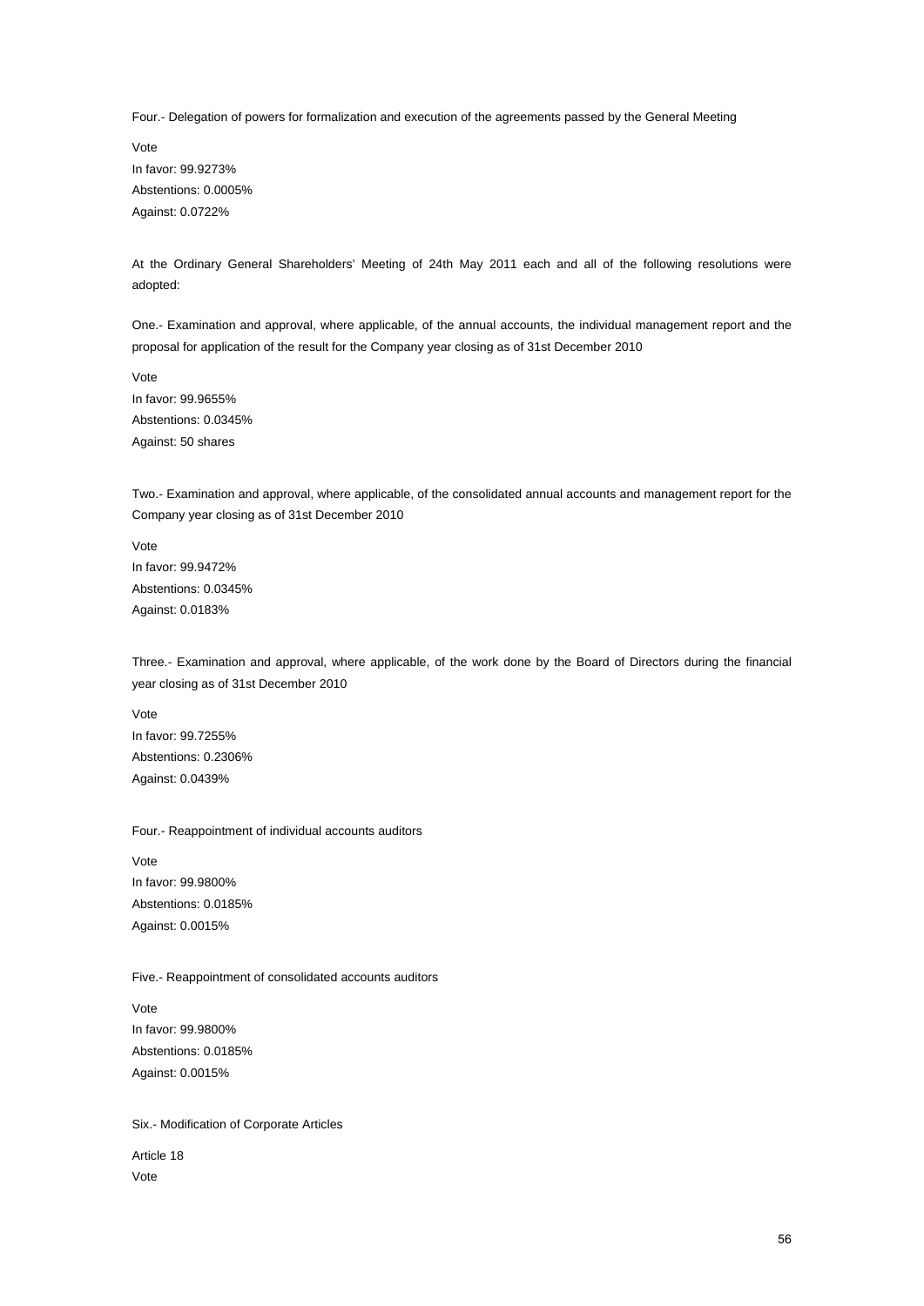Four.- Delegation of powers for formalization and execution of the agreements passed by the General Meeting

Vote In favor: 99.9273% Abstentions: 0.0005% Against: 0.0722%

At the Ordinary General Shareholders' Meeting of 24th May 2011 each and all of the following resolutions were adopted:

One.- Examination and approval, where applicable, of the annual accounts, the individual management report and the proposal for application of the result for the Company year closing as of 31st December 2010

Vote In favor: 99.9655% Abstentions: 0.0345% Against: 50 shares

Two.- Examination and approval, where applicable, of the consolidated annual accounts and management report for the Company year closing as of 31st December 2010

Vote In favor: 99.9472% Abstentions: 0.0345% Against: 0.0183%

Three.- Examination and approval, where applicable, of the work done by the Board of Directors during the financial year closing as of 31st December 2010

Vote In favor: 99.7255% Abstentions: 0.2306% Against: 0.0439%

Four.- Reappointment of individual accounts auditors

Vote In favor: 99.9800% Abstentions: 0.0185% Against: 0.0015%

Five.- Reappointment of consolidated accounts auditors

Vote In favor: 99.9800% Abstentions: 0.0185% Against: 0.0015%

### Six.- Modification of Corporate Articles

Article 18 Vote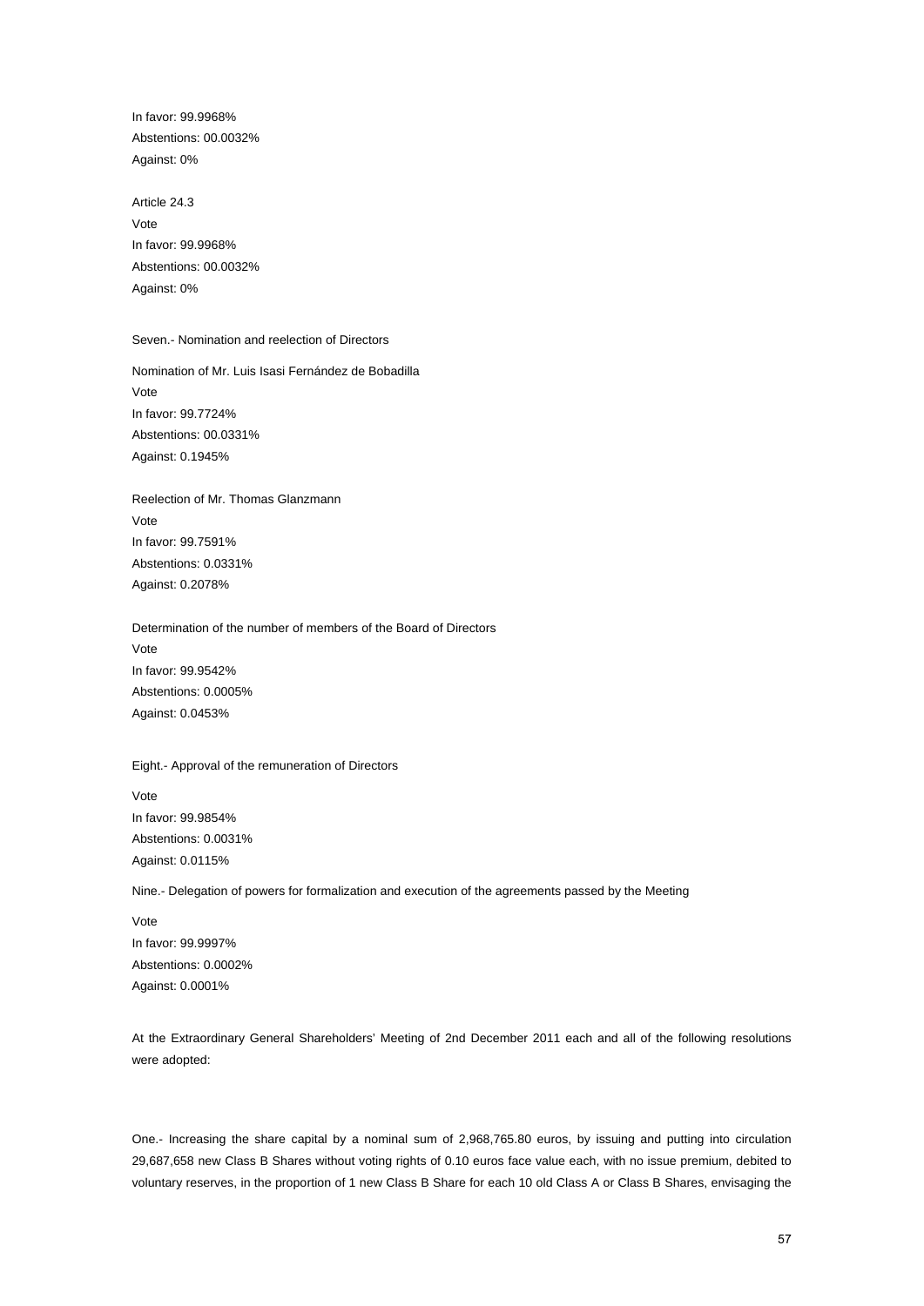In favor: 99.9968% Abstentions: 00.0032% Against: 0%

Article 24.3 Vote In favor: 99.9968% Abstentions: 00.0032% Against: 0%

# Seven.- Nomination and reelection of Directors

Nomination of Mr. Luis Isasi Fernández de Bobadilla Vote In favor: 99.7724% Abstentions: 00.0331% Against: 0.1945%

Reelection of Mr. Thomas Glanzmann Vote In favor: 99.7591% Abstentions: 0.0331% Against: 0.2078%

Determination of the number of members of the Board of Directors Vote In favor: 99.9542% Abstentions: 0.0005% Against: 0.0453%

Eight.- Approval of the remuneration of Directors

Vote In favor: 99.9854% Abstentions: 0.0031% Against: 0.0115%

Nine.- Delegation of powers for formalization and execution of the agreements passed by the Meeting

Vote In favor: 99.9997% Abstentions: 0.0002% Against: 0.0001%

At the Extraordinary General Shareholders' Meeting of 2nd December 2011 each and all of the following resolutions were adopted:

One.- Increasing the share capital by a nominal sum of 2,968,765.80 euros, by issuing and putting into circulation 29,687,658 new Class B Shares without voting rights of 0.10 euros face value each, with no issue premium, debited to voluntary reserves, in the proportion of 1 new Class B Share for each 10 old Class A or Class B Shares, envisaging the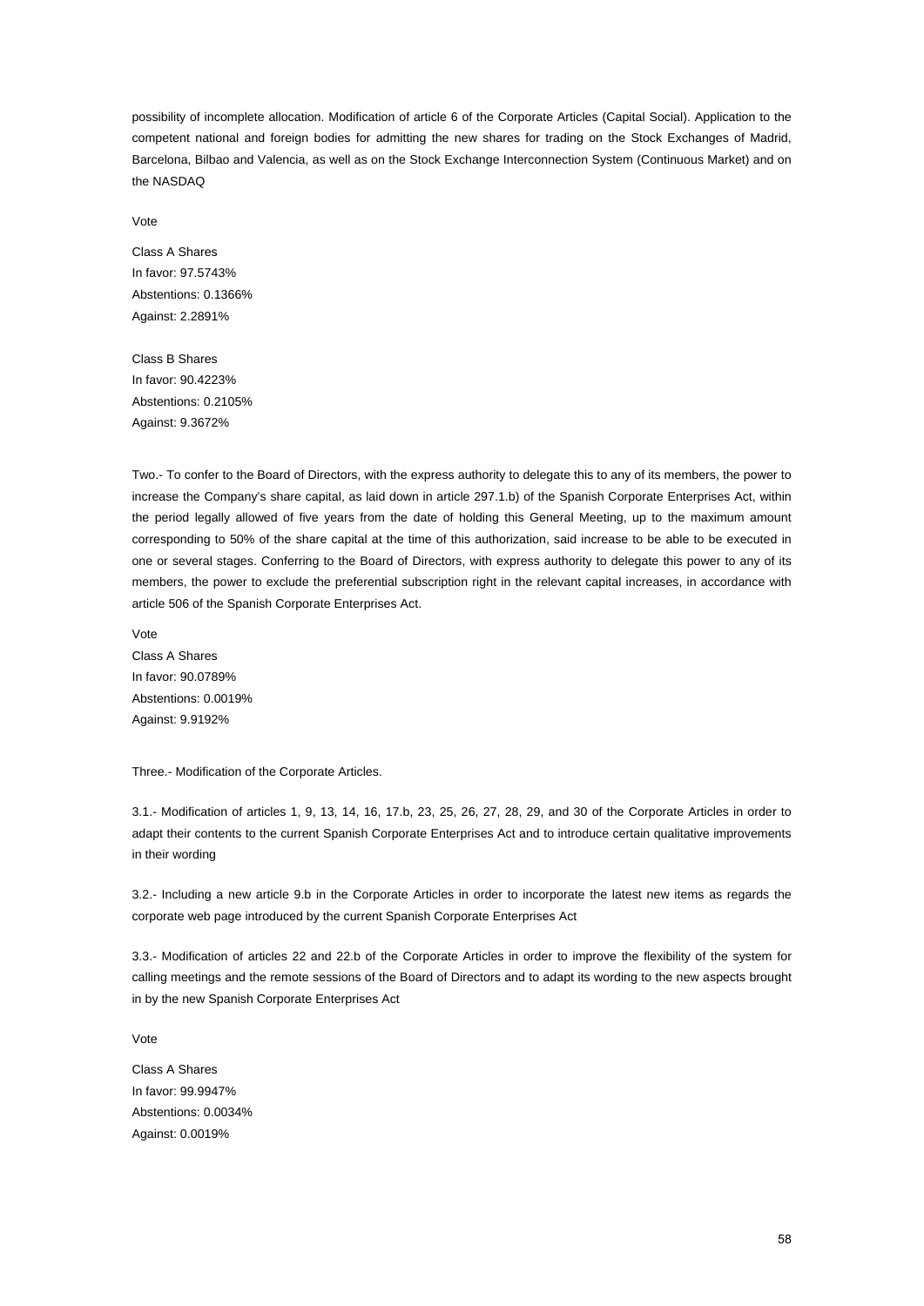possibility of incomplete allocation. Modification of article 6 of the Corporate Articles (Capital Social). Application to the competent national and foreign bodies for admitting the new shares for trading on the Stock Exchanges of Madrid, Barcelona, Bilbao and Valencia, as well as on the Stock Exchange Interconnection System (Continuous Market) and on the NASDAQ

Vote

Class A Shares In favor: 97.5743% Abstentions: 0.1366% Against: 2.2891%

Class B Shares In favor: 90.4223% Abstentions: 0.2105% Against: 9.3672%

Two.- To confer to the Board of Directors, with the express authority to delegate this to any of its members, the power to increase the Company's share capital, as laid down in article 297.1.b) of the Spanish Corporate Enterprises Act, within the period legally allowed of five years from the date of holding this General Meeting, up to the maximum amount corresponding to 50% of the share capital at the time of this authorization, said increase to be able to be executed in one or several stages. Conferring to the Board of Directors, with express authority to delegate this power to any of its members, the power to exclude the preferential subscription right in the relevant capital increases, in accordance with article 506 of the Spanish Corporate Enterprises Act.

Vote Class A Shares In favor: 90.0789% Abstentions: 0.0019% Against: 9.9192%

Three.- Modification of the Corporate Articles.

3.1.- Modification of articles 1, 9, 13, 14, 16, 17.b, 23, 25, 26, 27, 28, 29, and 30 of the Corporate Articles in order to adapt their contents to the current Spanish Corporate Enterprises Act and to introduce certain qualitative improvements in their wording

3.2.- Including a new article 9.b in the Corporate Articles in order to incorporate the latest new items as regards the corporate web page introduced by the current Spanish Corporate Enterprises Act

3.3.- Modification of articles 22 and 22.b of the Corporate Articles in order to improve the flexibility of the system for calling meetings and the remote sessions of the Board of Directors and to adapt its wording to the new aspects brought in by the new Spanish Corporate Enterprises Act

Vote

Class A Shares In favor: 99.9947% Abstentions: 0.0034% Against: 0.0019%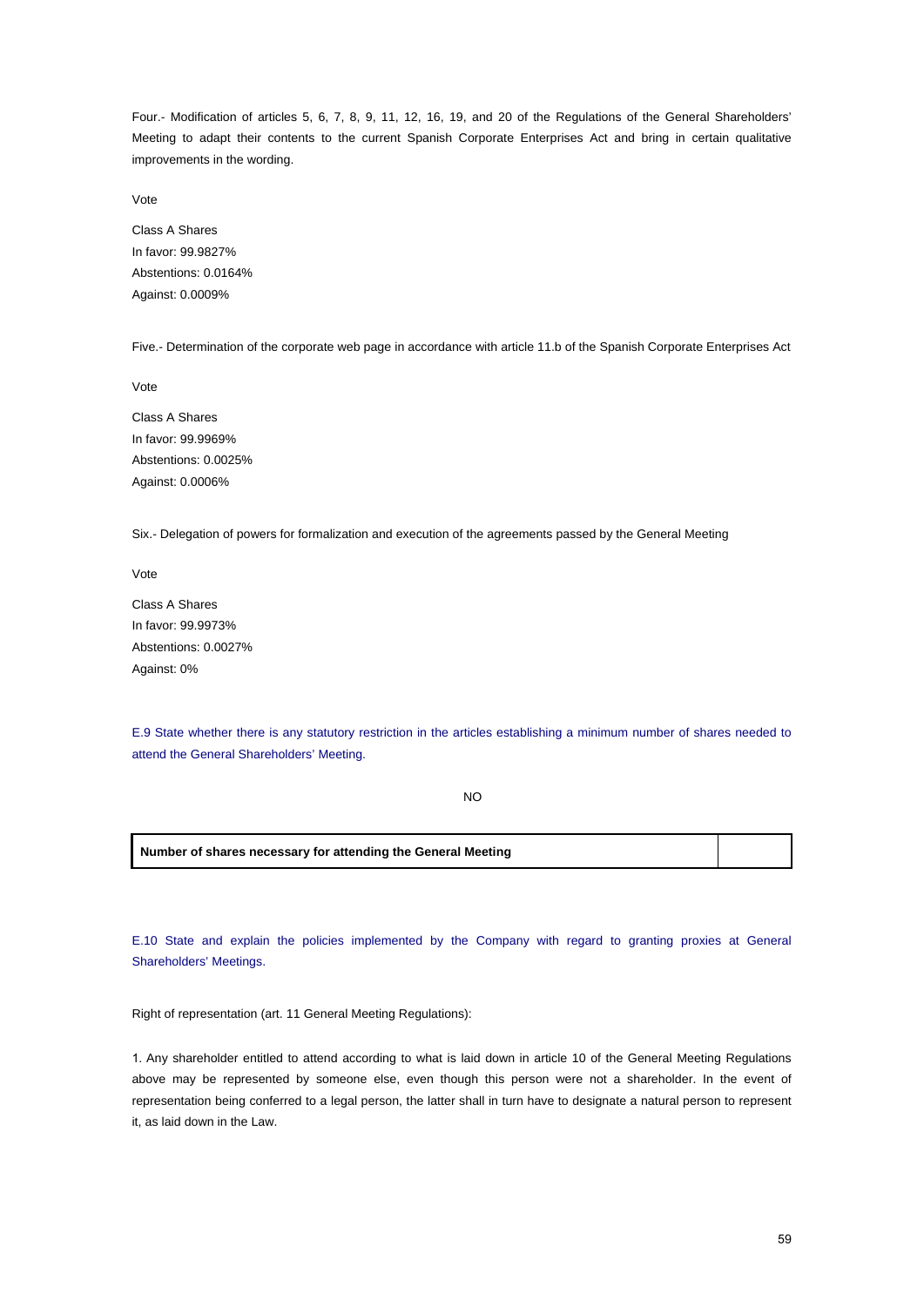Four.- Modification of articles 5, 6, 7, 8, 9, 11, 12, 16, 19, and 20 of the Regulations of the General Shareholders' Meeting to adapt their contents to the current Spanish Corporate Enterprises Act and bring in certain qualitative improvements in the wording.

Vote

Class A Shares In favor: 99.9827% Abstentions: 0.0164% Against: 0.0009%

Five.- Determination of the corporate web page in accordance with article 11.b of the Spanish Corporate Enterprises Act

Vote

Class A Shares In favor: 99.9969% Abstentions: 0.0025% Against: 0.0006%

Six.- Delegation of powers for formalization and execution of the agreements passed by the General Meeting

Vote

Class A Shares In favor: 99.9973% Abstentions: 0.0027% Against: 0%

E.9 State whether there is any statutory restriction in the articles establishing a minimum number of shares needed to attend the General Shareholders' Meeting.

NO

**Number of shares necessary for attending the General Meeting**

E.10 State and explain the policies implemented by the Company with regard to granting proxies at General Shareholders' Meetings.

Right of representation (art. 11 General Meeting Regulations):

1. Any shareholder entitled to attend according to what is laid down in article 10 of the General Meeting Regulations above may be represented by someone else, even though this person were not a shareholder. In the event of representation being conferred to a legal person, the latter shall in turn have to designate a natural person to represent it, as laid down in the Law.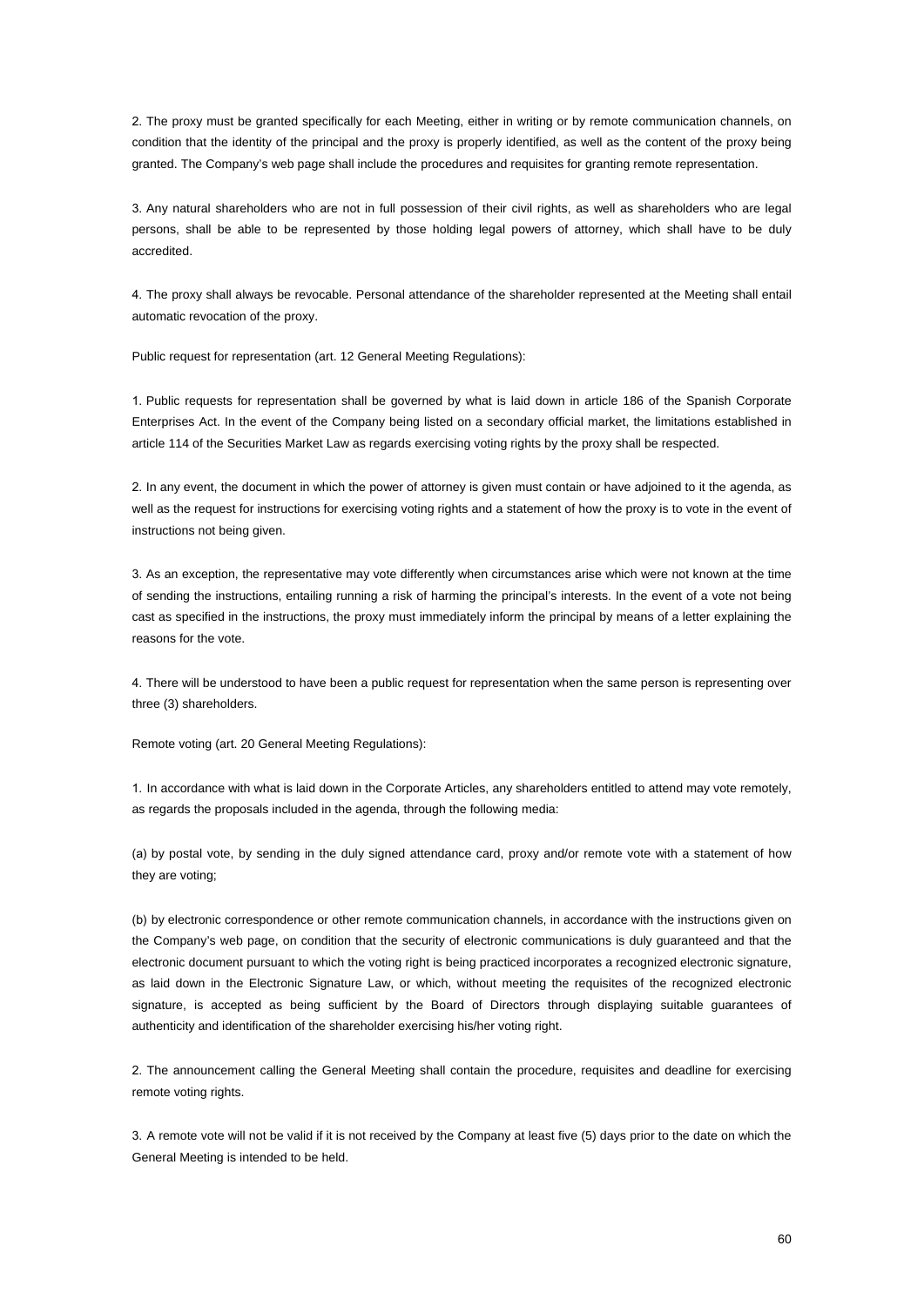2. The proxy must be granted specifically for each Meeting, either in writing or by remote communication channels, on condition that the identity of the principal and the proxy is properly identified, as well as the content of the proxy being granted. The Company's web page shall include the procedures and requisites for granting remote representation.

3. Any natural shareholders who are not in full possession of their civil rights, as well as shareholders who are legal persons, shall be able to be represented by those holding legal powers of attorney, which shall have to be duly accredited.

4. The proxy shall always be revocable. Personal attendance of the shareholder represented at the Meeting shall entail automatic revocation of the proxy.

Public request for representation (art. 12 General Meeting Regulations):

1. Public requests for representation shall be governed by what is laid down in article 186 of the Spanish Corporate Enterprises Act. In the event of the Company being listed on a secondary official market, the limitations established in article 114 of the Securities Market Law as regards exercising voting rights by the proxy shall be respected.

2. In any event, the document in which the power of attorney is given must contain or have adjoined to it the agenda, as well as the request for instructions for exercising voting rights and a statement of how the proxy is to vote in the event of instructions not being given.

3. As an exception, the representative may vote differently when circumstances arise which were not known at the time of sending the instructions, entailing running a risk of harming the principal's interests. In the event of a vote not being cast as specified in the instructions, the proxy must immediately inform the principal by means of a letter explaining the reasons for the vote.

4. There will be understood to have been a public request for representation when the same person is representing over three (3) shareholders.

Remote voting (art. 20 General Meeting Regulations):

1. In accordance with what is laid down in the Corporate Articles, any shareholders entitled to attend may vote remotely, as regards the proposals included in the agenda, through the following media:

(a) by postal vote, by sending in the duly signed attendance card, proxy and/or remote vote with a statement of how they are voting;

(b) by electronic correspondence or other remote communication channels, in accordance with the instructions given on the Company's web page, on condition that the security of electronic communications is duly guaranteed and that the electronic document pursuant to which the voting right is being practiced incorporates a recognized electronic signature, as laid down in the Electronic Signature Law, or which, without meeting the requisites of the recognized electronic signature, is accepted as being sufficient by the Board of Directors through displaying suitable guarantees of authenticity and identification of the shareholder exercising his/her voting right.

2. The announcement calling the General Meeting shall contain the procedure, requisites and deadline for exercising remote voting rights.

3. A remote vote will not be valid if it is not received by the Company at least five (5) days prior to the date on which the General Meeting is intended to be held.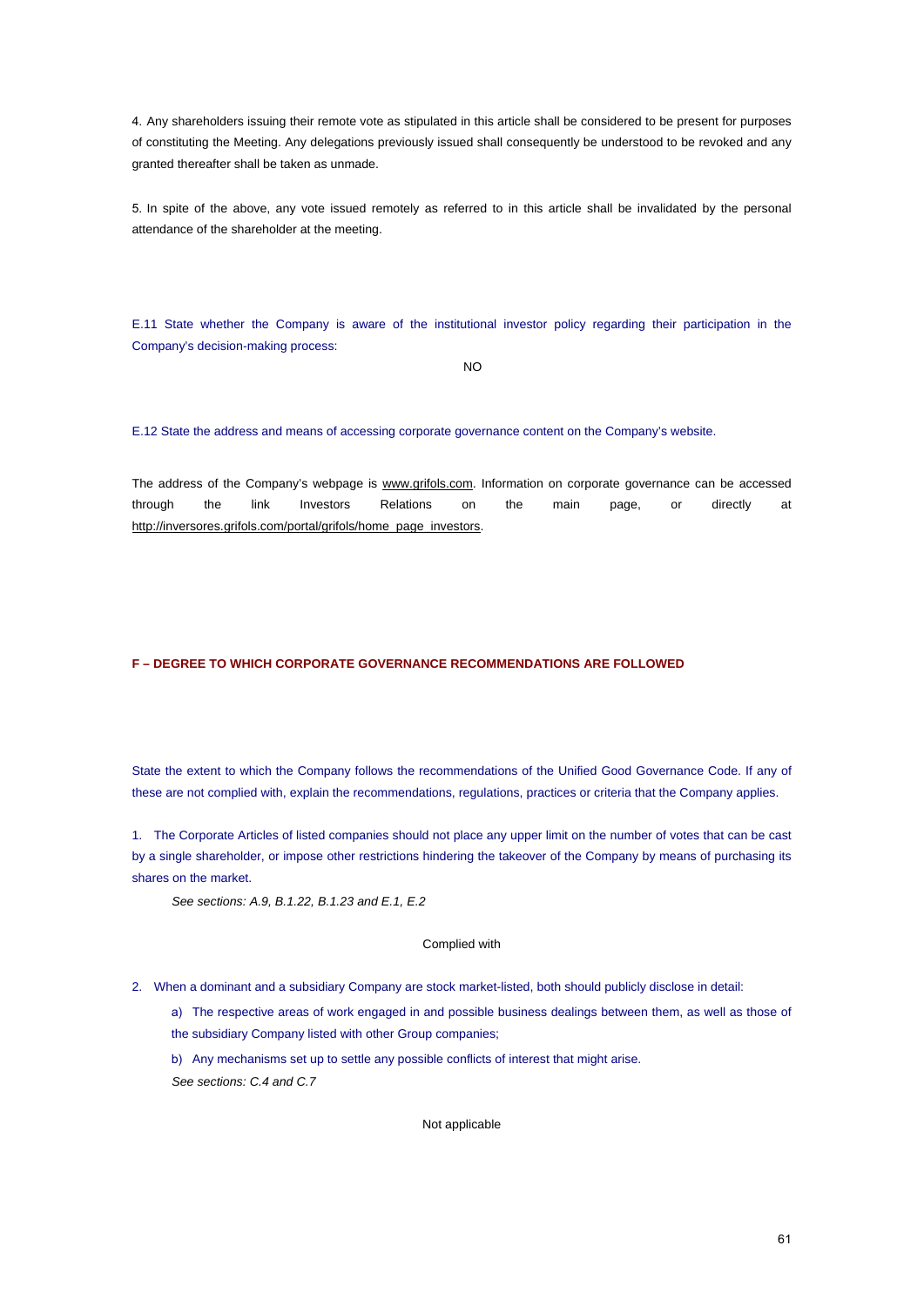4. Any shareholders issuing their remote vote as stipulated in this article shall be considered to be present for purposes of constituting the Meeting. Any delegations previously issued shall consequently be understood to be revoked and any granted thereafter shall be taken as unmade.

5. In spite of the above, any vote issued remotely as referred to in this article shall be invalidated by the personal attendance of the shareholder at the meeting.

E.11 State whether the Company is aware of the institutional investor policy regarding their participation in the Company's decision-making process:

NO

E.12 State the address and means of accessing corporate governance content on the Company's website.

The address of the Company's webpage is www.grifols.com. Information on corporate governance can be accessed through the link Investors Relations on the main page, or directly at http://inversores.grifols.com/portal/grifols/home\_page\_investors.

# **F – DEGREE TO WHICH CORPORATE GOVERNANCE RECOMMENDATIONS ARE FOLLOWED**

State the extent to which the Company follows the recommendations of the Unified Good Governance Code. If any of these are not complied with, explain the recommendations, regulations, practices or criteria that the Company applies.

1. The Corporate Articles of listed companies should not place any upper limit on the number of votes that can be cast by a single shareholder, or impose other restrictions hindering the takeover of the Company by means of purchasing its shares on the market.

*See sections: A.9, B.1.22, B.1.23 and E.1, E.2*

# Complied with

2. When a dominant and a subsidiary Company are stock market-listed, both should publicly disclose in detail:

a) The respective areas of work engaged in and possible business dealings between them, as well as those of the subsidiary Company listed with other Group companies;

b) Any mechanisms set up to settle any possible conflicts of interest that might arise. *See sections: C.4 and C.7*

### Not applicable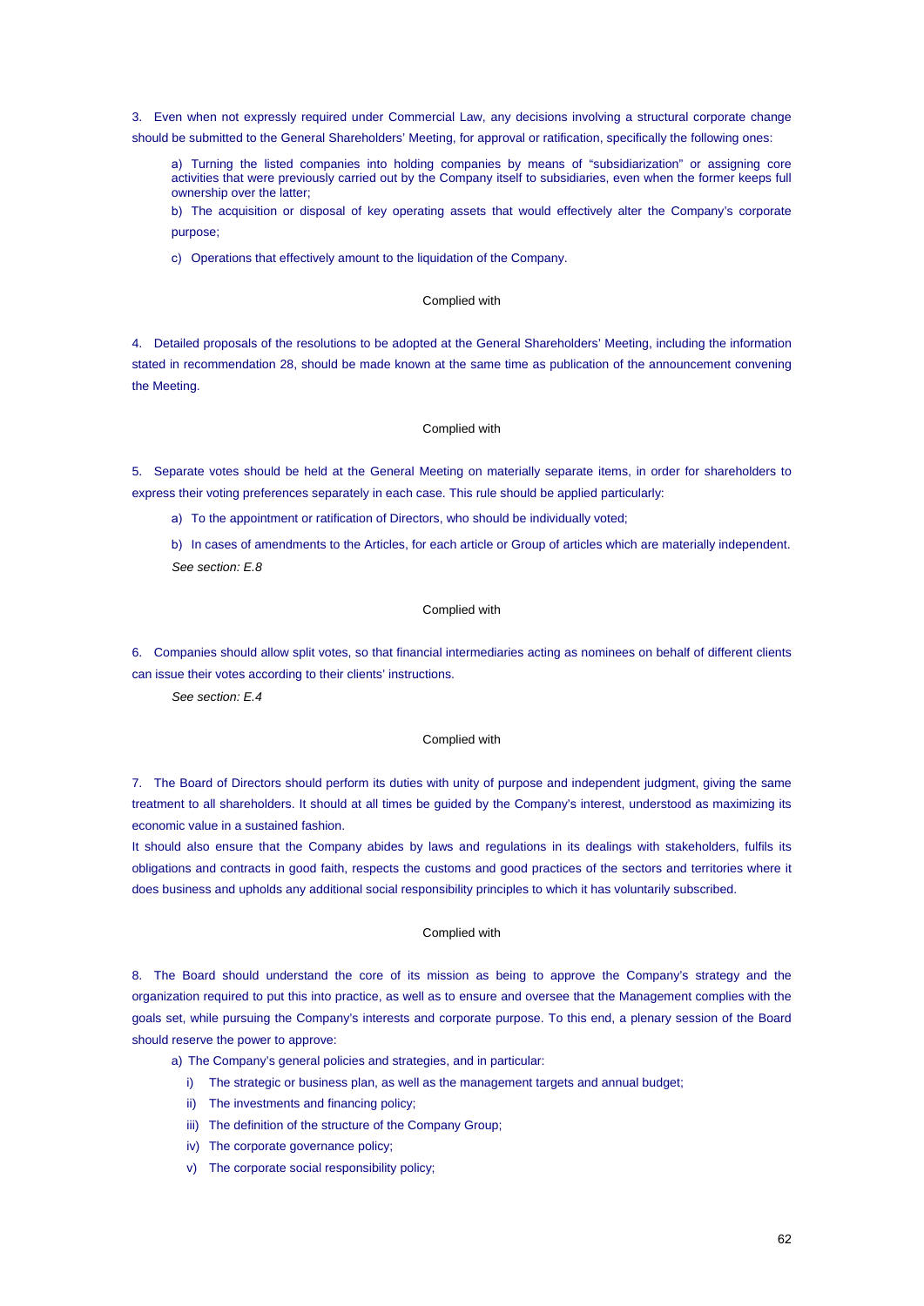3. Even when not expressly required under Commercial Law, any decisions involving a structural corporate change

should be submitted to the General Shareholders' Meeting, for approval or ratification, specifically the following ones:

a) Turning the listed companies into holding companies by means of "subsidiarization" or assigning core activities that were previously carried out by the Company itself to subsidiaries, even when the former keeps full ownership over the latter;

b) The acquisition or disposal of key operating assets that would effectively alter the Company's corporate purpose;

c) Operations that effectively amount to the liquidation of the Company.

# Complied with

4. Detailed proposals of the resolutions to be adopted at the General Shareholders' Meeting, including the information stated in recommendation 28, should be made known at the same time as publication of the announcement convening the Meeting.

### Complied with

5. Separate votes should be held at the General Meeting on materially separate items, in order for shareholders to express their voting preferences separately in each case. This rule should be applied particularly:

a) To the appointment or ratification of Directors, who should be individually voted;

b) In cases of amendments to the Articles, for each article or Group of articles which are materially independent. *See section: E.8*

# Complied with

6. Companies should allow split votes, so that financial intermediaries acting as nominees on behalf of different clients can issue their votes according to their clients' instructions.

*See section: E.4*

# Complied with

7. The Board of Directors should perform its duties with unity of purpose and independent judgment, giving the same treatment to all shareholders. It should at all times be guided by the Company's interest, understood as maximizing its economic value in a sustained fashion.

It should also ensure that the Company abides by laws and regulations in its dealings with stakeholders, fulfils its obligations and contracts in good faith, respects the customs and good practices of the sectors and territories where it does business and upholds any additional social responsibility principles to which it has voluntarily subscribed.

## Complied with

8. The Board should understand the core of its mission as being to approve the Company's strategy and the organization required to put this into practice, as well as to ensure and oversee that the Management complies with the goals set, while pursuing the Company's interests and corporate purpose. To this end, a plenary session of the Board should reserve the power to approve:

a) The Company's general policies and strategies, and in particular:

- i) The strategic or business plan, as well as the management targets and annual budget;
- ii) The investments and financing policy;
- iii) The definition of the structure of the Company Group;
- iv) The corporate governance policy;
- v) The corporate social responsibility policy;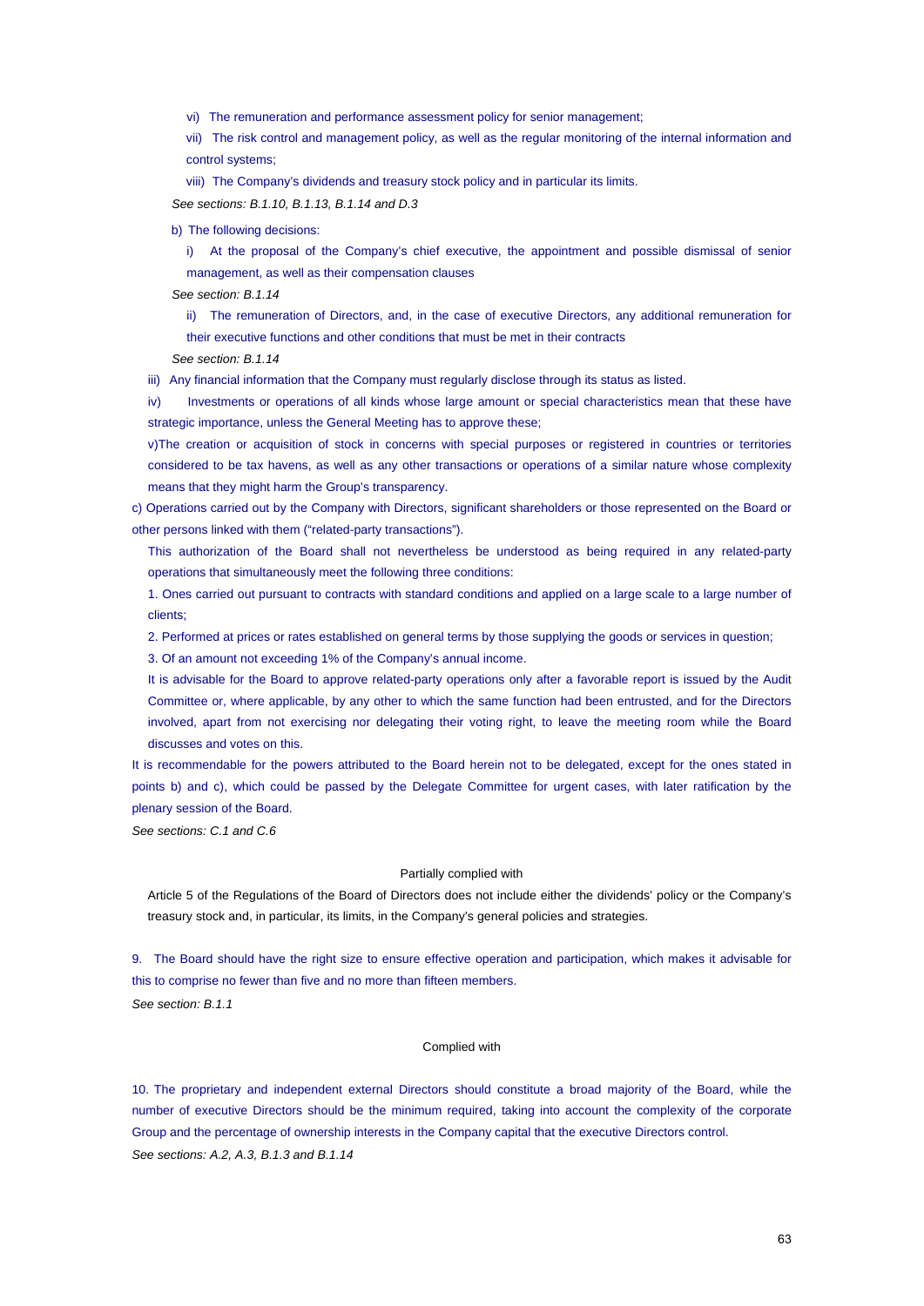vi) The remuneration and performance assessment policy for senior management;

vii) The risk control and management policy, as well as the regular monitoring of the internal information and control systems;

viii) The Company's dividends and treasury stock policy and in particular its limits.

*See sections: B.1.10, B.1.13, B.1.14 and D.3*

b) The following decisions:

i) At the proposal of the Company's chief executive, the appointment and possible dismissal of senior management, as well as their compensation clauses

*See section: B.1.14*

ii) The remuneration of Directors, and, in the case of executive Directors, any additional remuneration for their executive functions and other conditions that must be met in their contracts

*See section: B.1.14*

iii) Any financial information that the Company must regularly disclose through its status as listed.

iv) Investments or operations of all kinds whose large amount or special characteristics mean that these have strategic importance, unless the General Meeting has to approve these;

v) The creation or acquisition of stock in concerns with special purposes or registered in countries or territories considered to be tax havens, as well as any other transactions or operations of a similar nature whose complexity means that they might harm the Group's transparency.

c) Operations carried out by the Company with Directors, significant shareholders or those represented on the Board or other persons linked with them ("related-party transactions").

This authorization of the Board shall not nevertheless be understood as being required in any related-party operations that simultaneously meet the following three conditions:

1. Ones carried out pursuant to contracts with standard conditions and applied on a large scale to a large number of clients;

2. Performed at prices or rates established on general terms by those supplying the goods or services in question;

3. Of an amount not exceeding 1% of the Company's annual income.

It is advisable for the Board to approve related-party operations only after a favorable report is issued by the Audit Committee or, where applicable, by any other to which the same function had been entrusted, and for the Directors involved, apart from not exercising nor delegating their voting right, to leave the meeting room while the Board discusses and votes on this.

It is recommendable for the powers attributed to the Board herein not to be delegated, except for the ones stated in points b) and c), which could be passed by the Delegate Committee for urgent cases, with later ratification by the plenary session of the Board.

*See sections: C.1 and C.6*

### Partially complied with

Article 5 of the Regulations of the Board of Directors does not include either the dividends' policy or the Company's treasury stock and, in particular, its limits, in the Company's general policies and strategies.

9. The Board should have the right size to ensure effective operation and participation, which makes it advisable for this to comprise no fewer than five and no more than fifteen members. *See section: B.1.1*

#### Complied with

10. The proprietary and independent external Directors should constitute a broad majority of the Board, while the number of executive Directors should be the minimum required, taking into account the complexity of the corporate Group and the percentage of ownership interests in the Company capital that the executive Directors control. *See sections: A.2, A.3, B.1.3 and B.1.14*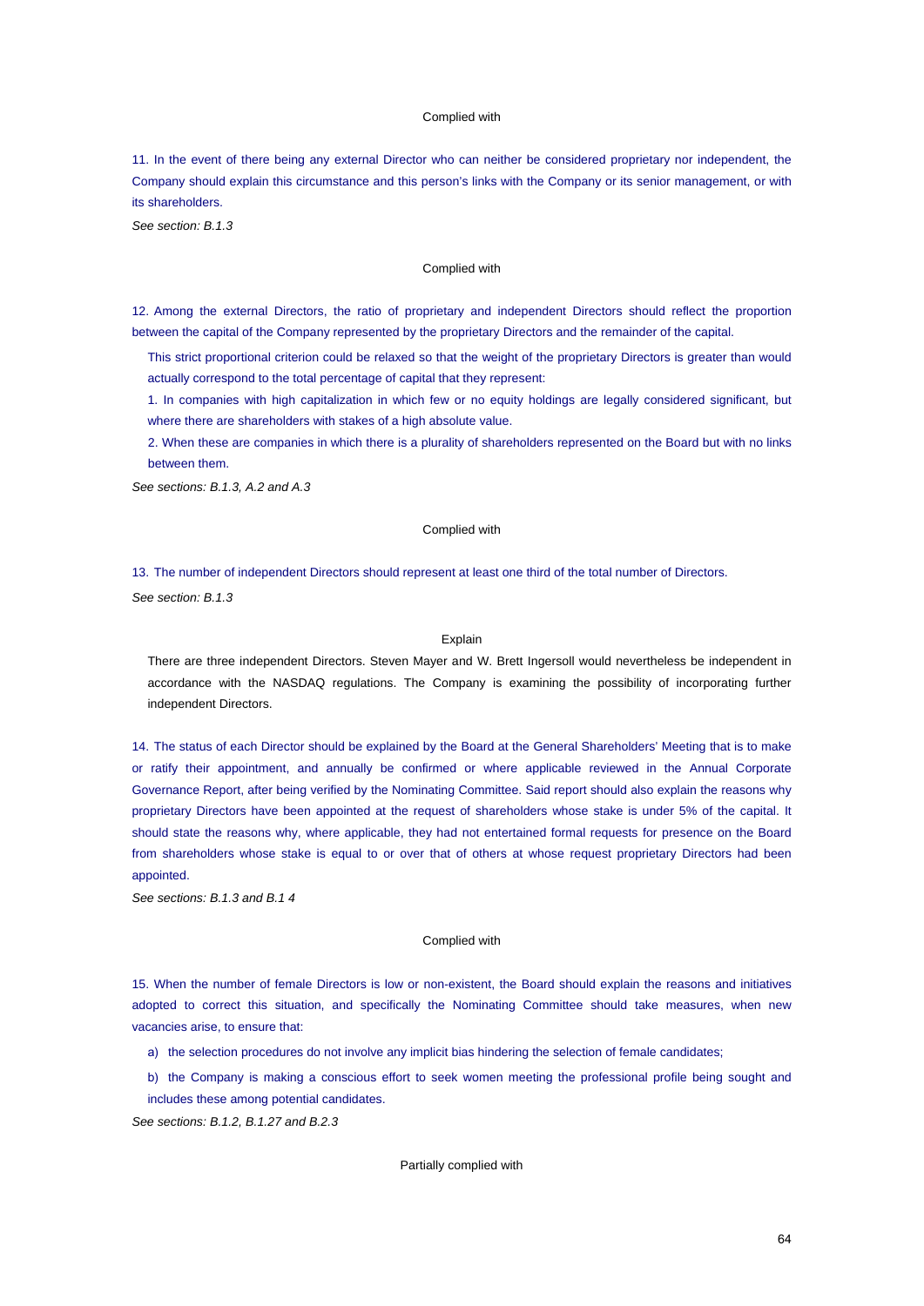#### Complied with

11. In the event of there being any external Director who can neither be considered proprietary nor independent, the Company should explain this circumstance and this person's links with the Company or its senior management, or with its shareholders.

*See section: B.1.3*

# Complied with

12. Among the external Directors, the ratio of proprietary and independent Directors should reflect the proportion between the capital of the Company represented by the proprietary Directors and the remainder of the capital.

This strict proportional criterion could be relaxed so that the weight of the proprietary Directors is greater than would actually correspond to the total percentage of capital that they represent:

1. In companies with high capitalization in which few or no equity holdings are legally considered significant, but where there are shareholders with stakes of a high absolute value.

2. When these are companies in which there is a plurality of shareholders represented on the Board but with no links between them.

*See sections: B.1.3, A.2 and A.3*

### Complied with

13. The number of independent Directors should represent at least one third of the total number of Directors.

*See section: B.1.3*

## Explain

There are three independent Directors. Steven Mayer and W. Brett Ingersoll would nevertheless be independent in accordance with the NASDAQ regulations. The Company is examining the possibility of incorporating further independent Directors.

14. The status of each Director should be explained by the Board at the General Shareholders' Meeting that is to make or ratify their appointment, and annually be confirmed or where applicable reviewed in the Annual Corporate Governance Report, after being verified by the Nominating Committee. Said report should also explain the reasons why proprietary Directors have been appointed at the request of shareholders whose stake is under 5% of the capital. It should state the reasons why, where applicable, they had not entertained formal requests for presence on the Board from shareholders whose stake is equal to or over that of others at whose request proprietary Directors had been appointed.

*See sections: B.1.3 and B.1 4*

# Complied with

15. When the number of female Directors is low or non-existent, the Board should explain the reasons and initiatives adopted to correct this situation, and specifically the Nominating Committee should take measures, when new vacancies arise, to ensure that:

- a) the selection procedures do not involve any implicit bias hindering the selection of female candidates;
- b) the Company is making a conscious effort to seek women meeting the professional profile being sought and includes these among potential candidates.

*See sections: B.1.2, B.1.27 and B.2.3*

### Partially complied with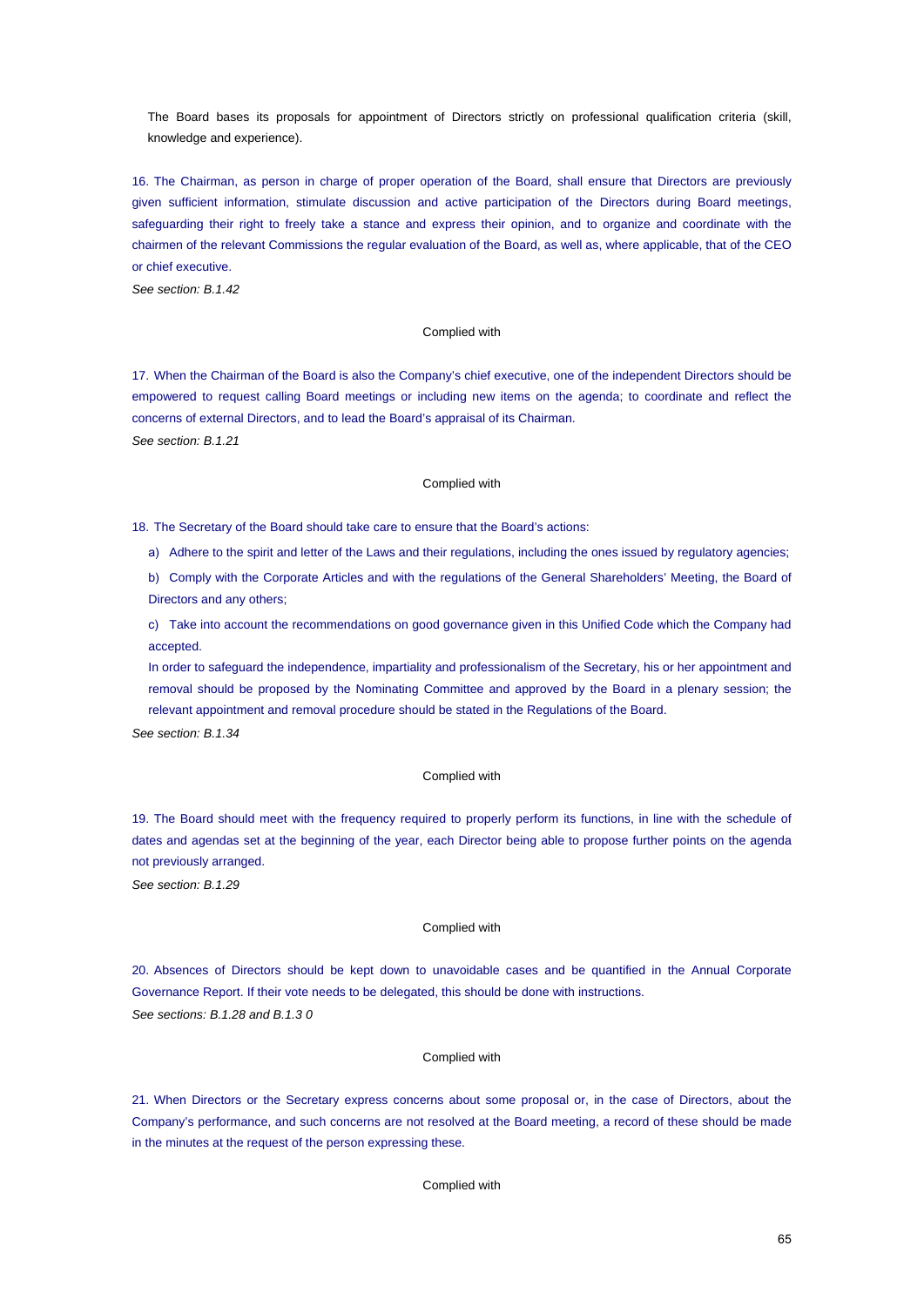The Board bases its proposals for appointment of Directors strictly on professional qualification criteria (skill, knowledge and experience).

16. The Chairman, as person in charge of proper operation of the Board, shall ensure that Directors are previously given sufficient information, stimulate discussion and active participation of the Directors during Board meetings, safeguarding their right to freely take a stance and express their opinion, and to organize and coordinate with the chairmen of the relevant Commissions the regular evaluation of the Board, as well as, where applicable, that of the CEO or chief executive.

*See section: B.1.42*

# Complied with

17. When the Chairman of the Board is also the Company's chief executive, one of the independent Directors should be empowered to request calling Board meetings or including new items on the agenda; to coordinate and reflect the concerns of external Directors, and to lead the Board's appraisal of its Chairman. *See section: B.1.21*

## Complied with

18. The Secretary of the Board should take care to ensure that the Board's actions:

a) Adhere to the spirit and letter of the Laws and their regulations, including the ones issued by regulatory agencies;

b) Comply with the Corporate Articles and with the regulations of the General Shareholders' Meeting, the Board of Directors and any others;

c) Take into account the recommendations on good governance given in this Unified Code which the Company had accepted.

In order to safeguard the independence, impartiality and professionalism of the Secretary, his or her appointment and removal should be proposed by the Nominating Committee and approved by the Board in a plenary session; the relevant appointment and removal procedure should be stated in the Regulations of the Board.

*See section: B.1.34*

# Complied with

19. The Board should meet with the frequency required to properly perform its functions, in line with the schedule of dates and agendas set at the beginning of the year, each Director being able to propose further points on the agenda not previously arranged.

*See section: B.1.29*

# Complied with

20. Absences of Directors should be kept down to unavoidable cases and be quantified in the Annual Corporate Governance Report. If their vote needs to be delegated, this should be done with instructions. *See sections: B.1.28 and B.1.3 0*

#### Complied with

21. When Directors or the Secretary express concerns about some proposal or, in the case of Directors, about the Company's performance, and such concerns are not resolved at the Board meeting, a record of these should be made in the minutes at the request of the person expressing these.

Complied with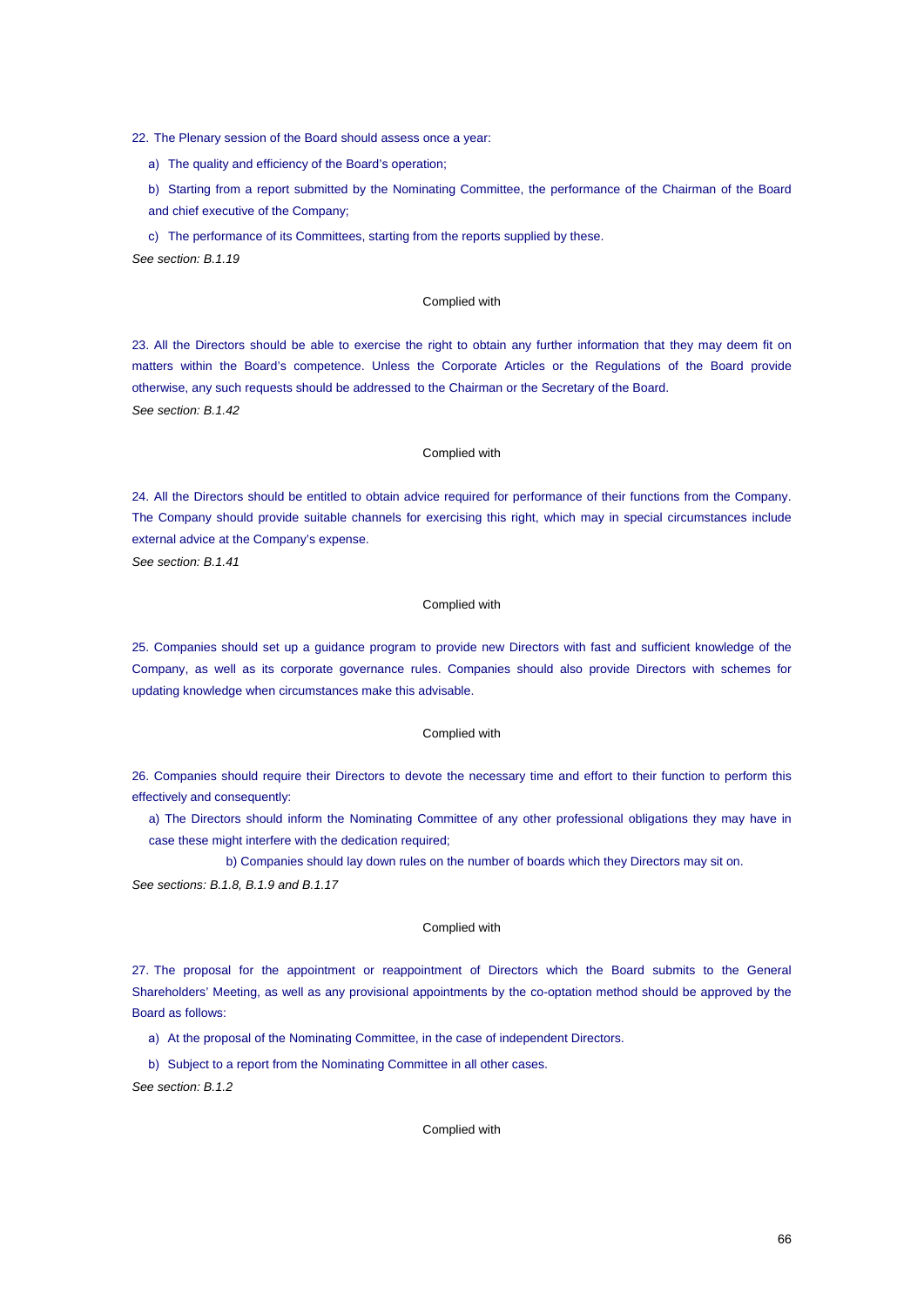22. The Plenary session of the Board should assess once a year:

a) The quality and efficiency of the Board's operation;

b) Starting from a report submitted by the Nominating Committee, the performance of the Chairman of the Board and chief executive of the Company;

c) The performance of its Committees, starting from the reports supplied by these.

*See section: B.1.19*

## Complied with

23. All the Directors should be able to exercise the right to obtain any further information that they may deem fit on matters within the Board's competence. Unless the Corporate Articles or the Regulations of the Board provide otherwise, any such requests should be addressed to the Chairman or the Secretary of the Board. *See section: B.1.42*

# Complied with

24. All the Directors should be entitled to obtain advice required for performance of their functions from the Company. The Company should provide suitable channels for exercising this right, which may in special circumstances include external advice at the Company's expense.

*See section: B.1.41*

# Complied with

25. Companies should set up a guidance program to provide new Directors with fast and sufficient knowledge of the Company, as well as its corporate governance rules. Companies should also provide Directors with schemes for updating knowledge when circumstances make this advisable.

# Complied with

26. Companies should require their Directors to devote the necessary time and effort to their function to perform this effectively and consequently:

a) The Directors should inform the Nominating Committee of any other professional obligations they may have in case these might interfere with the dedication required;

b) Companies should lay down rules on the number of boards which they Directors may sit on.

*See sections: B.1.8, B.1.9 and B.1.17*

# Complied with

27. The proposal for the appointment or reappointment of Directors which the Board submits to the General Shareholders' Meeting, as well as any provisional appointments by the co-optation method should be approved by the Board as follows:

- a) At the proposal of the Nominating Committee, in the case of independent Directors.
- b) Subject to a report from the Nominating Committee in all other cases.

*See section: B.1.2*

# Complied with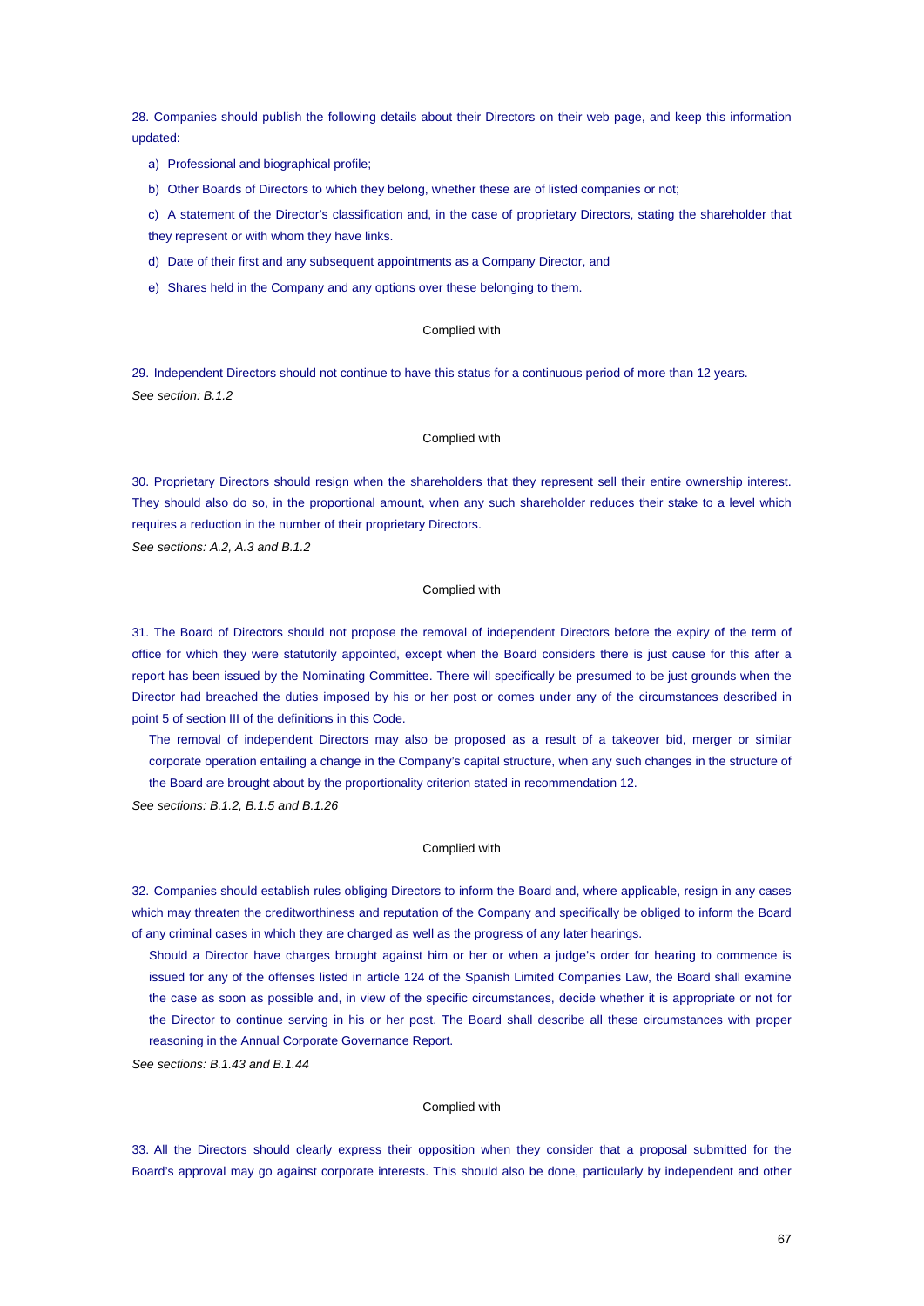28. Companies should publish the following details about their Directors on their web page, and keep this information updated:

- a) Professional and biographical profile;
- b) Other Boards of Directors to which they belong, whether these are of listed companies or not;

c) A statement of the Director's classification and, in the case of proprietary Directors, stating the shareholder that they represent or with whom they have links.

- d) Date of their first and any subsequent appointments as a Company Director, and
- e) Shares held in the Company and any options over these belonging to them.

# Complied with

29. Independent Directors should not continue to have this status for a continuous period of more than 12 years. *See section: B.1.2*

### Complied with

30. Proprietary Directors should resign when the shareholders that they represent sell their entire ownership interest. They should also do so, in the proportional amount, when any such shareholder reduces their stake to a level which requires a reduction in the number of their proprietary Directors.

*See sections: A.2, A.3 and B.1.2*

# Complied with

31. The Board of Directors should not propose the removal of independent Directors before the expiry of the term of office for which they were statutorily appointed, except when the Board considers there is just cause for this after a report has been issued by the Nominating Committee. There will specifically be presumed to be just grounds when the Director had breached the duties imposed by his or her post or comes under any of the circumstances described in point 5 of section III of the definitions in this Code.

The removal of independent Directors may also be proposed as a result of a takeover bid, merger or similar corporate operation entailing a change in the Company's capital structure, when any such changes in the structure of the Board are brought about by the proportionality criterion stated in recommendation 12.

*See sections: B.1.2, B.1.5 and B.1.26*

### Complied with

32. Companies should establish rules obliging Directors to inform the Board and, where applicable, resign in any cases which may threaten the creditworthiness and reputation of the Company and specifically be obliged to inform the Board of any criminal cases in which they are charged as well as the progress of any later hearings.

Should a Director have charges brought against him or her or when a judge's order for hearing to commence is issued for any of the offenses listed in article 124 of the Spanish Limited Companies Law, the Board shall examine the case as soon as possible and, in view of the specific circumstances, decide whether it is appropriate or not for the Director to continue serving in his or her post. The Board shall describe all these circumstances with proper reasoning in the Annual Corporate Governance Report.

*See sections: B.1.43 and B.1.44*

#### Complied with

33. All the Directors should clearly express their opposition when they consider that a proposal submitted for the Board's approval may go against corporate interests. This should also be done, particularly by independent and other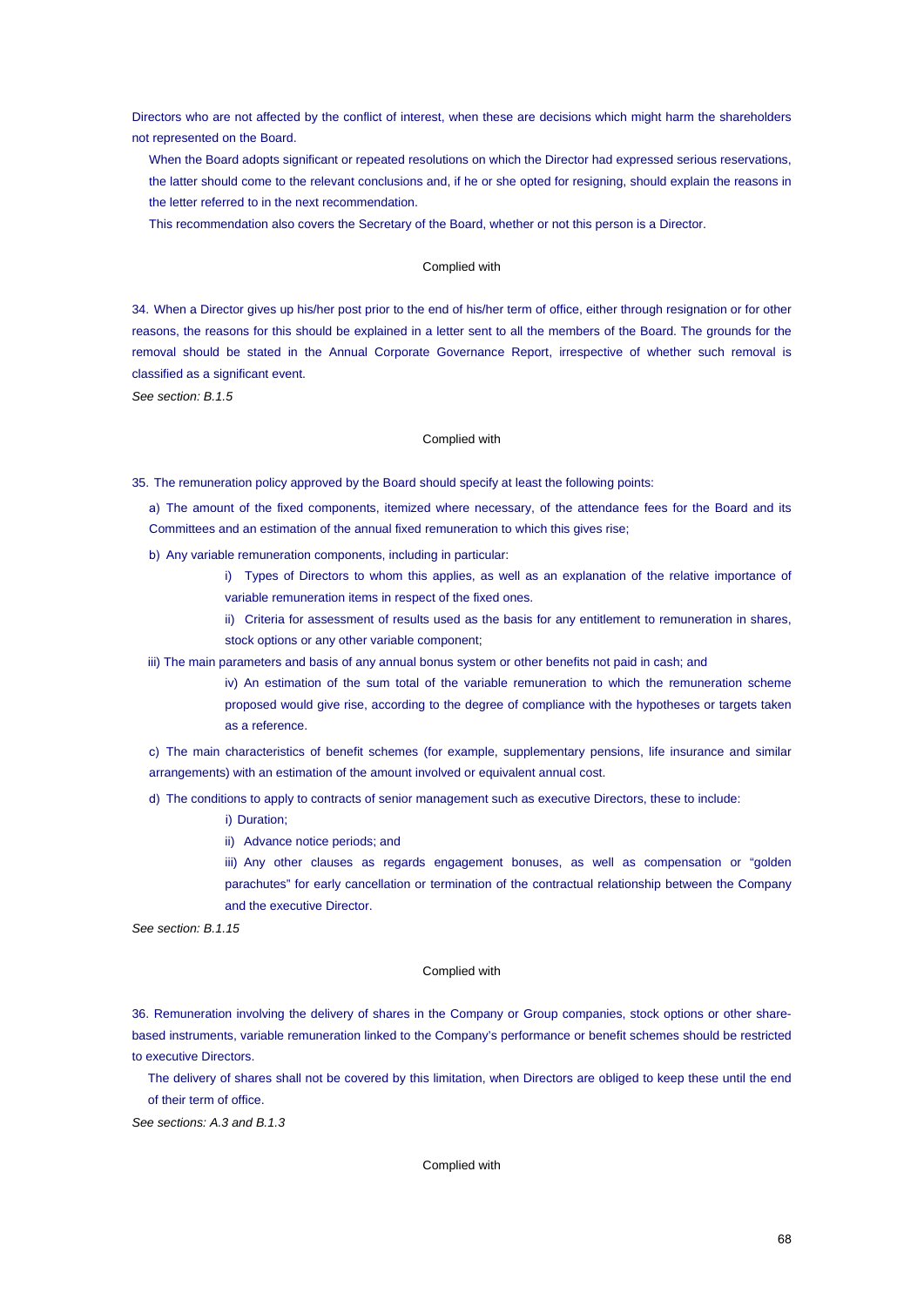Directors who are not affected by the conflict of interest, when these are decisions which might harm the shareholders not represented on the Board.

When the Board adopts significant or repeated resolutions on which the Director had expressed serious reservations, the latter should come to the relevant conclusions and, if he or she opted for resigning, should explain the reasons in the letter referred to in the next recommendation.

This recommendation also covers the Secretary of the Board, whether or not this person is a Director.

# Complied with

34. When a Director gives up his/her post prior to the end of his/her term of office, either through resignation or for other reasons, the reasons for this should be explained in a letter sent to all the members of the Board. The grounds for the removal should be stated in the Annual Corporate Governance Report, irrespective of whether such removal is classified as a significant event.

*See section: B.1.5*

# Complied with

35. The remuneration policy approved by the Board should specify at least the following points:

a) The amount of the fixed components, itemized where necessary, of the attendance fees for the Board and its Committees and an estimation of the annual fixed remuneration to which this gives rise;

- b) Any variable remuneration components, including in particular:
	- i) Types of Directors to whom this applies, as well as an explanation of the relative importance of variable remuneration items in respect of the fixed ones.
	- ii) Criteria for assessment of results used as the basis for any entitlement to remuneration in shares, stock options or any other variable component;
- iii) The main parameters and basis of any annual bonus system or other benefits not paid in cash; and
	- iv) An estimation of the sum total of the variable remuneration to which the remuneration scheme proposed would give rise, according to the degree of compliance with the hypotheses or targets taken as a reference.

c) The main characteristics of benefit schemes (for example, supplementary pensions, life insurance and similar arrangements) with an estimation of the amount involved or equivalent annual cost.

d) The conditions to apply to contracts of senior management such as executive Directors, these to include:

- i) Duration;
- ii) Advance notice periods; and
- iii) Any other clauses as regards engagement bonuses, as well as compensation or "golden parachutes" for early cancellation or termination of the contractual relationship between the Company and the executive Director.

*See section: B.1.15*

#### Complied with

36. Remuneration involving the delivery of shares in the Company or Group companies, stock options or other sharebased instruments, variable remuneration linked to the Company's performance or benefit schemes should be restricted to executive Directors.

The delivery of shares shall not be covered by this limitation, when Directors are obliged to keep these until the end of their term of office.

*See sections: A.3 and B.1.3*

#### Complied with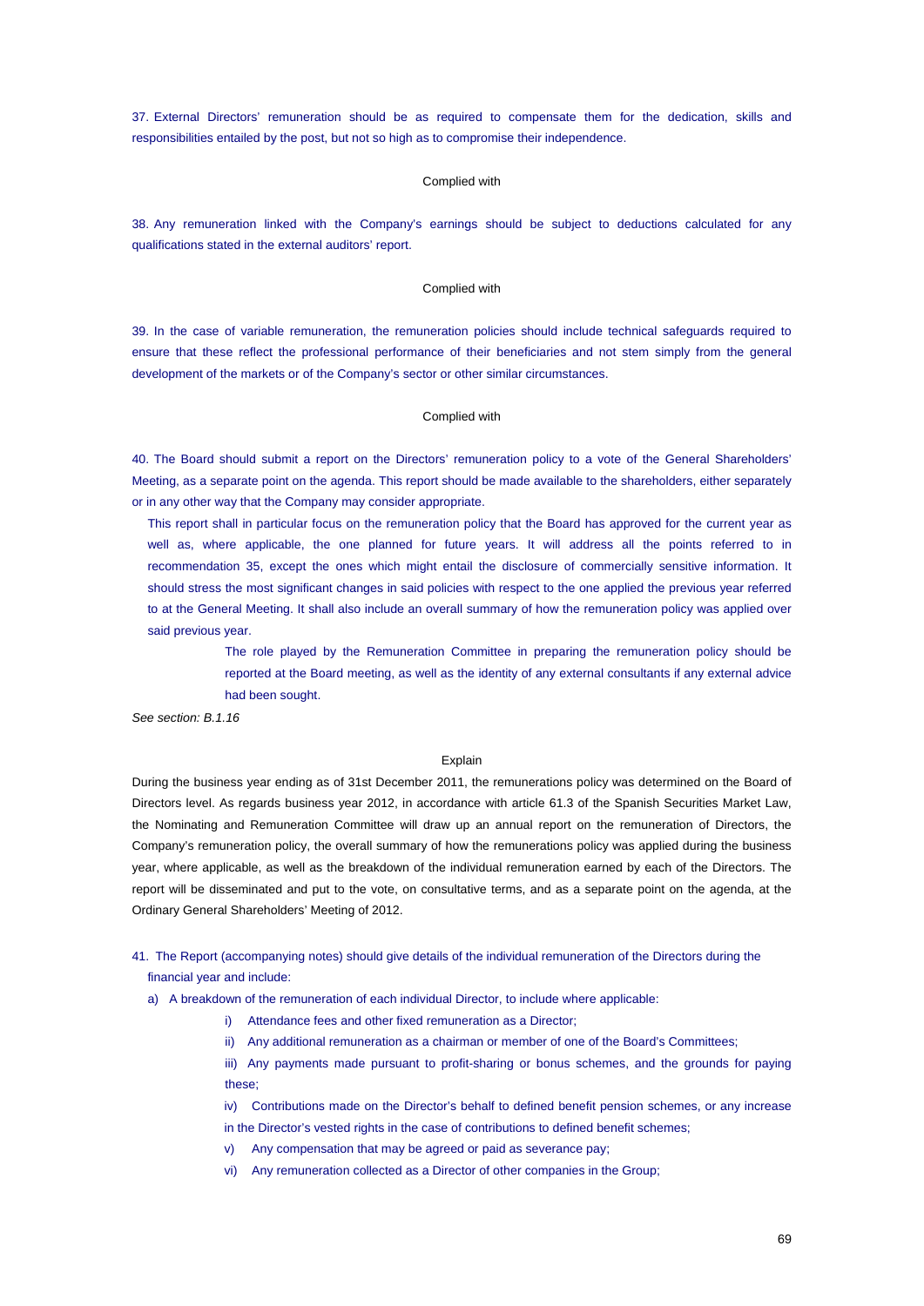37. External Directors' remuneration should be as required to compensate them for the dedication, skills and responsibilities entailed by the post, but not so high as to compromise their independence.

# Complied with

38. Any remuneration linked with the Company's earnings should be subject to deductions calculated for any qualifications stated in the external auditors' report.

# Complied with

39. In the case of variable remuneration, the remuneration policies should include technical safeguards required to ensure that these reflect the professional performance of their beneficiaries and not stem simply from the general development of the markets or of the Company's sector or other similar circumstances.

#### Complied with

40. The Board should submit a report on the Directors' remuneration policy to a vote of the General Shareholders' Meeting, as a separate point on the agenda. This report should be made available to the shareholders, either separately or in any other way that the Company may consider appropriate.

This report shall in particular focus on the remuneration policy that the Board has approved for the current year as well as, where applicable, the one planned for future years. It will address all the points referred to in recommendation 35, except the ones which might entail the disclosure of commercially sensitive information. It should stress the most significant changes in said policies with respect to the one applied the previous year referred to at the General Meeting. It shall also include an overall summary of how the remuneration policy was applied over said previous year.

> The role played by the Remuneration Committee in preparing the remuneration policy should be reported at the Board meeting, as well as the identity of any external consultants if any external advice had been sought.

*See section: B.1.16*

#### Explain

During the business year ending as of 31st December 2011, the remunerations policy was determined on the Board of Directors level. As regards business year 2012, in accordance with article 61.3 of the Spanish Securities Market Law, the Nominating and Remuneration Committee will draw up an annual report on the remuneration of Directors, the Company's remuneration policy, the overall summary of how the remunerations policy was applied during the business year, where applicable, as well as the breakdown of the individual remuneration earned by each of the Directors. The report will be disseminated and put to the vote, on consultative terms, and as a separate point on the agenda, at the Ordinary General Shareholders' Meeting of 2012.

41. The Report (accompanying notes) should give details of the individual remuneration of the Directors during the financial year and include:

a) A breakdown of the remuneration of each individual Director, to include where applicable:

- i) Attendance fees and other fixed remuneration as a Director;
- ii) Any additional remuneration as a chairman or member of one of the Board's Committees;

iii) Any payments made pursuant to profit-sharing or bonus schemes, and the grounds for paying these;

iv) Contributions made on the Director's behalf to defined benefit pension schemes, or any increase in the Director's vested rights in the case of contributions to defined benefit schemes;

- v) Any compensation that may be agreed or paid as severance pay;
- vi) Any remuneration collected as a Director of other companies in the Group;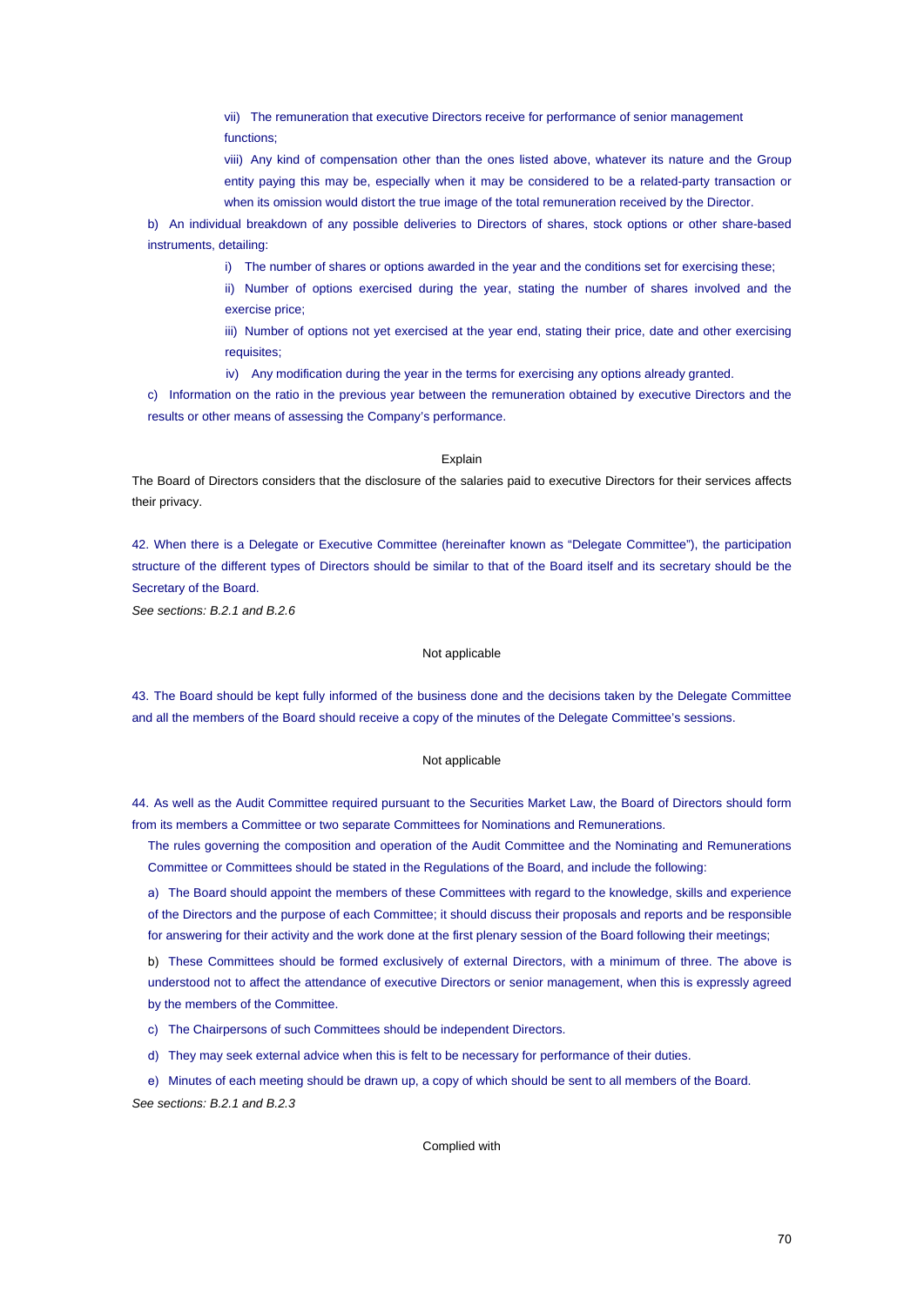vii) The remuneration that executive Directors receive for performance of senior management functions;

viii) Any kind of compensation other than the ones listed above, whatever its nature and the Group entity paying this may be, especially when it may be considered to be a related-party transaction or when its omission would distort the true image of the total remuneration received by the Director.

b) An individual breakdown of any possible deliveries to Directors of shares, stock options or other share-based instruments, detailing:

i) The number of shares or options awarded in the year and the conditions set for exercising these;

ii) Number of options exercised during the year, stating the number of shares involved and the exercise price;

iii) Number of options not yet exercised at the year end, stating their price, date and other exercising requisites;

iv) Any modification during the year in the terms for exercising any options already granted.

c) Information on the ratio in the previous year between the remuneration obtained by executive Directors and the results or other means of assessing the Company's performance.

#### **Explain**

The Board of Directors considers that the disclosure of the salaries paid to executive Directors for their services affects their privacy.

42. When there is a Delegate or Executive Committee (hereinafter known as "Delegate Committee"), the participation structure of the different types of Directors should be similar to that of the Board itself and its secretary should be the Secretary of the Board.

*See sections: B.2.1 and B.2.6*

# Not applicable

43. The Board should be kept fully informed of the business done and the decisions taken by the Delegate Committee and all the members of the Board should receive a copy of the minutes of the Delegate Committee's sessions.

### Not applicable

44. As well as the Audit Committee required pursuant to the Securities Market Law, the Board of Directors should form from its members a Committee or two separate Committees for Nominations and Remunerations.

The rules governing the composition and operation of the Audit Committee and the Nominating and Remunerations Committee or Committees should be stated in the Regulations of the Board, and include the following:

a) The Board should appoint the members of these Committees with regard to the knowledge, skills and experience of the Directors and the purpose of each Committee; it should discuss their proposals and reports and be responsible for answering for their activity and the work done at the first plenary session of the Board following their meetings;

b) These Committees should be formed exclusively of external Directors, with a minimum of three. The above is understood not to affect the attendance of executive Directors or senior management, when this is expressly agreed by the members of the Committee.

c) The Chairpersons of such Committees should be independent Directors.

d) They may seek external advice when this is felt to be necessary for performance of their duties.

e) Minutes of each meeting should be drawn up, a copy of which should be sent to all members of the Board. *See sections: B.2.1 and B.2.3*

# Complied with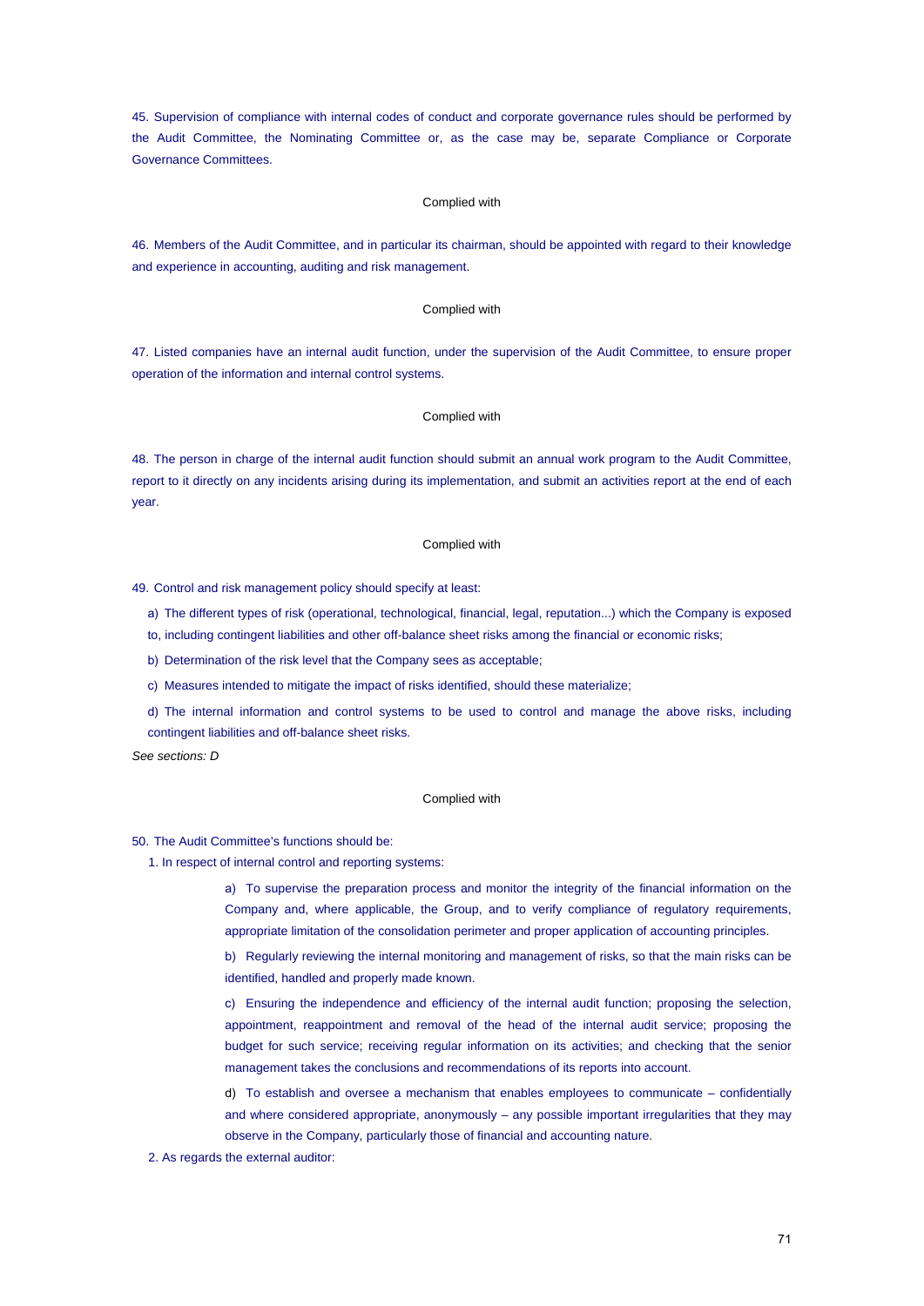45. Supervision of compliance with internal codes of conduct and corporate governance rules should be performed by the Audit Committee, the Nominating Committee or, as the case may be, separate Compliance or Corporate Governance Committees.

# Complied with

46. Members of the Audit Committee, and in particular its chairman, should be appointed with regard to their knowledge and experience in accounting, auditing and risk management.

#### Complied with

47. Listed companies have an internal audit function, under the supervision of the Audit Committee, to ensure proper operation of the information and internal control systems.

# Complied with

48. The person in charge of the internal audit function should submit an annual work program to the Audit Committee, report to it directly on any incidents arising during its implementation, and submit an activities report at the end of each year.

# Complied with

49. Control and risk management policy should specify at least:

- a) The different types of risk (operational, technological, financial, legal, reputation...) which the Company is exposed
- to, including contingent liabilities and other off-balance sheet risks among the financial or economic risks;
- b) Determination of the risk level that the Company sees as acceptable;
- c) Measures intended to mitigate the impact of risks identified, should these materialize;
- d) The internal information and control systems to be used to control and manage the above risks, including contingent liabilities and off-balance sheet risks.

*See sections: D*

## Complied with

50. The Audit Committee's functions should be:

1. In respect of internal control and reporting systems:

a) To supervise the preparation process and monitor the integrity of the financial information on the Company and, where applicable, the Group, and to verify compliance of regulatory requirements, appropriate limitation of the consolidation perimeter and proper application of accounting principles.

b) Regularly reviewing the internal monitoring and management of risks, so that the main risks can be identified, handled and properly made known.

c) Ensuring the independence and efficiency of the internal audit function; proposing the selection, appointment, reappointment and removal of the head of the internal audit service; proposing the budget for such service; receiving regular information on its activities; and checking that the senior management takes the conclusions and recommendations of its reports into account.

d) To establish and oversee a mechanism that enables employees to communicate – confidentially and where considered appropriate, anonymously – any possible important irregularities that they may observe in the Company, particularly those of financial and accounting nature.

# 2. As regards the external auditor: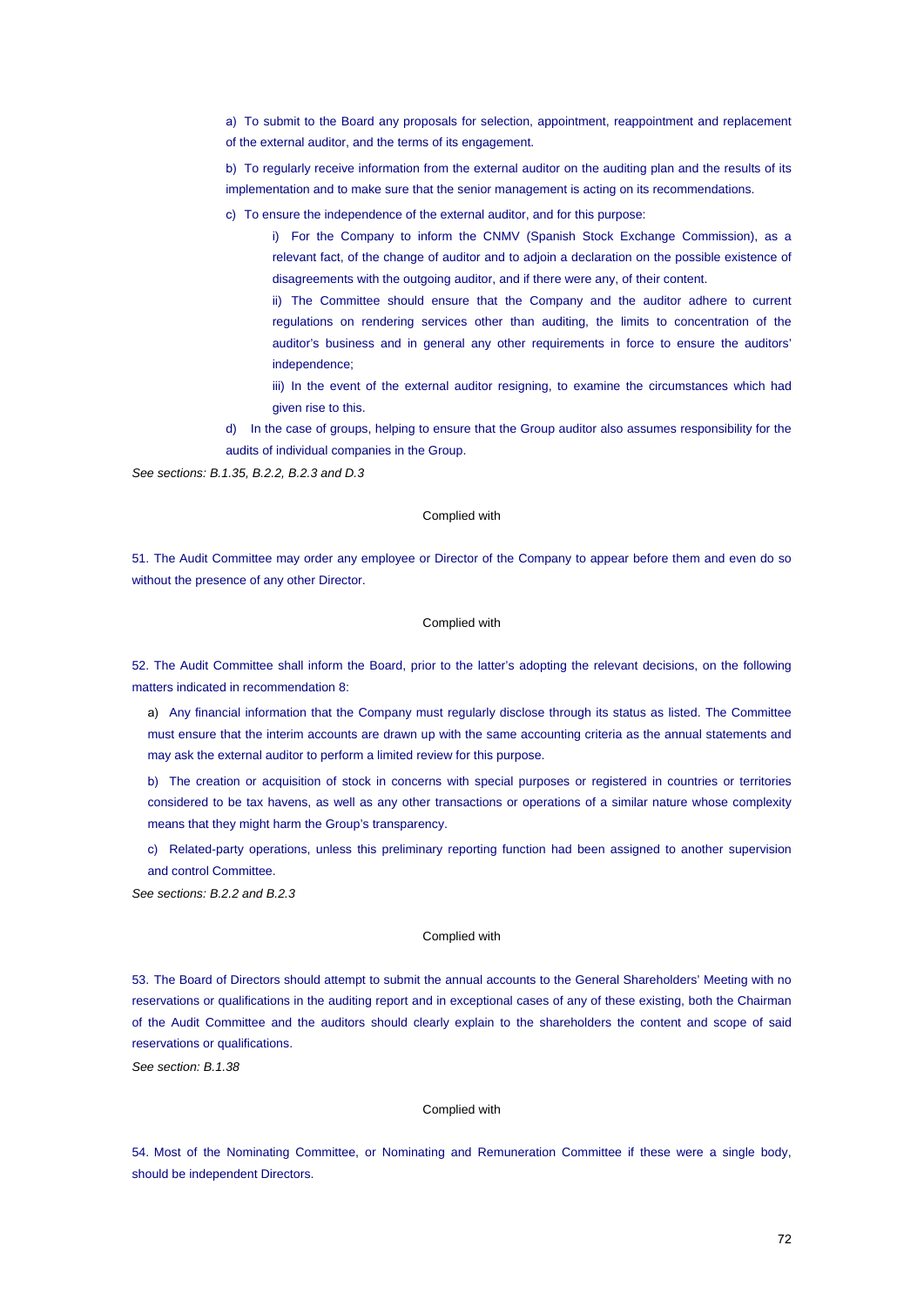a) To submit to the Board any proposals for selection, appointment, reappointment and replacement of the external auditor, and the terms of its engagement.

b) To regularly receive information from the external auditor on the auditing plan and the results of its implementation and to make sure that the senior management is acting on its recommendations.

c) To ensure the independence of the external auditor, and for this purpose:

i) For the Company to inform the CNMV (Spanish Stock Exchange Commission), as a relevant fact, of the change of auditor and to adjoin a declaration on the possible existence of disagreements with the outgoing auditor, and if there were any, of their content.

ii) The Committee should ensure that the Company and the auditor adhere to current regulations on rendering services other than auditing, the limits to concentration of the auditor's business and in general any other requirements in force to ensure the auditors' independence;

iii) In the event of the external auditor resigning, to examine the circumstances which had given rise to this.

d) In the case of groups, helping to ensure that the Group auditor also assumes responsibility for the audits of individual companies in the Group.

*See sections: B.1.35, B.2.2, B.2.3 and D.3*

# Complied with

51. The Audit Committee may order any employee or Director of the Company to appear before them and even do so without the presence of any other Director.

## Complied with

52. The Audit Committee shall inform the Board, prior to the latter's adopting the relevant decisions, on the following matters indicated in recommendation 8:

a) Any financial information that the Company must regularly disclose through its status as listed. The Committee must ensure that the interim accounts are drawn up with the same accounting criteria as the annual statements and may ask the external auditor to perform a limited review for this purpose.

b) The creation or acquisition of stock in concerns with special purposes or registered in countries or territories considered to be tax havens, as well as any other transactions or operations of a similar nature whose complexity means that they might harm the Group's transparency.

c) Related-party operations, unless this preliminary reporting function had been assigned to another supervision and control Committee.

*See sections: B.2.2 and B.2.3*

#### Complied with

53. The Board of Directors should attempt to submit the annual accounts to the General Shareholders' Meeting with no reservations or qualifications in the auditing report and in exceptional cases of any of these existing, both the Chairman of the Audit Committee and the auditors should clearly explain to the shareholders the content and scope of said reservations or qualifications.

*See section: B.1.38*

## Complied with

54. Most of the Nominating Committee, or Nominating and Remuneration Committee if these were a single body, should be independent Directors.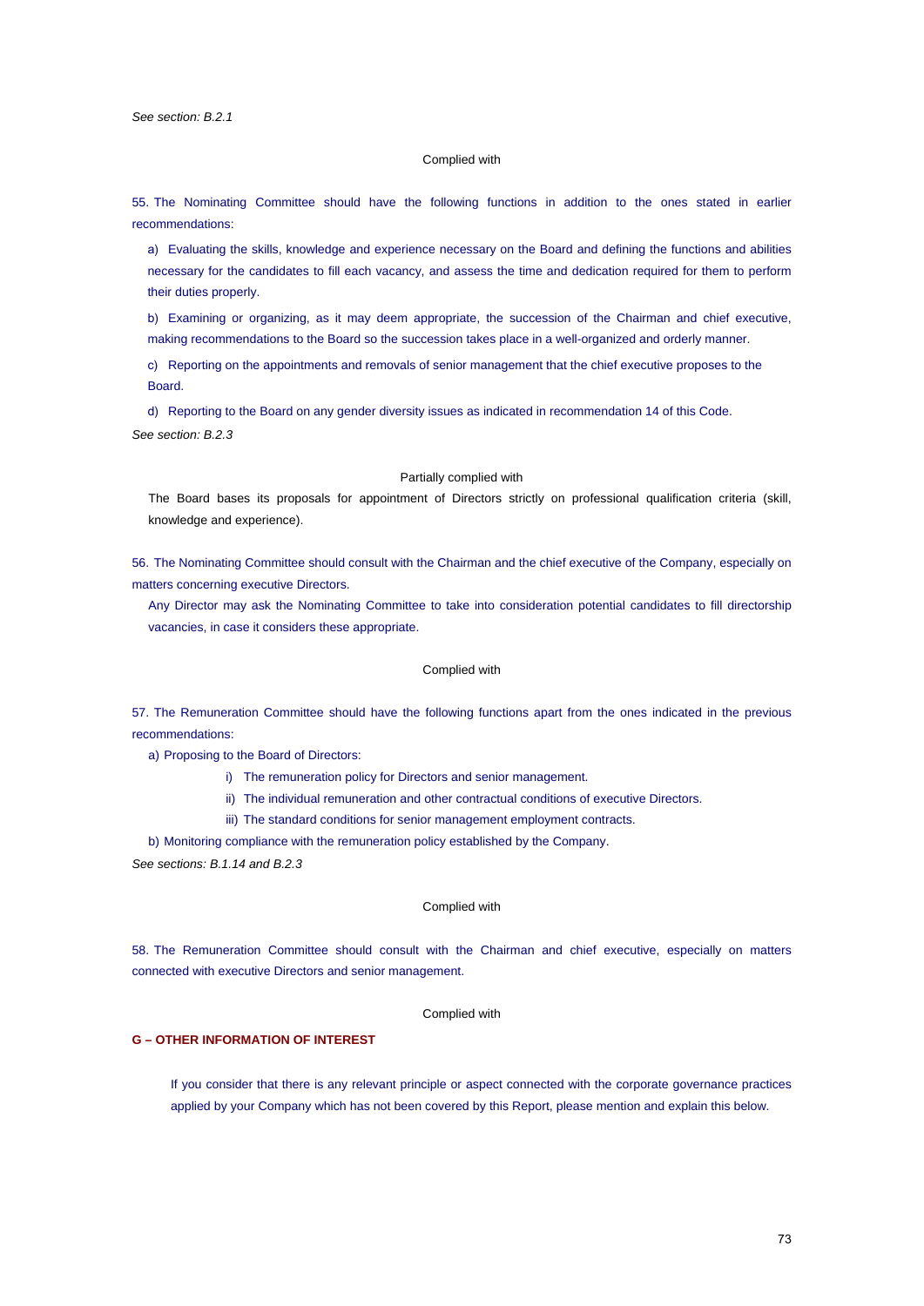### Complied with

55. The Nominating Committee should have the following functions in addition to the ones stated in earlier recommendations:

a) Evaluating the skills, knowledge and experience necessary on the Board and defining the functions and abilities necessary for the candidates to fill each vacancy, and assess the time and dedication required for them to perform their duties properly.

b) Examining or organizing, as it may deem appropriate, the succession of the Chairman and chief executive, making recommendations to the Board so the succession takes place in a well-organized and orderly manner.

c) Reporting on the appointments and removals of senior management that the chief executive proposes to the Board.

d) Reporting to the Board on any gender diversity issues as indicated in recommendation 14 of this Code. *See section: B.2.3*

#### Partially complied with

The Board bases its proposals for appointment of Directors strictly on professional qualification criteria (skill, knowledge and experience).

56. The Nominating Committee should consult with the Chairman and the chief executive of the Company, especially on matters concerning executive Directors.

Any Director may ask the Nominating Committee to take into consideration potential candidates to fill directorship vacancies, in case it considers these appropriate.

# Complied with

57. The Remuneration Committee should have the following functions apart from the ones indicated in the previous recommendations:

a) Proposing to the Board of Directors:

- i) The remuneration policy for Directors and senior management.
- ii) The individual remuneration and other contractual conditions of executive Directors.
- iii) The standard conditions for senior management employment contracts.

b) Monitoring compliance with the remuneration policy established by the Company.

*See sections: B.1.14 and B.2.3*

## Complied with

58. The Remuneration Committee should consult with the Chairman and chief executive, especially on matters connected with executive Directors and senior management.

## Complied with

## **G – OTHER INFORMATION OF INTEREST**

If you consider that there is any relevant principle or aspect connected with the corporate governance practices applied by your Company which has not been covered by this Report, please mention and explain this below.